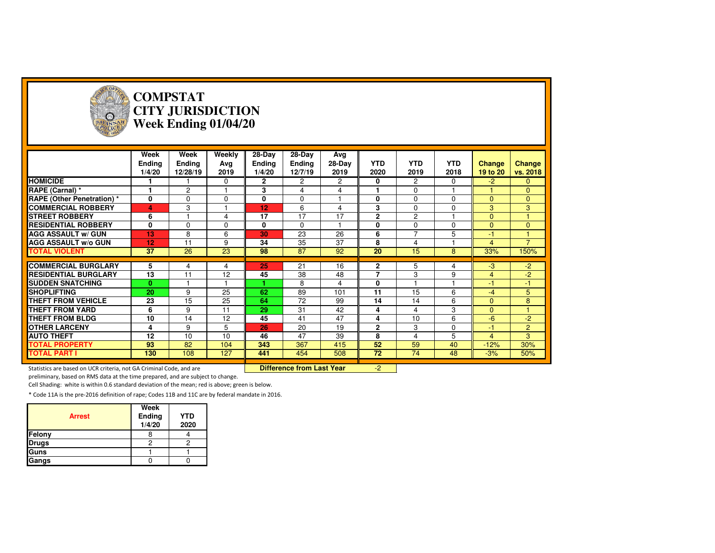

#### **COMPSTAT CITY JURISDICTIONWeek Ending 01/04/20**

|                                   | Week<br><b>Ending</b><br>1/4/20 | Week<br><b>Ending</b><br>12/28/19 | Weekly<br>Avg<br>2019 | $28-Dav$<br><b>Ending</b><br>1/4/20 | 28-Day<br><b>Ending</b><br>12/7/19 | Avg<br>28-Day<br>2019 | <b>YTD</b><br>2020 | <b>YTD</b><br>2019 | <b>YTD</b><br>2018 | <b>Change</b><br>19 to 20 | <b>Change</b><br>vs. 2018 |
|-----------------------------------|---------------------------------|-----------------------------------|-----------------------|-------------------------------------|------------------------------------|-----------------------|--------------------|--------------------|--------------------|---------------------------|---------------------------|
| <b>HOMICIDE</b>                   |                                 |                                   | $\Omega$              | $\mathbf{2}$                        | $\overline{2}$                     | $\overline{2}$        | 0                  | $\overline{2}$     | $\Omega$           | $-2$                      | $\mathbf{0}$              |
| RAPE (Carnal) *                   |                                 | $\overline{c}$                    |                       | 3                                   | 4                                  | 4                     |                    | $\mathbf 0$        |                    |                           | $\mathbf{0}$              |
| <b>RAPE (Other Penetration)</b> * | 0                               | 0                                 | $\Omega$              | 0                                   | $\Omega$                           |                       | 0                  | $\mathbf 0$        | $\Omega$           | $\mathbf{0}$              | $\mathbf{0}$              |
| <b>COMMERCIAL ROBBERY</b>         | 4                               | 3                                 |                       | 12                                  | 6                                  | 4                     | 3                  | $\mathbf 0$        | $\mathbf 0$        | 3                         | 3                         |
| <b>STREET ROBBERY</b>             | 6                               |                                   | 4                     | 17                                  | 17                                 | 17                    | $\mathbf{2}$       | $\overline{c}$     |                    | $\mathbf{0}$              |                           |
| <b>RESIDENTIAL ROBBERY</b>        | 0                               | $\Omega$                          | $\Omega$              | 0                                   | $\Omega$                           |                       | $\bf{0}$           | $\mathbf 0$        | $\Omega$           | $\mathbf{0}$              | $\Omega$                  |
| <b>AGG ASSAULT w/ GUN</b>         | 13                              | 8                                 | 6                     | 30                                  | 23                                 | 26                    | 6                  | $\overline{7}$     | 5                  | -1                        | $\overline{1}$            |
| <b>AGG ASSAULT w/o GUN</b>        | 12                              | 11                                | 9                     | 34                                  | 35                                 | 37                    | 8                  | 4                  |                    | $\overline{4}$            | $\overline{7}$            |
| <b>TOTAL VIOLENT</b>              | 37                              | 26                                | 23                    | 98                                  | 87                                 | 92                    | 20                 | 15                 | 8                  | 33%                       | 150%                      |
|                                   |                                 |                                   |                       |                                     |                                    |                       |                    |                    |                    |                           |                           |
|                                   |                                 |                                   |                       |                                     |                                    |                       |                    |                    |                    |                           |                           |
| <b>COMMERCIAL BURGLARY</b>        | 5                               | 4                                 | 4                     | 25                                  | 21                                 | 16                    | $\overline{2}$     | 5                  | 4                  | -3                        | $-2$                      |
| <b>RESIDENTIAL BURGLARY</b>       | 13                              | 11                                | 12                    | 45                                  | 38                                 | 48                    | $\overline{7}$     | 3                  | 9                  | $\overline{4}$            | $-2$                      |
| <b>SUDDEN SNATCHING</b>           | 0                               |                                   |                       |                                     | 8                                  | 4                     | $\bf{0}$           |                    |                    | $-1$                      | $-1$                      |
| <b>SHOPLIFTING</b>                | 20                              | 9                                 | 25                    | 62                                  | 89                                 | 101                   | 11                 | 15                 | 6                  | $-4$                      | 5                         |
| <b>THEFT FROM VEHICLE</b>         | 23                              | 15                                | 25                    | 64                                  | 72                                 | 99                    | 14                 | 14                 | 6                  | $\mathbf{0}$              | 8                         |
| <b>THEFT FROM YARD</b>            | 6                               | 9                                 | 11                    | 29                                  | 31                                 | 42                    | 4                  | 4                  | 3                  | $\Omega$                  |                           |
| <b>THEFT FROM BLDG</b>            | 10                              | 14                                | 12                    | 45                                  | 41                                 | 47                    | 4                  | 10                 | 6                  | $-6$                      | -2                        |
| <b>OTHER LARCENY</b>              | 4                               | 9                                 | 5                     | 26                                  | 20                                 | 19                    | $\overline{2}$     | 3                  | $\Omega$           | $-1$                      | $\overline{2}$            |
| <b>AUTO THEFT</b>                 | 12                              | 10                                | 10                    | 46                                  | 47                                 | 39                    | 8                  | 4                  | 5                  | $\overline{4}$            | 3                         |
| <b>TOTAL PROPERTY</b>             | 93                              | 82                                | 104                   | 343                                 | 367                                | 415                   | 52                 | 59                 | 40                 | $-12%$                    | 30%                       |
| <b>TOTAL PART I</b>               | 130                             | 108                               | 127                   | 441                                 | 454                                | 508                   | 72                 | 74                 | 48                 | $-3%$                     | 50%                       |

Statistics are based on UCR criteria, not GA Criminal Code, and are **Difference from Last Year** 

preliminary, based on RMS data at the time prepared, and are subject to change.

Cell Shading: white is within 0.6 standard deviation of the mean; red is above; green is below.

| <b>Arrest</b> | Week<br>Ending<br>1/4/20 | <b>YTD</b><br>2020 |
|---------------|--------------------------|--------------------|
| Felony        |                          |                    |
| <b>Drugs</b>  |                          |                    |
| Guns          |                          |                    |
| Gangs         |                          |                    |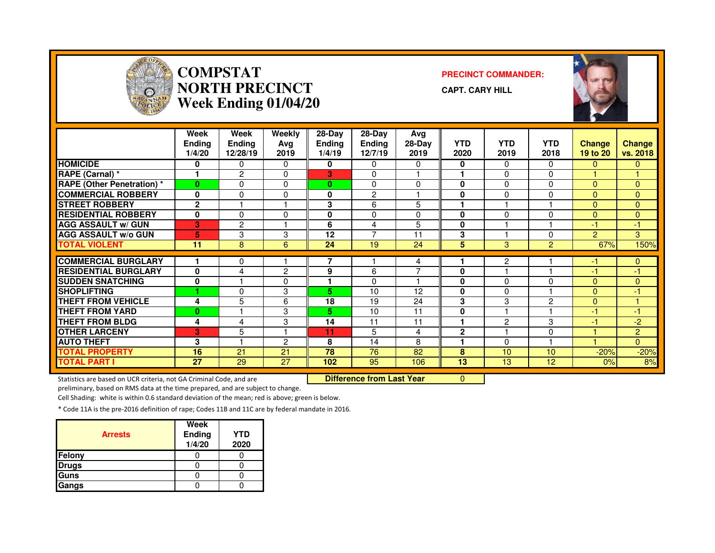

#### **COMPSTAT PRECINCT COMMANDER: NORTH PRECINCTWeek Ending 01/04/20**





|                                   | Week<br><b>Ending</b><br>1/4/20 | Week<br>Ending<br>12/28/19 | Weekly<br>Ava<br>2019 | $28-Day$<br><b>Ending</b><br>1/4/19 | $28-Dav$<br>Ending<br>12/7/19 | Avg<br>$28-Day$<br>2019 | <b>YTD</b><br>2020 | <b>YTD</b><br>2019 | <b>YTD</b><br>2018 | <b>Change</b><br>19 to 20 | <b>Change</b><br>vs. 2018 |
|-----------------------------------|---------------------------------|----------------------------|-----------------------|-------------------------------------|-------------------------------|-------------------------|--------------------|--------------------|--------------------|---------------------------|---------------------------|
| <b>HOMICIDE</b>                   | 0                               | 0                          | 0                     | 0                                   | 0                             | 0                       | 0                  | 0                  | $\Omega$           | $\mathbf{0}$              | 0                         |
| RAPE (Carnal) *                   | 1                               | 2                          | 0                     | 3                                   | 0                             |                         | 1                  | $\Omega$           | $\Omega$           |                           |                           |
| <b>RAPE (Other Penetration) *</b> | $\bf{0}$                        | 0                          | $\Omega$              | $\bf{0}$                            | 0                             | $\Omega$                | $\bf{0}$           | 0                  | $\Omega$           | $\mathbf{0}$              | $\Omega$                  |
| <b>COMMERCIAL ROBBERY</b>         | $\mathbf{0}$                    | $\Omega$                   | $\Omega$              | 0                                   | $\overline{2}$                |                         | 0                  | $\Omega$           | $\Omega$           | $\mathbf{0}$              | $\Omega$                  |
| <b>STREET ROBBERY</b>             | $\mathbf{2}$                    |                            |                       | 3                                   | 6                             | 5                       | н                  |                    |                    | $\mathbf{0}$              | $\overline{0}$            |
| <b>RESIDENTIAL ROBBERY</b>        | $\mathbf{0}$                    | $\Omega$                   | $\mathbf 0$           | 0                                   | $\Omega$                      | $\Omega$                | $\bf{0}$           | 0                  | $\Omega$           | $\Omega$                  | $\Omega$                  |
| <b>AGG ASSAULT w/ GUN</b>         | 3                               | $\overline{2}$             |                       | 6                                   | 4                             | 5                       | 0                  |                    |                    | -1                        | -1                        |
| <b>AGG ASSAULT w/o GUN</b>        | 5                               | 3                          | 3                     | 12                                  | $\overline{7}$                | 11                      | 3                  |                    | $\Omega$           | 2                         | 3                         |
| <b>TOTAL VIOLENT</b>              | 11                              | 8                          | 6                     | 24                                  | 19                            | 24                      | 5                  | 3                  | $\overline{2}$     | 67%                       | 150%                      |
|                                   |                                 |                            |                       |                                     |                               |                         |                    |                    |                    |                           |                           |
| <b>COMMERCIAL BURGLARY</b>        | 1                               | 0                          |                       | 7                                   |                               | 4                       |                    | 2                  |                    | -1                        | $\mathbf{0}$              |
| <b>RESIDENTIAL BURGLARY</b>       | $\mathbf 0$                     | 4                          | $\overline{c}$        | 9                                   | 6                             | ⇁                       | 0                  |                    |                    | -1                        | $-1$                      |
| <b>ISUDDEN SNATCHING</b>          | $\mathbf 0$                     |                            | 0                     |                                     | $\Omega$                      |                         | 0                  | 0                  | 0                  | $\mathbf{0}$              | $\Omega$                  |
| <b>SHOPLIFTING</b>                |                                 | 0                          | 3                     | 5.                                  | 10                            | 12                      | 0                  | 0                  |                    | $\mathbf{0}$              | $-1$                      |
| <b>THEFT FROM VEHICLE</b>         | 4                               | 5                          | 6                     | 18                                  | 19                            | 24                      | 3                  | 3                  | $\overline{c}$     | $\overline{0}$            |                           |
| <b>THEFT FROM YARD</b>            | $\bf{0}$                        |                            | 3                     | 5.                                  | 10                            | 11                      | 0                  |                    |                    | -1                        | $-1$                      |
| <b>THEFT FROM BLDG</b>            | 4                               | 4                          | 3                     | 14                                  | 11                            | 11                      | ٠                  | 2                  | 3                  | -1                        | $-2$                      |
| <b>OTHER LARCENY</b>              | 3                               | 5                          | ٠                     | 11                                  | 5                             | 4                       | $\mathbf{2}$       |                    | $\Omega$           |                           | $\overline{2}$            |
| <b>AUTO THEFT</b>                 | 3                               |                            | $\overline{2}$        | 8                                   | 14                            | 8                       |                    | 0                  |                    |                           | $\Omega$                  |
| <b>TOTAL PROPERTY</b>             | 16                              | 21                         | 21                    | 78                                  | 76                            | 82                      | 8                  | 10                 | 10                 | $-20%$                    | $-20%$                    |
| <b>TOTAL PART I</b>               | 27                              | 29                         | 27                    | 102                                 | 95                            | 106                     | 13                 | 13                 | 12                 | 0%                        | 8%                        |

Statistics are based on UCR criteria, not GA Criminal Code, and are **Difference from Last Year** 

r 0

preliminary, based on RMS data at the time prepared, and are subject to change.

Cell Shading: white is within 0.6 standard deviation of the mean; red is above; green is below.

| <b>Arrests</b> | Week<br>Ending<br>1/4/20 | <b>YTD</b><br>2020 |
|----------------|--------------------------|--------------------|
| <b>Felony</b>  |                          |                    |
| <b>Drugs</b>   |                          |                    |
| <b>Guns</b>    |                          |                    |
| Gangs          |                          |                    |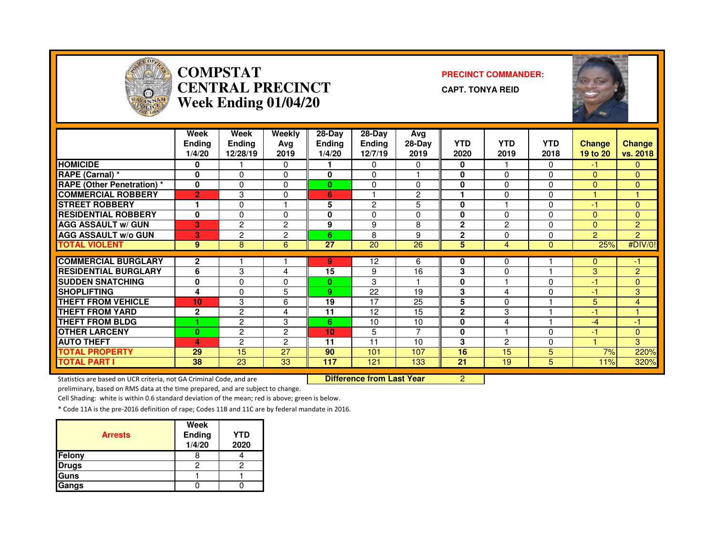

#### **COMPSTAT PRECINCT COMMANDER: CENTRAL PRECINCTWeek Ending 01/04/20**

**CAPT. TONYA REID**



|                                   | Week<br><b>Ending</b><br>1/4/20 | Week<br>Ending<br>12/28/19 | Weekly<br>Avg<br>2019 | $28-Dav$<br><b>Ending</b><br>1/4/20 | $28-Dav$<br>Ending<br>12/7/19 | Avg<br>$28-Day$<br>2019 | <b>YTD</b><br>2020 | <b>YTD</b><br>2019 | <b>YTD</b><br>2018 | <b>Change</b><br>19 to 20 | <b>Change</b><br>vs. 2018 |
|-----------------------------------|---------------------------------|----------------------------|-----------------------|-------------------------------------|-------------------------------|-------------------------|--------------------|--------------------|--------------------|---------------------------|---------------------------|
| <b>HOMICIDE</b>                   | 0                               |                            | 0                     |                                     | 0                             | 0                       | 0                  |                    | $\Omega$           | -1                        | $\mathbf{0}$              |
| RAPE (Carnal) *                   | 0                               | 0                          | 0                     | $\bf{0}$                            | $\Omega$                      |                         | 0                  | $\Omega$           | $\Omega$           | $\mathbf{0}$              | $\Omega$                  |
| <b>RAPE (Other Penetration) *</b> | 0                               | $\Omega$                   | $\Omega$              | $\bf{0}$                            | 0                             | $\Omega$                | $\bf{0}$           | $\Omega$           | $\Omega$           | $\Omega$                  | $\overline{0}$            |
| <b>COMMERCIAL ROBBERY</b>         | $\overline{2}$                  | 3                          | $\mathbf 0$           | 6                                   |                               | $\overline{c}$          | ٠                  | $\Omega$           | $\Omega$           |                           |                           |
| <b>STREET ROBBERY</b>             | 1                               | 0                          | H                     | 5                                   | $\overline{2}$                | 5                       | 0                  |                    | $\Omega$           | -1                        | $\Omega$                  |
| <b>RESIDENTIAL ROBBERY</b>        | $\mathbf{0}$                    | $\Omega$                   | $\Omega$              | 0                                   | $\Omega$                      | $\Omega$                | 0                  | $\Omega$           | $\Omega$           | $\Omega$                  | $\Omega$                  |
| <b>AGG ASSAULT w/ GUN</b>         | 3                               | $\overline{2}$             | $\overline{2}$        | 9                                   | 9                             | 8                       | $\mathbf{2}$       | 2                  | $\Omega$           | $\Omega$                  | 2                         |
| <b>AGG ASSAULT w/o GUN</b>        | 3                               | $\overline{2}$             | $\overline{2}$        | 6                                   | 8                             | 9                       | $\mathbf{2}$       | 0                  | $\Omega$           | $\mathbf{P}$              | $\overline{2}$            |
| <b>TOTAL VIOLENT</b>              | 9                               | 8                          | 6                     | 27                                  | 20                            | 26                      | 5                  | 4                  | $\Omega$           | 25%                       | #DIV/0!                   |
|                                   |                                 |                            |                       |                                     |                               |                         |                    |                    |                    |                           |                           |
| <b>COMMERCIAL BURGLARY</b>        | $\mathbf{2}$                    |                            |                       | 9                                   | 12                            | 6                       | 0                  | 0                  |                    | $\mathbf{0}$              | -1                        |
| <b>RESIDENTIAL BURGLARY</b>       | 6                               | 3                          | 4                     | 15                                  | 9                             | 16                      | 3                  | $\Omega$           |                    | 3                         | $\overline{2}$            |
| <b>ISUDDEN SNATCHING</b>          | 0                               | 0                          | 0                     | $\bf{0}$                            | 3                             |                         | 0                  |                    | $\Omega$           | -1                        | $\Omega$                  |
| <b>SHOPLIFTING</b>                | 4                               | 0                          | 5                     | 9                                   | 22                            | 19                      | 3                  | 4                  | $\Omega$           | -1                        | 3                         |
| <b>THEFT FROM VEHICLE</b>         | 10                              | 3                          | 6                     | 19                                  | 17                            | 25                      | 5                  | 0                  |                    | 5                         | 4                         |
| <b>THEFT FROM YARD</b>            | $\mathbf{2}$                    | 2                          | 4                     | 11                                  | 12                            | 15                      | $\overline{2}$     | 3                  |                    | -1                        |                           |
| <b>THEFT FROM BLDG</b>            |                                 | $\overline{c}$             | 3                     | 6                                   | 10                            | 10                      | 0                  | 4                  |                    | -4                        | -1                        |
| <b>OTHER LARCENY</b>              | $\bf{0}$                        | $\overline{c}$             | $\overline{2}$        | 10                                  | 5                             | ⇁                       | $\mathbf{0}$       |                    | $\Omega$           | $-1$                      | $\overline{0}$            |
| <b>AUTO THEFT</b>                 | 4                               | $\overline{c}$             | $\overline{2}$        | 11                                  | 11                            | 10                      | 3                  | $\mathfrak{p}$     | $\Omega$           |                           | 3                         |
| <b>TOTAL PROPERTY</b>             | 29                              | 15                         | 27                    | 90                                  | 101                           | 107                     | 16                 | 15                 | 5                  | 7%                        | 220%                      |
| <b>TOTAL PART I</b>               | 38                              | 23                         | 33                    | 117                                 | 121                           | 133                     | 21                 | 19                 | 5                  | 11%                       | 320%                      |

Statistics are based on UCR criteria, not GA Criminal Code, and are **Difference from Last Year** 

<sup>2</sup>

preliminary, based on RMS data at the time prepared, and are subject to change.

Cell Shading: white is within 0.6 standard deviation of the mean; red is above; green is below.

| <b>Arrests</b> | Week<br>Ending<br>1/4/20 | <b>YTD</b><br>2020 |
|----------------|--------------------------|--------------------|
| Felony         |                          |                    |
| <b>Drugs</b>   |                          |                    |
| Guns           |                          |                    |
| Gangs          |                          |                    |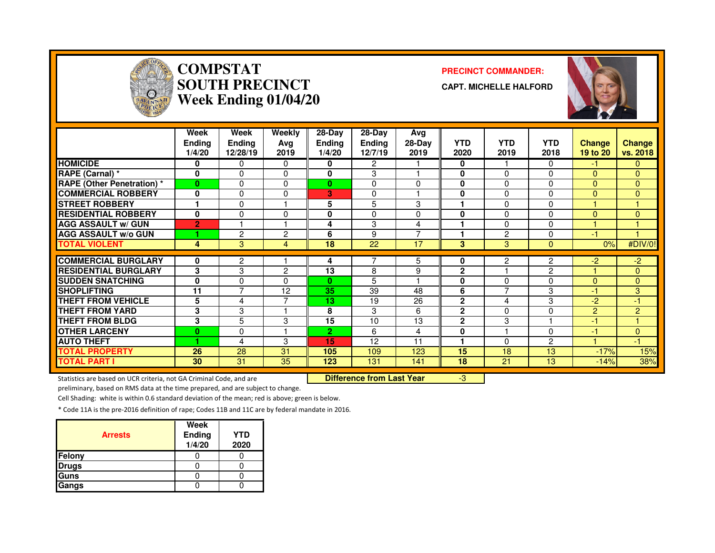

# **COMPSTAT PRECINCT COMMANDER: SOUTH PRECINCTWeek Ending 01/04/20**

**CAPT. MICHELLE HALFORD**



|                                   | Week<br><b>Ending</b><br>1/4/20 | Week<br>Ending<br>12/28/19 | Weekly<br>Ava<br>2019 | 28-Day<br><b>Endina</b><br>1/4/20 | 28-Day<br><b>Ending</b><br>12/7/19 | Avg<br>$28-Dav$<br>2019 | <b>YTD</b><br>2020 | <b>YTD</b><br>2019 | <b>YTD</b><br>2018 | <b>Change</b><br>19 to 20 | Change<br>vs. 2018 |
|-----------------------------------|---------------------------------|----------------------------|-----------------------|-----------------------------------|------------------------------------|-------------------------|--------------------|--------------------|--------------------|---------------------------|--------------------|
| <b>HOMICIDE</b>                   | 0                               | 0                          | $\Omega$              | 0                                 | $\overline{2}$                     |                         | 0                  |                    | 0                  | -1                        | $\mathbf{0}$       |
| RAPE (Carnal) *                   | $\mathbf{0}$                    | $\Omega$                   | $\Omega$              | 0                                 | 3                                  |                         | $\bf{0}$           | $\Omega$           | 0                  | $\Omega$                  | $\Omega$           |
| <b>RAPE (Other Penetration) *</b> | $\bf{0}$                        | $\Omega$                   | $\Omega$              | $\bf{0}$                          | 0                                  | 0                       | $\bf{0}$           | 0                  | 0                  | $\Omega$                  | $\Omega$           |
| <b>COMMERCIAL ROBBERY</b>         | $\mathbf{0}$                    | $\mathbf 0$                | $\Omega$              | 3                                 | $\mathbf 0$                        |                         | 0                  | $\Omega$           | $\Omega$           | $\Omega$                  | $\Omega$           |
| <b>STREET ROBBERY</b>             |                                 | $\Omega$                   |                       | 5                                 | 5                                  | 3                       |                    | 0                  | $\Omega$           |                           |                    |
| <b>RESIDENTIAL ROBBERY</b>        | 0                               | $\Omega$                   | 0                     | 0                                 | 0                                  | 0                       | 0                  | $\Omega$           | $\Omega$           | $\Omega$                  | $\Omega$           |
| <b>AGG ASSAULT w/ GUN</b>         | $\overline{2}$                  |                            |                       | 4                                 | 3                                  | 4                       |                    | $\Omega$           | $\Omega$           |                           |                    |
| <b>AGG ASSAULT w/o GUN</b>        |                                 | 2                          | 2                     | 6                                 | 9                                  | ⇁                       |                    | 2                  | $\Omega$           | -1                        |                    |
| <b>TOTAL VIOLENT</b>              | 4                               | 3                          | 4                     | 18                                | 22                                 | 17                      | 3                  | 3                  | $\Omega$           | 0%                        | #DIV/0!            |
|                                   |                                 |                            |                       |                                   |                                    |                         |                    |                    |                    |                           |                    |
| <b>COMMERCIAL BURGLARY</b>        | 0                               | 2                          |                       | 4                                 |                                    | 5                       | 0                  | 2                  | $\mathbf{2}$       | -2                        | $-2$               |
| <b>RESIDENTIAL BURGLARY</b>       | 3                               | 3                          | 2                     | 13                                | 8                                  | 9                       | $\mathbf{2}$       |                    | $\overline{2}$     |                           | $\Omega$           |
| <b>SUDDEN SNATCHING</b>           | $\mathbf{0}$                    | $\Omega$                   | 0                     | $\mathbf{0}$                      | 5                                  |                         | 0                  | 0                  | 0                  | $\Omega$                  | $\Omega$           |
| <b>SHOPLIFTING</b>                | 11                              | 7                          | 12                    | 35                                | 39                                 | 48                      | 6                  | $\overline{7}$     | 3                  | -1                        | 3                  |
| <b>THEFT FROM VEHICLE</b>         | 5                               | 4                          | ⇁                     | 13                                | 19                                 | 26                      | $\mathbf{2}$       | 4                  | 3                  | $-2$                      | 47                 |
| <b>THEFT FROM YARD</b>            | 3                               | 3                          |                       | 8                                 | 3                                  | 6                       | $\mathbf{2}$       | $\Omega$           | $\Omega$           | $\overline{2}$            | $\overline{2}$     |
| <b>THEFT FROM BLDG</b>            | 3                               | 5                          | 3                     | 15                                | 10                                 | 13                      | $\mathbf{2}$       | 3                  |                    | -1                        | -1                 |
| <b>OTHER LARCENY</b>              | $\bf{0}$                        | 0                          |                       | $\overline{2}$                    | 6                                  | 4                       | 0                  |                    | $\Omega$           | -1                        | $\Omega$           |
| <b>AUTO THEFT</b>                 |                                 | 4                          | 3                     | 15                                | 12                                 | 11                      |                    | $\Omega$           | $\overline{c}$     |                           | $-1$               |
| <b>TOTAL PROPERTY</b>             | 26                              | 28                         | 31                    | 105                               | 109                                | 123                     | 15                 | 18                 | 13                 | $-17%$                    | 15%                |
| <b>TOTAL PART I</b>               | 30                              | 31                         | 35                    | 123                               | 131                                | 141                     | 18                 | 21                 | 13                 | $-14%$                    | 38%                |

Statistics are based on UCR criteria, not GA Criminal Code, and are **Difference from Last Year** 

-3

preliminary, based on RMS data at the time prepared, and are subject to change.

Cell Shading: white is within 0.6 standard deviation of the mean; red is above; green is below.

| <b>Arrests</b> | Week<br>Ending<br>1/4/20 | YTD<br>2020 |
|----------------|--------------------------|-------------|
| Felony         |                          |             |
| <b>Drugs</b>   |                          |             |
| Guns           |                          |             |
| Gangs          |                          |             |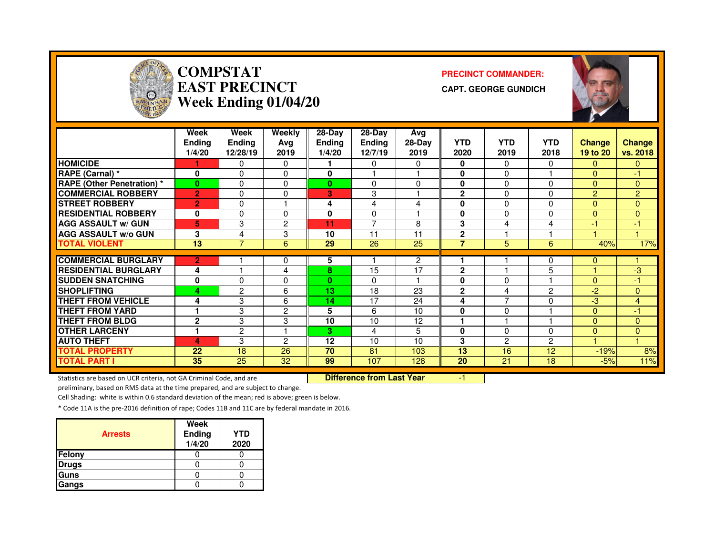

# **COMPSTAT PRECINCT COMMANDER: EAST PRECINCTWeek Ending 01/04/20**

**CAPT. GEORGE GUNDICH**



|                                   | <b>Week</b><br><b>Ending</b><br>1/4/20 | <b>Week</b><br><b>Ending</b><br>12/28/19 | <b>Weekly</b><br>Ava<br>2019 | 28-Day<br><b>Ending</b><br>1/4/20 | 28-Day<br><b>Ending</b><br>12/7/19 | Avg<br>28-Day<br>2019 | <b>YTD</b><br>2020 | <b>YTD</b><br>2019 | <b>YTD</b><br>2018 | <b>Change</b><br>19 to 20 | <b>Change</b><br>vs. 2018 |
|-----------------------------------|----------------------------------------|------------------------------------------|------------------------------|-----------------------------------|------------------------------------|-----------------------|--------------------|--------------------|--------------------|---------------------------|---------------------------|
| <b>HOMICIDE</b>                   |                                        | 0                                        | 0                            |                                   | $\Omega$                           | 0                     | 0                  | $\Omega$           | $\Omega$           | $\mathbf{0}$              | 0                         |
| RAPE (Carnal) *                   | $\bf{0}$                               | $\Omega$                                 | 0                            | $\bf{0}$                          |                                    |                       | 0                  | $\Omega$           |                    | $\Omega$                  | $-1$                      |
| <b>RAPE (Other Penetration) *</b> | $\bf{0}$                               | 0                                        | 0                            | $\bf{0}$                          | $\Omega$                           | 0                     | 0                  | $\Omega$           | $\mathbf{0}$       | $\Omega$                  | 0                         |
| <b>COMMERCIAL ROBBERY</b>         | $\overline{2}$                         | 0                                        | 0                            | 3                                 | 3                                  |                       | $\mathbf{2}$       | $\Omega$           | $\Omega$           | 2                         | $\overline{2}$            |
| <b>STREET ROBBERY</b>             | $\overline{2}$                         | $\Omega$                                 |                              | 4                                 | 4                                  | 4                     | 0                  | $\Omega$           | 0                  | $\overline{0}$            | 0                         |
| <b>RESIDENTIAL ROBBERY</b>        | $\bf{0}$                               | 0                                        | 0                            | 0                                 | $\Omega$                           |                       | 0                  | $\Omega$           | $\Omega$           | $\Omega$                  | 0                         |
| <b>AGG ASSAULT w/ GUN</b>         | 5                                      | 3                                        | 2                            | 11                                | $\overline{ }$                     | 8                     | 3                  | 4                  | 4                  | -1                        | -1                        |
| <b>AGG ASSAULT w/o GUN</b>        | 3                                      | 4                                        | 3                            | 10                                | 11                                 | 11                    | $\mathbf{2}$       |                    |                    |                           |                           |
| <b>TOTAL VIOLENT</b>              | 13                                     | $\overline{7}$                           | 6                            | 29                                | 26                                 | 25                    | 7                  | 5                  | 6                  | 40%                       | 17%                       |
|                                   |                                        |                                          |                              |                                   |                                    |                       |                    |                    |                    |                           |                           |
| <b>COMMERCIAL BURGLARY</b>        | 2                                      |                                          | 0                            | 5                                 |                                    | $\overline{c}$        |                    |                    | 0                  | $\Omega$                  |                           |
| <b>RESIDENTIAL BURGLARY</b>       | 4                                      |                                          | 4                            | 8                                 | 15                                 | 17                    | $\mathbf{2}$       |                    | 5                  |                           | $-3$                      |
| <b>ISUDDEN SNATCHING</b>          | 0                                      | $\Omega$                                 | 0                            | $\bf{0}$                          | $\Omega$                           |                       | 0                  | $\Omega$           |                    | $\Omega$                  | -1                        |
| <b>SHOPLIFTING</b>                | 4                                      | 2                                        | 6                            | 13                                | 18                                 | 23                    | $\mathbf{2}$       | 4                  | $\overline{c}$     | $-2$                      | 0                         |
| <b>THEFT FROM VEHICLE</b>         | 4                                      | 3                                        | 6                            | 14                                | 17                                 | 24                    | 4                  | ⇁                  | $\Omega$           | -3                        | 4                         |
| <b>THEFT FROM YARD</b>            |                                        | 3                                        | $\overline{2}$               | 5                                 | 6                                  | 10                    | 0                  | $\Omega$           |                    | $\Omega$                  | $-1$                      |
| <b>THEFT FROM BLDG</b>            | $\mathbf{2}$                           | 3                                        | 3                            | 10                                | 10                                 | 12                    |                    |                    |                    | $\Omega$                  | $\overline{0}$            |
| <b>OTHER LARCENY</b>              |                                        | $\overline{2}$                           | ٠                            | 3.                                | 4                                  | 5                     | 0                  | $\Omega$           | 0                  | $\Omega$                  | 0                         |
| <b>AUTO THEFT</b>                 | 4                                      | 3                                        | 2                            | 12                                | 10                                 | 10                    | 3                  | 2                  | $\overline{2}$     |                           |                           |
| <b>TOTAL PROPERTY</b>             | 22                                     | 18                                       | 26                           | 70                                | 81                                 | 103                   | 13                 | 16                 | 12                 | $-19%$                    | 8%                        |
| <b>TOTAL PART I</b>               | 35                                     | 25                                       | 32                           | 99                                | 107                                | 128                   | 20                 | 21                 | 18                 | $-5%$                     | 11%                       |

Statistics are based on UCR criteria, not GA Criminal Code, and are **Difference from Last Year** 

-1

preliminary, based on RMS data at the time prepared, and are subject to change.

Cell Shading: white is within 0.6 standard deviation of the mean; red is above; green is below.

| <b>Arrests</b> | Week<br><b>Ending</b><br>1/4/20 | <b>YTD</b><br>2020 |
|----------------|---------------------------------|--------------------|
| <b>Felony</b>  |                                 |                    |
| <b>Drugs</b>   |                                 |                    |
| <b>Guns</b>    |                                 |                    |
| Gangs          |                                 |                    |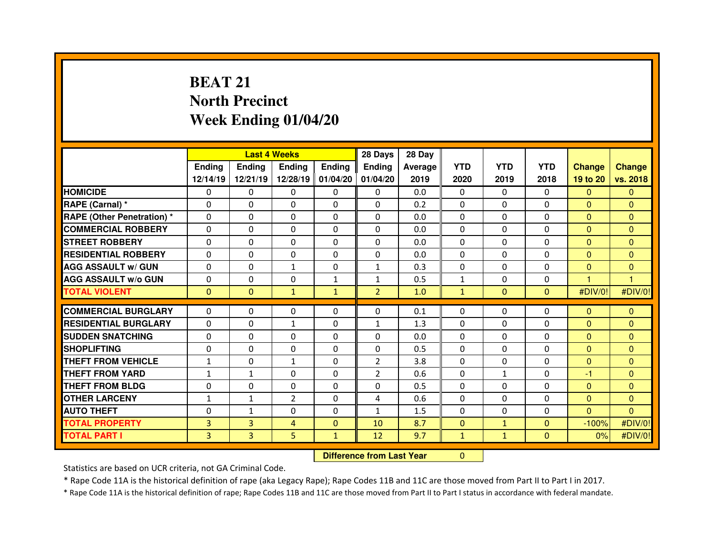# **BEAT 21 North PrecinctWeek Ending 01/04/20**

|                                   |               |                                  | <b>Last 4 Weeks</b> |                   | 28 Days        | 28 Day  |              |              |                |                |                |
|-----------------------------------|---------------|----------------------------------|---------------------|-------------------|----------------|---------|--------------|--------------|----------------|----------------|----------------|
|                                   | <b>Ending</b> | <b>Ending</b>                    | Ending              | <b>Ending</b>     | Ending         | Average | <b>YTD</b>   | <b>YTD</b>   | <b>YTD</b>     | <b>Change</b>  | <b>Change</b>  |
|                                   | 12/14/19      | 12/21/19                         |                     | 12/28/19 01/04/20 | 01/04/20       | 2019    | 2020         | 2019         | 2018           | 19 to 20       | vs. 2018       |
| <b>HOMICIDE</b>                   | $\Omega$      | 0                                | 0                   | $\Omega$          | 0              | 0.0     | $\Omega$     | $\mathbf{0}$ | $\Omega$       | $\mathbf{0}$   | $\Omega$       |
| RAPE (Carnal) *                   | 0             | 0                                | 0                   | $\Omega$          | $\Omega$       | 0.2     | $\Omega$     | $\mathbf{0}$ | $\Omega$       | $\overline{0}$ | $\Omega$       |
| <b>RAPE (Other Penetration) *</b> | 0             | 0                                | 0                   | 0                 | 0              | 0.0     | $\Omega$     | $\mathbf 0$  | $\Omega$       | $\overline{0}$ | $\Omega$       |
| <b>COMMERCIAL ROBBERY</b>         | $\Omega$      | 0                                | $\Omega$            | $\Omega$          | $\Omega$       | 0.0     | $\Omega$     | $\mathbf{0}$ | $\Omega$       | $\overline{0}$ | $\Omega$       |
| <b>STREET ROBBERY</b>             | $\Omega$      | 0                                | 0                   | $\Omega$          | 0              | 0.0     | $\Omega$     | $\Omega$     | $\Omega$       | $\overline{0}$ | $\Omega$       |
| <b>RESIDENTIAL ROBBERY</b>        | $\Omega$      | $\Omega$                         | $\mathbf{0}$        | $\Omega$          | $\Omega$       | 0.0     | $\Omega$     | $\mathbf{0}$ | $\Omega$       | $\Omega$       | $\Omega$       |
| <b>AGG ASSAULT w/ GUN</b>         | $\Omega$      | $\Omega$                         | $\mathbf{1}$        | $\Omega$          | $\mathbf{1}$   | 0.3     | $\mathbf 0$  | $\mathbf{0}$ | $\Omega$       | $\overline{0}$ | $\mathbf{0}$   |
| <b>AGG ASSAULT w/o GUN</b>        | 0             | 0                                | 0                   | $\mathbf{1}$      | 1              | 0.5     | $\mathbf 1$  | $\mathbf{0}$ | 0              | 1              | $\overline{1}$ |
| <b>TOTAL VIOLENT</b>              | $\mathbf{0}$  | $\mathbf{0}$                     | $\mathbf{1}$        | $\mathbf{1}$      | $\overline{2}$ | 1.0     | $\mathbf{1}$ | $\mathbf{0}$ | $\overline{0}$ | #DIV/0!        | #DIV/0!        |
| <b>COMMERCIAL BURGLARY</b>        | $\Omega$      | $\Omega$                         | $\Omega$            | $\Omega$          | $\Omega$       | 0.1     | 0            | $\Omega$     | $\Omega$       | $\mathbf{0}$   | $\mathbf{0}$   |
| <b>RESIDENTIAL BURGLARY</b>       | $\Omega$      | 0                                | $\mathbf{1}$        | $\Omega$          | $\mathbf{1}$   | 1.3     | 0            | $\mathbf{0}$ | $\Omega$       | $\overline{0}$ | $\mathbf{0}$   |
| <b>SUDDEN SNATCHING</b>           | 0             | 0                                | 0                   | $\Omega$          | 0              | 0.0     | $\Omega$     | $\Omega$     | $\Omega$       | $\overline{0}$ | $\Omega$       |
| <b>SHOPLIFTING</b>                | 0             | 0                                | 0                   | 0                 | $\Omega$       | 0.5     | $\Omega$     | $\mathbf{0}$ | $\Omega$       | $\overline{0}$ | $\mathbf{0}$   |
| <b>THEFT FROM VEHICLE</b>         | $\mathbf{1}$  | 0                                | $\mathbf{1}$        | 0                 | $\overline{2}$ | 3.8     | 0            | 0            | 0              | $\overline{0}$ | $\mathbf{0}$   |
| <b>THEFT FROM YARD</b>            | $\mathbf{1}$  | $\mathbf{1}$                     | $\Omega$            | $\Omega$          | $\overline{2}$ | 0.6     | 0            | $\mathbf{1}$ | $\Omega$       | $-1$           | $\Omega$       |
| <b>THEFT FROM BLDG</b>            | 0             | 0                                | 0                   | 0                 | 0              | 0.5     | 0            | $\mathbf{0}$ | 0              | $\overline{0}$ | $\Omega$       |
| <b>OTHER LARCENY</b>              | $\mathbf{1}$  | $\mathbf{1}$                     | $\overline{2}$      | $\Omega$          | 4              | 0.6     | $\Omega$     | $\Omega$     | $\Omega$       | $\overline{0}$ | $\Omega$       |
| <b>AUTO THEFT</b>                 | $\Omega$      | $\mathbf{1}$                     | 0                   | $\Omega$          | $\mathbf{1}$   | 1.5     | $\Omega$     | $\Omega$     | $\Omega$       | $\Omega$       | $\Omega$       |
| <b>TOTAL PROPERTY</b>             | 3             | $\overline{3}$                   | $\overline{4}$      | $\mathbf{0}$      | 10             | 8.7     | $\mathbf{0}$ | $\mathbf{1}$ | $\Omega$       | $-100%$        | #DIV/0!        |
| <b>TOTAL PART I</b>               | 3             | 3                                | 5                   | $\mathbf{1}$      | 12             | 9.7     | $\mathbf{1}$ | $\mathbf{1}$ | $\mathbf{0}$   | 0%             | #DIV/0!        |
|                                   |               | <b>Difference from Last Year</b> |                     | $\Omega$          |                |         |              |              |                |                |                |

Statistics are based on UCR criteria, not GA Criminal Code.

\* Rape Code 11A is the historical definition of rape (aka Legacy Rape); Rape Codes 11B and 11C are those moved from Part II to Part I in 2017.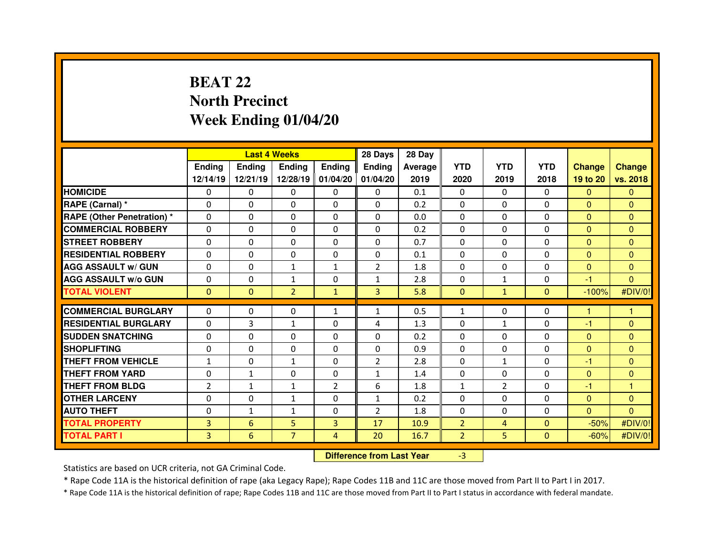### **BEAT 22 North PrecinctWeek Ending 01/04/20**

|                                  |                |                                  | <b>Last 4 Weeks</b> |                   | 28 Days        | 28 Day  |                |                |                |                |                |
|----------------------------------|----------------|----------------------------------|---------------------|-------------------|----------------|---------|----------------|----------------|----------------|----------------|----------------|
|                                  | <b>Ending</b>  | <b>Ending</b>                    | Ending              | <b>Ending</b>     | Ending         | Average | <b>YTD</b>     | <b>YTD</b>     | <b>YTD</b>     | <b>Change</b>  | <b>Change</b>  |
|                                  | 12/14/19       | 12/21/19                         |                     | 12/28/19 01/04/20 | 01/04/20       | 2019    | 2020           | 2019           | 2018           | 19 to 20       | vs. 2018       |
| <b>HOMICIDE</b>                  | 0              | 0                                | 0                   | $\mathbf 0$       | 0              | 0.1     | 0              | $\Omega$       | $\Omega$       | $\mathbf{0}$   | $\mathbf{0}$   |
| RAPE (Carnal) *                  | 0              | 0                                | 0                   | 0                 | 0              | 0.2     | 0              | $\mathbf 0$    | 0              | $\overline{0}$ | $\mathbf{0}$   |
| <b>RAPE (Other Penetration)*</b> | 0              | 0                                | 0                   | $\Omega$          | $\Omega$       | 0.0     | $\Omega$       | $\Omega$       | $\Omega$       | $\overline{0}$ | $\Omega$       |
| <b>COMMERCIAL ROBBERY</b>        | 0              | 0                                | 0                   | 0                 | $\Omega$       | 0.2     | 0              | $\Omega$       | $\Omega$       | $\overline{0}$ | $\mathbf{0}$   |
| <b>STREET ROBBERY</b>            | $\Omega$       | 0                                | $\Omega$            | $\Omega$          | 0              | 0.7     | $\Omega$       | $\Omega$       | $\Omega$       | $\Omega$       | $\Omega$       |
| <b>RESIDENTIAL ROBBERY</b>       | 0              | 0                                | 0                   | 0                 | 0              | 0.1     | 0              | $\Omega$       | $\Omega$       | $\overline{0}$ | $\mathbf{0}$   |
| <b>AGG ASSAULT w/ GUN</b>        | 0              | 0                                | $\mathbf{1}$        | $\mathbf{1}$      | $\overline{2}$ | 1.8     | 0              | $\mathbf{0}$   | $\Omega$       | $\mathbf{0}$   | $\Omega$       |
| <b>AGG ASSAULT w/o GUN</b>       | 0              | 0                                | $\mathbf{1}$        | 0                 | $\mathbf{1}$   | 2.8     | 0              | $\mathbf{1}$   | $\Omega$       | $-1$           | $\overline{0}$ |
| <b>TOTAL VIOLENT</b>             | $\Omega$       | $\Omega$                         | $\overline{2}$      | $\mathbf{1}$      | 3              | 5.8     | $\mathbf{0}$   | $\mathbf{1}$   | $\Omega$       | $-100%$        | #DIV/0!        |
| <b>COMMERCIAL BURGLARY</b>       | $\Omega$       | 0                                | 0                   | 1                 | $\mathbf{1}$   | 0.5     | $\mathbf{1}$   | $\Omega$       | $\Omega$       | 1              | 1              |
| <b>RESIDENTIAL BURGLARY</b>      | $\Omega$       | 3                                | $\mathbf{1}$        | $\Omega$          | 4              | 1.3     | $\Omega$       | $\mathbf{1}$   | $\Omega$       | $-1$           | $\Omega$       |
| <b>SUDDEN SNATCHING</b>          | $\Omega$       | 0                                | $\Omega$            | $\Omega$          | $\Omega$       | 0.2     | $\Omega$       | $\Omega$       | $\Omega$       | $\overline{0}$ | $\Omega$       |
| <b>SHOPLIFTING</b>               | 0              | 0                                | 0                   | $\mathbf{0}$      | 0              | 0.9     | $\Omega$       | 0              | $\Omega$       | $\mathbf{0}$   | $\Omega$       |
| <b>THEFT FROM VEHICLE</b>        | $\mathbf{1}$   | 0                                | $\mathbf{1}$        | $\Omega$          | $\overline{2}$ | 2.8     | $\Omega$       | $\mathbf{1}$   | $\Omega$       | -1             | $\Omega$       |
| <b>THEFT FROM YARD</b>           | 0              | $\mathbf{1}$                     | $\Omega$            | $\Omega$          | $\mathbf{1}$   | 1.4     | 0              | $\Omega$       | $\Omega$       | $\mathbf{0}$   | $\mathbf{0}$   |
| <b>THEFT FROM BLDG</b>           | $\overline{2}$ | $\mathbf{1}$                     | $\mathbf{1}$        | $\overline{2}$    | 6              | 1.8     | $\mathbf{1}$   | $\overline{2}$ | $\Omega$       | -1             | 1              |
| <b>OTHER LARCENY</b>             | 0              | 0                                | $\mathbf{1}$        | 0                 | $\mathbf{1}$   | 0.2     | $\Omega$       | $\mathbf{0}$   | $\Omega$       | $\overline{0}$ | $\mathbf{0}$   |
| <b>AUTO THEFT</b>                | 0              | $\mathbf{1}$                     | $\mathbf{1}$        | $\Omega$          | $\overline{2}$ | 1.8     | $\Omega$       | $\mathbf{0}$   | $\Omega$       | $\overline{0}$ | $\Omega$       |
| <b>TOTAL PROPERTY</b>            | 3              | 6                                | 5                   | $\overline{3}$    | 17             | 10.9    | $\overline{2}$ | 4              | $\Omega$       | $-50%$         | #DIV/0!        |
| <b>TOTAL PART I</b>              | 3              | $6\phantom{1}$                   | $\overline{7}$      | $\overline{4}$    | 20             | 16.7    | $\overline{2}$ | 5              | $\overline{0}$ | $-60%$         | #DIV/0!        |
|                                  |                | <b>Difference from Last Year</b> |                     | $-3$              |                |         |                |                |                |                |                |

 **Difference from Last Year**

Statistics are based on UCR criteria, not GA Criminal Code.

\* Rape Code 11A is the historical definition of rape (aka Legacy Rape); Rape Codes 11B and 11C are those moved from Part II to Part I in 2017.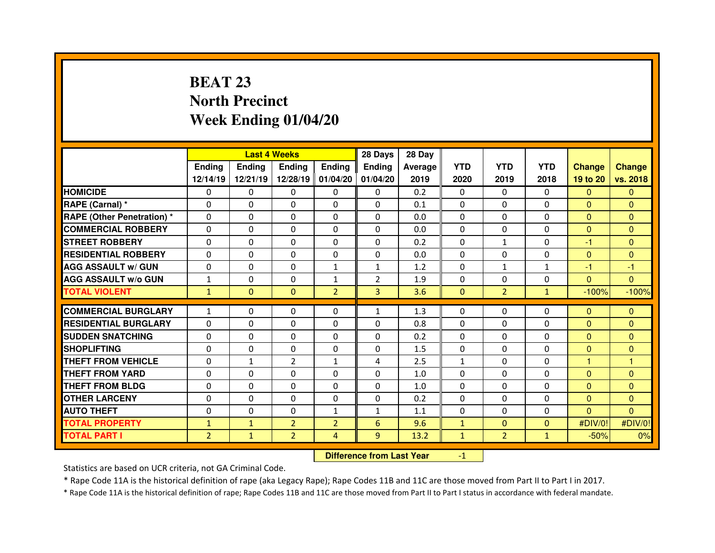# **BEAT 23 North PrecinctWeek Ending 01/04/20**

|                                   |                |                                  | <b>Last 4 Weeks</b> |                   | 28 Days        | 28 Day  |              |                |              |                |               |
|-----------------------------------|----------------|----------------------------------|---------------------|-------------------|----------------|---------|--------------|----------------|--------------|----------------|---------------|
|                                   | <b>Ending</b>  | <b>Ending</b>                    | Ending              | <b>Ending</b>     | <b>Ending</b>  | Average | <b>YTD</b>   | <b>YTD</b>     | <b>YTD</b>   | <b>Change</b>  | <b>Change</b> |
|                                   | 12/14/19       | 12/21/19                         |                     | 12/28/19 01/04/20 | 01/04/20       | 2019    | 2020         | 2019           | 2018         | 19 to 20       | vs. 2018      |
| <b>HOMICIDE</b>                   | $\Omega$       | 0                                | 0                   | $\Omega$          | 0              | 0.2     | $\Omega$     | $\mathbf{0}$   | $\Omega$     | $\mathbf{0}$   | $\Omega$      |
| RAPE (Carnal) *                   | 0              | 0                                | 0                   | $\Omega$          | $\Omega$       | 0.1     | $\Omega$     | $\mathbf{0}$   | $\Omega$     | $\overline{0}$ | $\Omega$      |
| <b>RAPE (Other Penetration) *</b> | 0              | 0                                | 0                   | 0                 | 0              | 0.0     | $\Omega$     | $\mathbf 0$    | $\Omega$     | $\overline{0}$ | $\Omega$      |
| <b>COMMERCIAL ROBBERY</b>         | $\Omega$       | 0                                | $\Omega$            | $\Omega$          | $\Omega$       | 0.0     | $\Omega$     | $\Omega$       | $\Omega$     | $\overline{0}$ | $\Omega$      |
| <b>STREET ROBBERY</b>             | $\Omega$       | 0                                | 0                   | $\Omega$          | 0              | 0.2     | $\Omega$     | $\mathbf{1}$   | $\Omega$     | $-1$           | $\Omega$      |
| <b>RESIDENTIAL ROBBERY</b>        | $\Omega$       | $\Omega$                         | $\mathbf{0}$        | $\Omega$          | $\Omega$       | 0.0     | $\Omega$     | $\mathbf{0}$   | $\Omega$     | $\mathbf{0}$   | $\Omega$      |
| <b>AGG ASSAULT w/ GUN</b>         | $\Omega$       | $\Omega$                         | $\mathbf{0}$        | $\mathbf{1}$      | $\mathbf{1}$   | 1.2     | $\Omega$     | $\mathbf{1}$   | $\mathbf{1}$ | $-1$           | $-1$          |
| <b>AGG ASSAULT w/o GUN</b>        | $\mathbf{1}$   | 0                                | 0                   | $\mathbf{1}$      | $\overline{2}$ | 1.9     | 0            | $\mathbf{0}$   | $\Omega$     | $\overline{0}$ | $\mathbf{0}$  |
| <b>TOTAL VIOLENT</b>              | $\mathbf{1}$   | $\mathbf{0}$                     | $\mathbf{0}$        | $\overline{2}$    | $\overline{3}$ | 3.6     | $\mathbf{0}$ | $\overline{2}$ | $\mathbf{1}$ | $-100%$        | $-100%$       |
| <b>COMMERCIAL BURGLARY</b>        | $\mathbf{1}$   | 0                                | $\mathbf{0}$        | $\Omega$          | $\mathbf{1}$   | 1.3     | 0            | $\Omega$       | $\Omega$     | $\mathbf{0}$   | $\mathbf{0}$  |
| <b>RESIDENTIAL BURGLARY</b>       | $\Omega$       | 0                                | 0                   | $\Omega$          | $\Omega$       | 0.8     | 0            | $\Omega$       | $\Omega$     | $\overline{0}$ | $\mathbf{0}$  |
| <b>SUDDEN SNATCHING</b>           | 0              | 0                                | 0                   | $\Omega$          | 0              | 0.2     | $\Omega$     | $\Omega$       | $\Omega$     | $\overline{0}$ | $\Omega$      |
| <b>SHOPLIFTING</b>                | 0              | 0                                | 0                   | 0                 | 0              | 1.5     | $\Omega$     | $\Omega$       | $\Omega$     | $\overline{0}$ | $\mathbf{0}$  |
| <b>THEFT FROM VEHICLE</b>         | 0              | $\mathbf{1}$                     | $\overline{2}$      | $\mathbf{1}$      | 4              | 2.5     | $\mathbf{1}$ | $\Omega$       | 0            | н              |               |
| <b>THEFT FROM YARD</b>            | 0              | 0                                | $\Omega$            | $\Omega$          | $\Omega$       | 1.0     | 0            | $\Omega$       | $\Omega$     | $\mathbf{0}$   | $\Omega$      |
| <b>THEFT FROM BLDG</b>            | 0              | 0                                | 0                   | 0                 | 0              | 1.0     | 0            | $\Omega$       | $\Omega$     | $\overline{0}$ | $\Omega$      |
| <b>OTHER LARCENY</b>              | 0              | 0                                | 0                   | 0                 | $\Omega$       | 0.2     | $\Omega$     | $\Omega$       | $\Omega$     | $\overline{0}$ | $\Omega$      |
| <b>AUTO THEFT</b>                 | $\Omega$       | 0                                | $\Omega$            | $\mathbf{1}$      | $\mathbf{1}$   | 1.1     | $\Omega$     | $\Omega$       | $\Omega$     | $\Omega$       | $\Omega$      |
| <b>TOTAL PROPERTY</b>             | $\mathbf{1}$   | $\mathbf{1}$                     | $\overline{2}$      | $\overline{2}$    | 6              | 9.6     | $\mathbf{1}$ | $\mathbf{0}$   | $\mathbf{0}$ | #DIV/0!        | #DIV/0!       |
| <b>TOTAL PART I</b>               | $\overline{2}$ | $\mathbf{1}$                     | $\overline{2}$      | $\overline{4}$    | 9              | 13.2    | $\mathbf{1}$ | 2 <sup>1</sup> | $\mathbf{1}$ | $-50%$         | 0%            |
|                                   |                | <b>Difference from Last Year</b> |                     | $-1$              |                |         |              |                |              |                |               |

Statistics are based on UCR criteria, not GA Criminal Code.

\* Rape Code 11A is the historical definition of rape (aka Legacy Rape); Rape Codes 11B and 11C are those moved from Part II to Part I in 2017.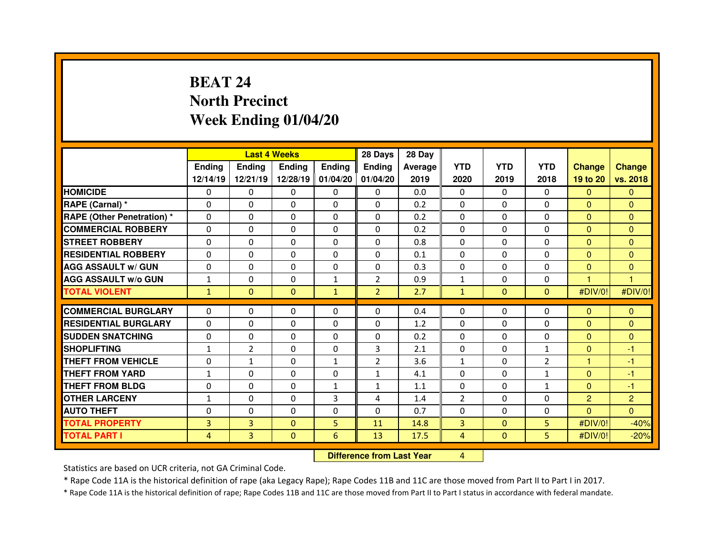# **BEAT 24 North PrecinctWeek Ending 01/04/20**

|                                  |               |                                  | <b>Last 4 Weeks</b> |                   | 28 Days        | 28 Day  |                |              |                |                |                |
|----------------------------------|---------------|----------------------------------|---------------------|-------------------|----------------|---------|----------------|--------------|----------------|----------------|----------------|
|                                  | <b>Ending</b> | <b>Ending</b>                    | <b>Ending</b>       | <b>Ending</b>     | <b>Ending</b>  | Average | <b>YTD</b>     | <b>YTD</b>   | <b>YTD</b>     | <b>Change</b>  | <b>Change</b>  |
|                                  | 12/14/19      | 12/21/19                         |                     | 12/28/19 01/04/20 | 01/04/20       | 2019    | 2020           | 2019         | 2018           | 19 to 20       | vs. 2018       |
| <b>HOMICIDE</b>                  | 0             | 0                                | 0                   | $\mathbf 0$       | 0              | 0.0     | $\Omega$       | $\Omega$     | $\Omega$       | $\mathbf{0}$   | $\mathbf{0}$   |
| RAPE (Carnal) *                  | 0             | 0                                | 0                   | 0                 | 0              | 0.2     | 0              | $\mathbf 0$  | 0              | $\overline{0}$ | $\overline{0}$ |
| <b>RAPE (Other Penetration)*</b> | 0             | 0                                | 0                   | $\Omega$          | $\Omega$       | 0.2     | $\Omega$       | $\Omega$     | $\Omega$       | $\overline{0}$ | $\Omega$       |
| <b>COMMERCIAL ROBBERY</b>        | 0             | 0                                | 0                   | 0                 | 0              | 0.2     | 0              | $\Omega$     | $\Omega$       | $\overline{0}$ | $\mathbf{0}$   |
| <b>STREET ROBBERY</b>            | $\Omega$      | 0                                | $\Omega$            | $\Omega$          | 0              | 0.8     | $\Omega$       | $\Omega$     | $\Omega$       | $\Omega$       | $\Omega$       |
| <b>RESIDENTIAL ROBBERY</b>       | 0             | 0                                | 0                   | $\mathbf 0$       | $\Omega$       | 0.1     | $\Omega$       | $\Omega$     | $\mathbf 0$    | $\overline{0}$ | $\mathbf{0}$   |
| <b>AGG ASSAULT w/ GUN</b>        | 0             | 0                                | $\mathbf{0}$        | $\Omega$          | 0              | 0.3     | $\Omega$       | $\mathbf{0}$ | $\Omega$       | $\mathbf{0}$   | $\Omega$       |
| <b>AGG ASSAULT w/o GUN</b>       | $\mathbf{1}$  | 0                                | $\mathbf 0$         | $\mathbf{1}$      | $\overline{2}$ | 0.9     | $\mathbf{1}$   | $\mathbf{0}$ | 0              | 1              | $\overline{1}$ |
| <b>TOTAL VIOLENT</b>             | $\mathbf{1}$  | $\mathbf{0}$                     | $\mathbf{0}$        | $\mathbf{1}$      | $\overline{2}$ | 2.7     | $\mathbf{1}$   | $\Omega$     | $\Omega$       | #DIV/0!        | #DIV/0!        |
| <b>COMMERCIAL BURGLARY</b>       | $\Omega$      | 0                                | $\mathbf{0}$        | $\Omega$          | $\Omega$       | 0.4     | 0              | $\Omega$     | $\Omega$       | $\mathbf{0}$   | $\Omega$       |
| <b>RESIDENTIAL BURGLARY</b>      | $\Omega$      | 0                                | $\mathbf{0}$        | $\Omega$          | $\Omega$       | 1.2     | $\Omega$       | $\Omega$     | $\Omega$       | $\mathbf{0}$   | $\Omega$       |
| <b>SUDDEN SNATCHING</b>          | $\Omega$      | 0                                | $\Omega$            | $\Omega$          | $\Omega$       | 0.2     | $\Omega$       | $\Omega$     | $\Omega$       | $\overline{0}$ | $\mathbf{0}$   |
| <b>SHOPLIFTING</b>               | $\mathbf{1}$  | $\overline{2}$                   | 0                   | $\mathbf{0}$      | 3              | 2.1     | 0              | 0            | $\mathbf{1}$   | $\mathbf{0}$   | -1             |
| <b>THEFT FROM VEHICLE</b>        | 0             | $\mathbf{1}$                     | $\Omega$            | $\mathbf{1}$      | $\overline{2}$ | 3.6     | $\mathbf{1}$   | $\Omega$     | $\overline{2}$ | 1              | $-1$           |
| <b>THEFT FROM YARD</b>           | $\mathbf{1}$  | $\Omega$                         | 0                   | $\Omega$          | $\mathbf{1}$   | 4.1     | 0              | 0            | $\mathbf{1}$   | $\mathbf{0}$   | $-1$           |
| <b>THEFT FROM BLDG</b>           | 0             | 0                                | 0                   | 1                 | $\mathbf{1}$   | 1.1     | 0              | $\Omega$     | $\mathbf{1}$   | $\overline{0}$ | $-1$           |
| <b>OTHER LARCENY</b>             | $\mathbf{1}$  | 0                                | 0                   | 3                 | 4              | 1.4     | $\overline{2}$ | $\mathbf{0}$ | $\Omega$       | $\overline{2}$ | $\overline{c}$ |
| <b>AUTO THEFT</b>                | 0             | 0                                | $\Omega$            | $\Omega$          | 0              | 0.7     | $\Omega$       | $\Omega$     | $\Omega$       | $\overline{0}$ | $\Omega$       |
| <b>TOTAL PROPERTY</b>            | 3             | $\overline{3}$                   | $\Omega$            | 5                 | 11             | 14.8    | $\overline{3}$ | $\mathbf{0}$ | 5.             | #DIV/0!        | $-40%$         |
| <b>TOTAL PART I</b>              | 4             | 3                                | $\mathbf{0}$        | $6\phantom{.}6$   | 13             | 17.5    | 4              | $\mathbf{0}$ | 5              | #DIV/0!        | $-20%$         |
|                                  |               | <b>Difference from Last Year</b> |                     | $\overline{4}$    |                |         |                |              |                |                |                |

 **Difference from Last Year**

Statistics are based on UCR criteria, not GA Criminal Code.

\* Rape Code 11A is the historical definition of rape (aka Legacy Rape); Rape Codes 11B and 11C are those moved from Part II to Part I in 2017.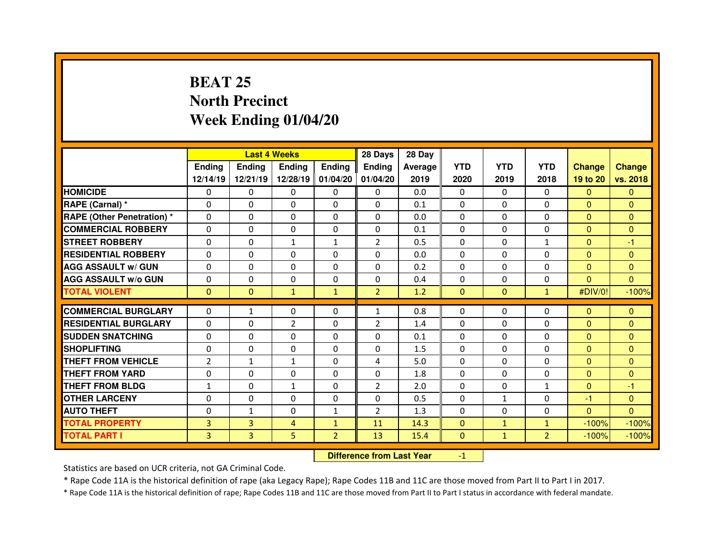# **BEAT 25 North PrecinctWeek Ending 01/04/20**

|                                   |                |                                  | <b>Last 4 Weeks</b> |                   | 28 Days        | 28 Day  |              |              |                |                |               |
|-----------------------------------|----------------|----------------------------------|---------------------|-------------------|----------------|---------|--------------|--------------|----------------|----------------|---------------|
|                                   | <b>Ending</b>  | <b>Ending</b>                    | <b>Ending</b>       | <b>Ending</b>     | <b>Ending</b>  | Average | <b>YTD</b>   | <b>YTD</b>   | <b>YTD</b>     | <b>Change</b>  | <b>Change</b> |
|                                   | 12/14/19       | 12/21/19                         |                     | 12/28/19 01/04/20 | 01/04/20       | 2019    | 2020         | 2019         | 2018           | 19 to 20       | vs. 2018      |
| <b>HOMICIDE</b>                   | $\Omega$       | 0                                | 0                   | $\Omega$          | 0              | 0.0     | $\Omega$     | $\mathbf{0}$ | $\Omega$       | $\mathbf{0}$   | $\Omega$      |
| RAPE (Carnal) *                   | 0              | 0                                | 0                   | $\Omega$          | $\Omega$       | 0.1     | $\Omega$     | $\mathbf{0}$ | $\Omega$       | $\mathbf{0}$   | $\Omega$      |
| <b>RAPE (Other Penetration) *</b> | 0              | 0                                | 0                   | 0                 | 0              | 0.0     | $\Omega$     | $\mathbf 0$  | $\Omega$       | $\overline{0}$ | $\Omega$      |
| <b>COMMERCIAL ROBBERY</b>         | $\Omega$       | 0                                | $\Omega$            | $\Omega$          | $\Omega$       | 0.1     | $\Omega$     | $\mathbf{0}$ | $\Omega$       | $\overline{0}$ | $\Omega$      |
| <b>STREET ROBBERY</b>             | 0              | 0                                | $\mathbf{1}$        | $\mathbf{1}$      | 2              | 0.5     | $\Omega$     | $\Omega$     | $\mathbf{1}$   | $\overline{0}$ | $-1$          |
| <b>RESIDENTIAL ROBBERY</b>        | $\Omega$       | $\Omega$                         | $\mathbf{0}$        | $\Omega$          | $\Omega$       | 0.0     | $\Omega$     | $\mathbf{0}$ | $\Omega$       | $\Omega$       | $\Omega$      |
| <b>AGG ASSAULT w/ GUN</b>         | $\Omega$       | $\Omega$                         | $\mathbf{0}$        | $\Omega$          | 0              | 0.2     | $\mathbf 0$  | $\mathbf{0}$ | $\Omega$       | $\overline{0}$ | $\Omega$      |
| <b>AGG ASSAULT w/o GUN</b>        | 0              | 0                                | 0                   | 0                 | 0              | 0.4     | 0            | $\Omega$     | 0              | $\overline{0}$ | $\mathbf{0}$  |
| <b>TOTAL VIOLENT</b>              | $\mathbf{0}$   | $\mathbf{0}$                     | $\mathbf{1}$        | $\mathbf{1}$      | $\overline{2}$ | 1.2     | $\mathbf{0}$ | $\mathbf{0}$ | $\mathbf{1}$   | #DIV/0!        | $-100%$       |
| <b>COMMERCIAL BURGLARY</b>        | $\Omega$       | $\mathbf{1}$                     | $\Omega$            | $\Omega$          | $\mathbf{1}$   | 0.8     | 0            | $\Omega$     | $\Omega$       | $\mathbf{0}$   | $\mathbf{0}$  |
| <b>RESIDENTIAL BURGLARY</b>       | $\Omega$       | 0                                | $\overline{2}$      | $\Omega$          | $\overline{2}$ | 1.4     | 0            | $\Omega$     | $\Omega$       | $\mathbf{0}$   | $\mathbf{0}$  |
| <b>SUDDEN SNATCHING</b>           | 0              | 0                                | 0                   | $\Omega$          | 0              | 0.1     | $\Omega$     | $\Omega$     | $\Omega$       | $\mathbf{0}$   | $\Omega$      |
| <b>SHOPLIFTING</b>                | 0              | 0                                | 0                   | 0                 | 0              | 1.5     | $\Omega$     | $\mathbf{0}$ | $\Omega$       | $\overline{0}$ | $\mathbf{0}$  |
| <b>THEFT FROM VEHICLE</b>         | $\overline{2}$ | $\mathbf{1}$                     | $\mathbf{1}$        | 0                 | 4              | 5.0     | 0            | $\mathbf{0}$ | 0              | $\overline{0}$ | $\mathbf{0}$  |
| <b>THEFT FROM YARD</b>            | 0              | 0                                | 0                   | $\Omega$          | $\Omega$       | 1.8     | 0            | $\mathbf{0}$ | $\Omega$       | $\mathbf{0}$   | $\Omega$      |
| <b>THEFT FROM BLDG</b>            | $\mathbf{1}$   | 0                                | $\mathbf{1}$        | 0                 | $\overline{2}$ | 2.0     | 0            | $\mathbf{0}$ | $\mathbf{1}$   | $\overline{0}$ | $-1$          |
| <b>OTHER LARCENY</b>              | 0              | 0                                | 0                   | 0                 | $\Omega$       | 0.5     | $\Omega$     | $\mathbf{1}$ | $\Omega$       | $-1$           | $\Omega$      |
| <b>AUTO THEFT</b>                 | $\Omega$       | $\mathbf{1}$                     | 0                   | $\mathbf{1}$      | $\overline{2}$ | 1.3     | $\Omega$     | $\Omega$     | $\Omega$       | $\mathbf{0}$   | $\Omega$      |
| <b>TOTAL PROPERTY</b>             | 3              | $\overline{3}$                   | 4                   | $\mathbf{1}$      | 11             | 14.3    | $\mathbf{0}$ | $\mathbf{1}$ | $\mathbf{1}$   | $-100%$        | $-100%$       |
| <b>TOTAL PART I</b>               | 3              | 3                                | 5                   | $\overline{2}$    | 13             | 15.4    | $\mathbf{0}$ | $\mathbf{1}$ | $\overline{2}$ | $-100%$        | $-100%$       |
|                                   |                | <b>Difference from Last Year</b> |                     | $-1$              |                |         |              |              |                |                |               |

Statistics are based on UCR criteria, not GA Criminal Code.

\* Rape Code 11A is the historical definition of rape (aka Legacy Rape); Rape Codes 11B and 11C are those moved from Part II to Part I in 2017.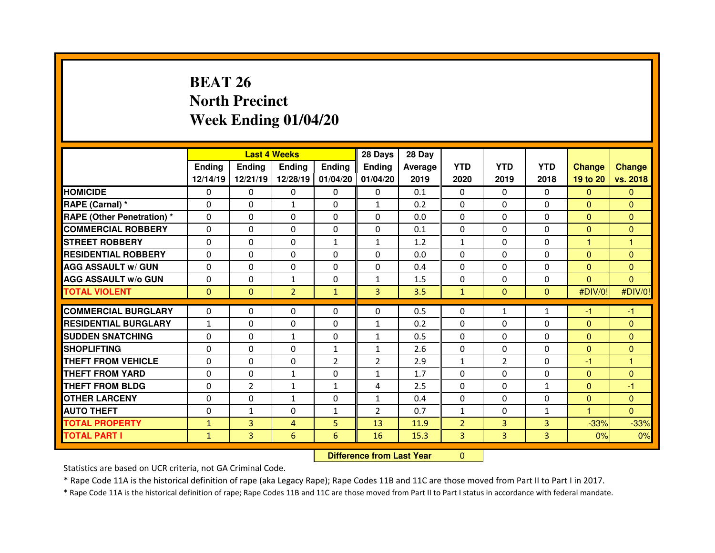# **BEAT 26 North PrecinctWeek Ending 01/04/20**

|                                   |               | <b>Last 4 Weeks</b>              |                |                | 28 Days        | 28 Day  |                |                |                |                |               |
|-----------------------------------|---------------|----------------------------------|----------------|----------------|----------------|---------|----------------|----------------|----------------|----------------|---------------|
|                                   | <b>Ending</b> | <b>Ending</b>                    | Ending         | <b>Ending</b>  | <b>Ending</b>  | Average | <b>YTD</b>     | <b>YTD</b>     | <b>YTD</b>     | <b>Change</b>  | <b>Change</b> |
|                                   | 12/14/19      | 12/21/19                         | 12/28/19       | 01/04/20       | 01/04/20       | 2019    | 2020           | 2019           | 2018           | 19 to 20       | vs. 2018      |
| <b>HOMICIDE</b>                   | 0             | 0                                | 0              | 0              | 0              | 0.1     | 0              | 0              | 0              | $\mathbf{0}$   | $\mathbf{0}$  |
| RAPE (Carnal) *                   | 0             | 0                                | $\mathbf{1}$   | $\Omega$       | $\mathbf{1}$   | 0.2     | 0              | $\Omega$       | $\Omega$       | $\mathbf{0}$   | $\Omega$      |
| <b>RAPE (Other Penetration) *</b> | 0             | 0                                | 0              | 0              | 0              | 0.0     | 0              | $\Omega$       | $\Omega$       | $\overline{0}$ | $\Omega$      |
| <b>COMMERCIAL ROBBERY</b>         | $\Omega$      | 0                                | $\Omega$       | $\Omega$       | $\Omega$       | 0.1     | 0              | $\Omega$       | $\Omega$       | $\mathbf{0}$   | $\Omega$      |
| <b>STREET ROBBERY</b>             | $\Omega$      | 0                                | 0              | $\mathbf{1}$   | 1              | 1.2     | $\mathbf{1}$   | $\Omega$       | $\Omega$       | 1              | $\mathbf{1}$  |
| <b>RESIDENTIAL ROBBERY</b>        | $\Omega$      | 0                                | $\Omega$       | $\Omega$       | $\Omega$       | 0.0     | $\Omega$       | $\Omega$       | $\Omega$       | $\mathbf{0}$   | $\Omega$      |
| <b>AGG ASSAULT w/ GUN</b>         | 0             | 0                                | $\Omega$       | $\Omega$       | $\Omega$       | 0.4     | $\Omega$       | $\Omega$       | $\Omega$       | $\mathbf{0}$   | $\Omega$      |
| <b>AGG ASSAULT w/o GUN</b>        | 0             | 0                                | $\mathbf{1}$   | 0              | 1              | 1.5     | 0              | $\Omega$       | $\Omega$       | $\mathbf{0}$   | $\mathbf{0}$  |
| <b>TOTAL VIOLENT</b>              | $\mathbf{0}$  | $\mathbf{0}$                     | $\overline{2}$ | $\mathbf{1}$   | $\overline{3}$ | 3.5     | $\mathbf{1}$   | $\mathbf{0}$   | $\Omega$       | #DIV/0!        | #DIV/0!       |
| <b>COMMERCIAL BURGLARY</b>        | $\Omega$      | 0                                | $\Omega$       | $\Omega$       | $\Omega$       | 0.5     | 0              | $\mathbf{1}$   | $\mathbf{1}$   | $-1$           | -1            |
| <b>RESIDENTIAL BURGLARY</b>       | $\mathbf{1}$  | 0                                | 0              | $\mathbf{0}$   | $\mathbf{1}$   | 0.2     | 0              | $\Omega$       | $\Omega$       | $\mathbf{0}$   | $\mathbf{0}$  |
| <b>SUDDEN SNATCHING</b>           | 0             | 0                                | $\mathbf{1}$   | $\mathbf{0}$   | $\mathbf{1}$   | 0.5     | 0              | $\Omega$       | $\Omega$       | $\mathbf{0}$   | $\Omega$      |
| <b>SHOPLIFTING</b>                | 0             | 0                                | 0              | $\mathbf{1}$   | $\mathbf{1}$   | 2.6     | 0              | $\Omega$       | $\Omega$       | $\mathbf{0}$   | $\mathbf{0}$  |
| <b>THEFT FROM VEHICLE</b>         | 0             | 0                                | 0              | $\overline{2}$ | $\overline{2}$ | 2.9     | $\mathbf{1}$   | $\overline{2}$ | $\Omega$       | -1             | 1             |
| <b>THEFT FROM YARD</b>            | 0             | 0                                | $\mathbf{1}$   | 0              | $\mathbf{1}$   | 1.7     | $\Omega$       | $\Omega$       | $\Omega$       | $\mathbf{0}$   | $\Omega$      |
| <b>THEFT FROM BLDG</b>            | 0             | $\overline{2}$                   | $\mathbf{1}$   | $\mathbf{1}$   | 4              | 2.5     | 0              | $\Omega$       | $\mathbf{1}$   | $\mathbf{0}$   | $-1$          |
| <b>OTHER LARCENY</b>              | 0             | 0                                | $\mathbf{1}$   | 0              | $\mathbf{1}$   | 0.4     | 0              | $\Omega$       | $\Omega$       | $\mathbf{0}$   | $\Omega$      |
| <b>AUTO THEFT</b>                 | $\Omega$      | $\mathbf{1}$                     | 0              | $\mathbf{1}$   | 2              | 0.7     | $\mathbf{1}$   | $\Omega$       | $\mathbf{1}$   | н              | $\Omega$      |
| <b>TOTAL PROPERTY</b>             | $\mathbf{1}$  | 3                                | $\overline{4}$ | 5              | 13             | 11.9    | $\overline{2}$ | $\overline{3}$ | $\overline{3}$ | $-33%$         | $-33%$        |
| <b>TOTAL PART I</b>               | $\mathbf{1}$  | 3                                | 6              | 6              | 16             | 15.3    | 3              | $\overline{3}$ | $\overline{3}$ | 0%             | 0%            |
|                                   |               | <b>Difference from Last Year</b> |                | $\Omega$       |                |         |                |                |                |                |               |

Statistics are based on UCR criteria, not GA Criminal Code.

\* Rape Code 11A is the historical definition of rape (aka Legacy Rape); Rape Codes 11B and 11C are those moved from Part II to Part I in 2017.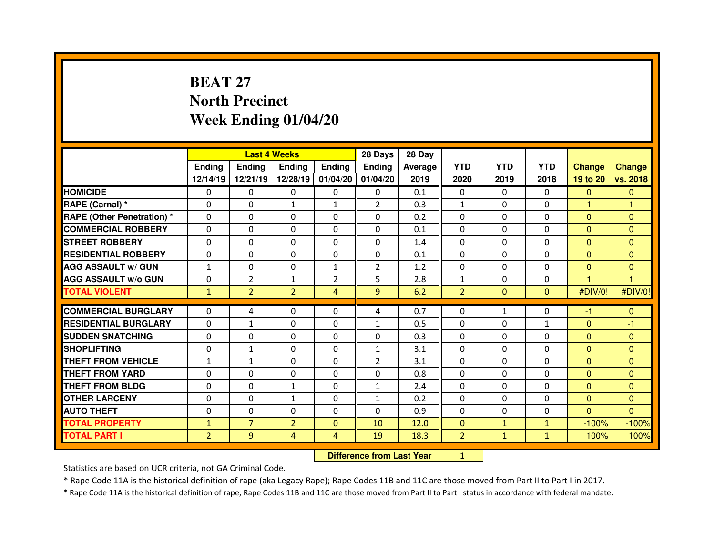# **BEAT 27 North PrecinctWeek Ending 01/04/20**

|                                   |                |                                  | <b>Last 4 Weeks</b> |                   | 28 Days        | 28 Day  |                |              |                |                |                |
|-----------------------------------|----------------|----------------------------------|---------------------|-------------------|----------------|---------|----------------|--------------|----------------|----------------|----------------|
|                                   | <b>Ending</b>  | <b>Ending</b>                    | <b>Ending</b>       | <b>Ending</b>     | <b>Ending</b>  | Average | <b>YTD</b>     | <b>YTD</b>   | <b>YTD</b>     | <b>Change</b>  | <b>Change</b>  |
|                                   | 12/14/19       | 12/21/19                         |                     | 12/28/19 01/04/20 | 01/04/20       | 2019    | 2020           | 2019         | 2018           | 19 to 20       | vs. 2018       |
| <b>HOMICIDE</b>                   | $\Omega$       | 0                                | 0                   | $\mathbf{0}$      | 0              | 0.1     | $\Omega$       | $\mathbf{0}$ | $\Omega$       | $\mathbf{0}$   | $\Omega$       |
| RAPE (Carnal) *                   | 0              | 0                                | $\mathbf{1}$        | $\mathbf{1}$      | $\overline{2}$ | 0.3     | $\mathbf{1}$   | $\mathbf{0}$ | $\Omega$       | 1              | 1              |
| <b>RAPE (Other Penetration) *</b> | 0              | 0                                | 0                   | 0                 | 0              | 0.2     | $\Omega$       | $\mathbf{0}$ | $\Omega$       | $\overline{0}$ | $\Omega$       |
| <b>COMMERCIAL ROBBERY</b>         | $\Omega$       | 0                                | $\Omega$            | $\Omega$          | $\Omega$       | 0.1     | $\Omega$       | $\mathbf{0}$ | $\Omega$       | $\overline{0}$ | $\Omega$       |
| <b>STREET ROBBERY</b>             | $\Omega$       | 0                                | 0                   | $\Omega$          | 0              | 1.4     | $\Omega$       | $\Omega$     | $\Omega$       | $\mathbf{0}$   | $\Omega$       |
| <b>RESIDENTIAL ROBBERY</b>        | $\Omega$       | $\Omega$                         | $\mathbf{0}$        | $\Omega$          | $\Omega$       | 0.1     | $\Omega$       | $\mathbf{0}$ | $\Omega$       | $\Omega$       | $\Omega$       |
| <b>AGG ASSAULT w/ GUN</b>         | $\mathbf{1}$   | $\Omega$                         | $\Omega$            | $\mathbf{1}$      | $\overline{2}$ | 1.2     | $\mathbf 0$    | $\mathbf{0}$ | $\Omega$       | $\overline{0}$ | $\mathbf{0}$   |
| <b>AGG ASSAULT w/o GUN</b>        | 0              | $\overline{2}$                   | $\mathbf{1}$        | $\overline{2}$    | 5              | 2.8     | $\mathbf 1$    | $\mathbf{0}$ | 0              | 1              | $\overline{1}$ |
| <b>TOTAL VIOLENT</b>              | $\mathbf{1}$   | $\overline{2}$                   | $\overline{2}$      | $\overline{4}$    | 9              | 6.2     | $\overline{2}$ | $\mathbf{0}$ | $\overline{0}$ | #DIV/0!        | #DIV/0!        |
| <b>COMMERCIAL BURGLARY</b>        | $\Omega$       | 4                                | $\mathbf{0}$        | $\Omega$          | 4              | 0.7     | $\Omega$       | $\mathbf{1}$ | $\Omega$       | -1             | $\mathbf{0}$   |
| <b>RESIDENTIAL BURGLARY</b>       | $\Omega$       | $\mathbf{1}$                     | 0                   | $\Omega$          | $\mathbf{1}$   | 0.5     | 0              | $\Omega$     | $\mathbf{1}$   | $\overline{0}$ | -1             |
| <b>SUDDEN SNATCHING</b>           | 0              | 0                                | 0                   | $\Omega$          | 0              | 0.3     | $\Omega$       | $\Omega$     | $\Omega$       | $\overline{0}$ | $\Omega$       |
| <b>SHOPLIFTING</b>                | 0              | $\mathbf{1}$                     | 0                   | 0                 | 1              | 3.1     | $\Omega$       | $\Omega$     | $\Omega$       | $\overline{0}$ | $\mathbf{0}$   |
| <b>THEFT FROM VEHICLE</b>         | $\mathbf{1}$   | $\mathbf{1}$                     | 0                   | 0                 | $\overline{2}$ | 3.1     | 0              | $\Omega$     | 0              | $\overline{0}$ | $\mathbf{0}$   |
| <b>THEFT FROM YARD</b>            | 0              | 0                                | 0                   | $\Omega$          | $\Omega$       | 0.8     | 0              | $\Omega$     | $\Omega$       | $\mathbf{0}$   | $\Omega$       |
| <b>THEFT FROM BLDG</b>            | 0              | 0                                | $\mathbf{1}$        | 0                 | $\mathbf{1}$   | 2.4     | 0              | $\Omega$     | 0              | $\overline{0}$ | $\Omega$       |
| <b>OTHER LARCENY</b>              | 0              | 0                                | $\mathbf{1}$        | $\Omega$          | $\mathbf{1}$   | 0.2     | $\Omega$       | $\Omega$     | $\Omega$       | $\overline{0}$ | $\Omega$       |
| <b>AUTO THEFT</b>                 | $\Omega$       | 0                                | $\Omega$            | 0                 | $\Omega$       | 0.9     | $\Omega$       | $\Omega$     | $\Omega$       | $\Omega$       | $\Omega$       |
| <b>TOTAL PROPERTY</b>             | $\mathbf{1}$   | $\overline{7}$                   | $\overline{2}$      | $\mathbf{0}$      | 10             | 12.0    | $\mathbf{0}$   | $\mathbf{1}$ | $\mathbf{1}$   | $-100%$        | $-100%$        |
| <b>TOTAL PART I</b>               | $\overline{2}$ | 9                                | 4                   | $\overline{4}$    | 19             | 18.3    | $\overline{2}$ | $\mathbf{1}$ | $\mathbf{1}$   | 100%           | 100%           |
|                                   |                | <b>Difference from Last Year</b> |                     | $\mathbf{1}$      |                |         |                |              |                |                |                |

Statistics are based on UCR criteria, not GA Criminal Code.

\* Rape Code 11A is the historical definition of rape (aka Legacy Rape); Rape Codes 11B and 11C are those moved from Part II to Part I in 2017.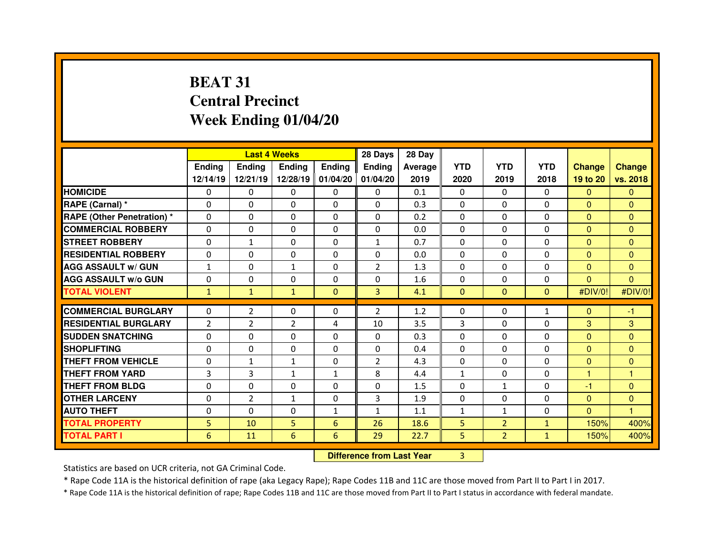# **BEAT 31 Central PrecinctWeek Ending 01/04/20**

|                                   |                | <b>Last 4 Weeks</b>              |                |                | 28 Days        | 28 Day  |              |                |              |                |               |
|-----------------------------------|----------------|----------------------------------|----------------|----------------|----------------|---------|--------------|----------------|--------------|----------------|---------------|
|                                   | Ending         | <b>Ending</b>                    | <b>Ending</b>  | <b>Ending</b>  | <b>Ending</b>  | Average | <b>YTD</b>   | <b>YTD</b>     | <b>YTD</b>   | <b>Change</b>  | <b>Change</b> |
|                                   | 12/14/19       | 12/21/19                         | 12/28/19       | 01/04/20       | 01/04/20       | 2019    | 2020         | 2019           | 2018         | 19 to 20       | vs. 2018      |
| <b>HOMICIDE</b>                   | 0              | $\Omega$                         | 0              | $\mathbf{0}$   | $\Omega$       | 0.1     | $\mathbf{0}$ | $\Omega$       | $\Omega$     | $\mathbf{0}$   | $\Omega$      |
| RAPE (Carnal) *                   | 0              | 0                                | 0              | $\Omega$       | $\Omega$       | 0.3     | $\Omega$     | $\Omega$       | $\Omega$     | $\mathbf{0}$   | $\Omega$      |
| <b>RAPE (Other Penetration) *</b> | 0              | 0                                | 0              | 0              | 0              | 0.2     | $\Omega$     | $\Omega$       | 0            | $\overline{0}$ | $\Omega$      |
| <b>COMMERCIAL ROBBERY</b>         | $\Omega$       | 0                                | $\Omega$       | $\Omega$       | $\Omega$       | 0.0     | $\Omega$     | $\Omega$       | 0            | $\mathbf{0}$   | $\Omega$      |
| <b>STREET ROBBERY</b>             | $\Omega$       | $\mathbf{1}$                     | $\Omega$       | $\Omega$       | 1              | 0.7     | $\Omega$     | $\Omega$       | $\Omega$     | $\Omega$       | $\Omega$      |
| <b>RESIDENTIAL ROBBERY</b>        | $\Omega$       | 0                                | $\Omega$       | $\Omega$       | $\Omega$       | 0.0     | $\Omega$     | $\Omega$       | $\Omega$     | $\Omega$       | $\Omega$      |
| <b>AGG ASSAULT w/ GUN</b>         | $\mathbf{1}$   | 0                                | $\mathbf{1}$   | $\mathbf{0}$   | $\overline{2}$ | 1.3     | $\mathbf{0}$ | 0              | 0            | $\mathbf{0}$   | $\Omega$      |
| <b>AGG ASSAULT w/o GUN</b>        | $\Omega$       | 0                                | 0              | $\Omega$       | 0              | 1.6     | 0            | $\Omega$       | 0            | $\overline{0}$ | $\Omega$      |
| <b>TOTAL VIOLENT</b>              | $\mathbf{1}$   | $\mathbf{1}$                     | $\mathbf{1}$   | $\mathbf{0}$   | 3              | 4.1     | $\mathbf{0}$ | $\Omega$       | $\Omega$     | #DIV/0!        | #DIV/0!       |
| <b>COMMERCIAL BURGLARY</b>        | $\Omega$       | $\overline{2}$                   | $\Omega$       | $\Omega$       | $\overline{2}$ | 1.2     | $\mathbf{0}$ | $\Omega$       | $\mathbf{1}$ | $\mathbf{0}$   | $-1$          |
| <b>RESIDENTIAL BURGLARY</b>       | $\overline{2}$ | $\overline{2}$                   | $\overline{2}$ | 4              | 10             | 3.5     | 3            | $\Omega$       | $\Omega$     | 3              | 3             |
| <b>SUDDEN SNATCHING</b>           | $\Omega$       | 0                                | $\Omega$       | $\Omega$       | $\Omega$       | 0.3     | $\Omega$     | $\Omega$       | $\Omega$     | $\mathbf{0}$   | $\Omega$      |
| <b>SHOPLIFTING</b>                | $\Omega$       | 0                                | 0              | $\Omega$       | 0              | 0.4     | $\Omega$     | $\Omega$       | $\mathbf{0}$ | $\overline{0}$ | $\mathbf{0}$  |
| <b>THEFT FROM VEHICLE</b>         | 0              | $\mathbf{1}$                     | $\mathbf{1}$   | 0              | $\overline{2}$ | 4.3     | 0            | $\Omega$       | 0            | $\overline{0}$ | $\mathbf{0}$  |
| <b>THEFT FROM YARD</b>            | 3              | 3                                | $\mathbf{1}$   | $\mathbf{1}$   | 8              | 4.4     | $\mathbf{1}$ | $\mathbf{0}$   | 0            | 1              | 1             |
| <b>THEFT FROM BLDG</b>            | 0              | 0                                | 0              | 0              | 0              | 1.5     | 0            | $\mathbf{1}$   | 0            | $-1$           | $\Omega$      |
| <b>OTHER LARCENY</b>              | 0              | $\overline{2}$                   | $\mathbf{1}$   | $\mathbf{0}$   | 3              | 1.9     | $\Omega$     | $\Omega$       | 0            | $\mathbf{0}$   | $\mathbf{0}$  |
| <b>AUTO THEFT</b>                 | 0              | 0                                | $\Omega$       | $\mathbf{1}$   | $\mathbf{1}$   | 1.1     | $\mathbf{1}$ | $\mathbf{1}$   | $\Omega$     | $\Omega$       | 1             |
| <b>TOTAL PROPERTY</b>             | 5              | 10                               | 5              | $6\phantom{1}$ | 26             | 18.6    | 5            | $\overline{2}$ | $\mathbf{1}$ | 150%           | 400%          |
| <b>TOTAL PART I</b>               | 6              | 11                               | 6              | 6              | 29             | 22.7    | 5            | $\overline{2}$ | $\mathbf{1}$ | 150%           | 400%          |
|                                   |                | <b>Difference from Last Year</b> |                | 3              |                |         |              |                |              |                |               |

Statistics are based on UCR criteria, not GA Criminal Code.

\* Rape Code 11A is the historical definition of rape (aka Legacy Rape); Rape Codes 11B and 11C are those moved from Part II to Part I in 2017.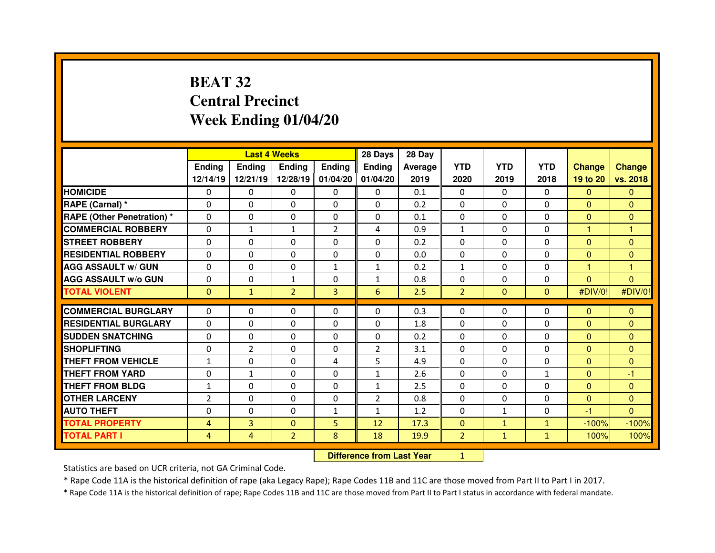# **BEAT 32 Central PrecinctWeek Ending 01/04/20**

|                                   |                | <b>Last 4 Weeks</b>              |                |                | 28 Days        | 28 Day  |                |              |              |                |                |
|-----------------------------------|----------------|----------------------------------|----------------|----------------|----------------|---------|----------------|--------------|--------------|----------------|----------------|
|                                   | <b>Ending</b>  | <b>Ending</b>                    | <b>Ending</b>  | <b>Ending</b>  | <b>Ending</b>  | Average | <b>YTD</b>     | <b>YTD</b>   | <b>YTD</b>   | <b>Change</b>  | <b>Change</b>  |
|                                   | 12/14/19       | 12/21/19                         | 12/28/19       | 01/04/20       | 01/04/20       | 2019    | 2020           | 2019         | 2018         | 19 to 20       | vs. 2018       |
| <b>HOMICIDE</b>                   | 0              | 0                                | 0              | 0              | $\Omega$       | 0.1     | 0              | $\Omega$     | $\Omega$     | $\Omega$       | $\Omega$       |
| RAPE (Carnal) *                   | $\Omega$       | 0                                | 0              | 0              | 0              | 0.2     | $\Omega$       | $\Omega$     | $\mathbf{0}$ | $\mathbf{0}$   | $\Omega$       |
| <b>RAPE (Other Penetration) *</b> | $\Omega$       | 0                                | $\Omega$       | 0              | 0              | 0.1     | 0              | $\Omega$     | $\Omega$     | $\overline{0}$ | $\mathbf{0}$   |
| <b>COMMERCIAL ROBBERY</b>         | $\Omega$       | $\mathbf{1}$                     | $\mathbf{1}$   | $\overline{2}$ | 4              | 0.9     | $\mathbf{1}$   | $\Omega$     | $\Omega$     | 1              | 1              |
| <b>STREET ROBBERY</b>             | $\Omega$       | $\Omega$                         | $\Omega$       | 0              | 0              | 0.2     | $\Omega$       | $\Omega$     | $\Omega$     | $\Omega$       | $\Omega$       |
| <b>RESIDENTIAL ROBBERY</b>        | $\Omega$       | 0                                | 0              | $\Omega$       | $\mathbf{0}$   | 0.0     | $\Omega$       | $\Omega$     | $\mathbf{0}$ | $\overline{0}$ | $\Omega$       |
| <b>AGG ASSAULT w/ GUN</b>         | $\Omega$       | $\Omega$                         | $\Omega$       | $\mathbf{1}$   | $\mathbf{1}$   | 0.2     | $\mathbf{1}$   | $\Omega$     | $\Omega$     | $\mathbf{1}$   | $\overline{1}$ |
| <b>AGG ASSAULT w/o GUN</b>        | 0              | 0                                | $\mathbf{1}$   | 0              | $\mathbf{1}$   | 0.8     | 0              | $\Omega$     | $\mathbf{0}$ | $\overline{0}$ | $\mathbf{0}$   |
| <b>TOTAL VIOLENT</b>              | $\mathbf{0}$   | $\mathbf{1}$                     | $\overline{2}$ | 3              | 6              | 2.5     | $\overline{2}$ | $\mathbf{0}$ | $\mathbf{0}$ | #DIV/0!        | #DIV/0!        |
| <b>COMMERCIAL BURGLARY</b>        | 0              | 0                                | 0              | 0              | 0              | 0.3     | 0              | $\Omega$     | 0            | $\mathbf{0}$   | $\mathbf{0}$   |
| <b>RESIDENTIAL BURGLARY</b>       | $\Omega$       | 0                                | 0              | 0              | 0              | 1.8     | 0              | $\Omega$     | $\Omega$     | $\mathbf{0}$   | $\Omega$       |
| <b>SUDDEN SNATCHING</b>           | 0              | 0                                | $\Omega$       | 0              | 0              | 0.2     | 0              | $\Omega$     | $\Omega$     | $\overline{0}$ | $\Omega$       |
| <b>SHOPLIFTING</b>                | 0              | $\overline{2}$                   | $\Omega$       | $\Omega$       | $\overline{2}$ | 3.1     | $\Omega$       | $\Omega$     | $\mathbf{0}$ | $\Omega$       | $\Omega$       |
| THEFT FROM VEHICLE                | $\mathbf{1}$   | 0                                | 0              | 4              | 5              | 4.9     | 0              | $\Omega$     | $\mathbf{0}$ | $\overline{0}$ | $\Omega$       |
| <b>THEFT FROM YARD</b>            | 0              | $\mathbf{1}$                     | 0              | 0              | $\mathbf{1}$   | 2.6     | 0              | $\Omega$     | $\mathbf{1}$ | $\mathbf{0}$   | -1             |
| THEFT FROM BLDG                   | $\mathbf{1}$   | 0                                | 0              | 0              | $\mathbf{1}$   | 2.5     | $\Omega$       | $\Omega$     | $\Omega$     | $\overline{0}$ | $\Omega$       |
| <b>OTHER LARCENY</b>              | $\overline{2}$ | 0                                | 0              | 0              | $\overline{2}$ | 0.8     | 0              | $\Omega$     | $\Omega$     | $\overline{0}$ | $\mathbf{0}$   |
| <b>AUTO THEFT</b>                 | $\Omega$       | $\Omega$                         | $\Omega$       | $\mathbf{1}$   | $\mathbf{1}$   | 1.2     | $\Omega$       | $\mathbf{1}$ | $\Omega$     | $-1$           | $\Omega$       |
| <b>TOTAL PROPERTY</b>             | 4              | 3                                | $\mathbf{0}$   | 5              | 12             | 17.3    | $\mathbf{0}$   | $\mathbf{1}$ | $\mathbf{1}$ | $-100%$        | $-100%$        |
| <b>TOTAL PART I</b>               | $\overline{4}$ | $\overline{4}$                   | $\overline{2}$ | 8              | 18             | 19.9    | $\overline{2}$ | $\mathbf{1}$ | $\mathbf{1}$ | 100%           | 100%           |
|                                   |                | <b>Difference from Last Year</b> |                | $\mathbf{1}$   |                |         |                |              |              |                |                |

Statistics are based on UCR criteria, not GA Criminal Code.

\* Rape Code 11A is the historical definition of rape (aka Legacy Rape); Rape Codes 11B and 11C are those moved from Part II to Part I in 2017.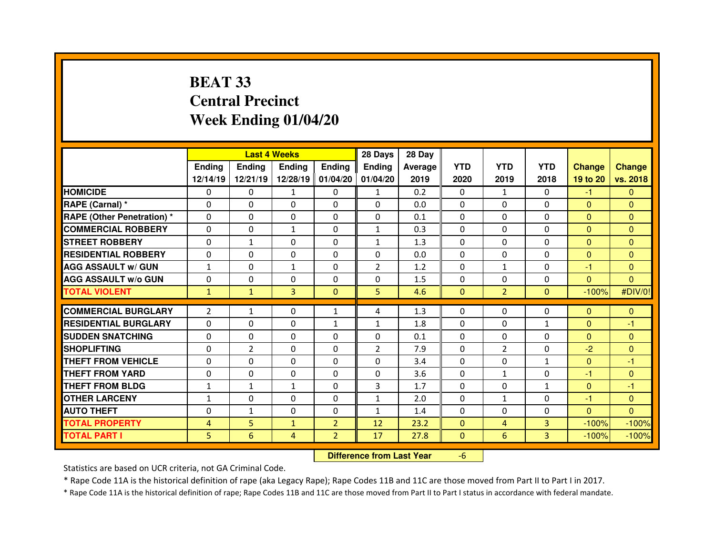# **BEAT 33 Central PrecinctWeek Ending 01/04/20**

|                                  |                |                | <b>Last 4 Weeks</b> |                | 28 Days                          | 28 Day         |              |                |                |                |                |
|----------------------------------|----------------|----------------|---------------------|----------------|----------------------------------|----------------|--------------|----------------|----------------|----------------|----------------|
|                                  | <b>Ending</b>  | <b>Ending</b>  | <b>Ending</b>       | Ending         | <b>Ending</b>                    | <b>Average</b> | <b>YTD</b>   | <b>YTD</b>     | <b>YTD</b>     | <b>Change</b>  | <b>Change</b>  |
|                                  | 12/14/19       | 12/21/19       | 12/28/19            | 01/04/20       | 01/04/20                         | 2019           | 2020         | 2019           | 2018           | 19 to 20       | vs. 2018       |
| <b>HOMICIDE</b>                  | 0              | $\Omega$       | 1                   | $\mathbf{0}$   | $\mathbf{1}$                     | 0.2            | $\mathbf{0}$ | $\mathbf{1}$   | $\Omega$       | $-1$           | $\Omega$       |
| RAPE (Carnal) *                  | $\Omega$       | 0              | 0                   | $\Omega$       | $\Omega$                         | 0.0            | $\Omega$     | $\Omega$       | $\mathbf{0}$   | $\overline{0}$ | $\Omega$       |
| <b>RAPE (Other Penetration)*</b> | 0              | 0              | $\Omega$            | $\Omega$       | $\Omega$                         | 0.1            | $\mathbf{0}$ | $\Omega$       | $\Omega$       | $\mathbf{0}$   | $\Omega$       |
| <b>COMMERCIAL ROBBERY</b>        | $\Omega$       | 0              | $\mathbf{1}$        | $\Omega$       | $\mathbf{1}$                     | 0.3            | $\Omega$     | $\Omega$       | 0              | $\overline{0}$ | $\Omega$       |
| <b>STREET ROBBERY</b>            | $\Omega$       | $\mathbf{1}$   | $\Omega$            | $\Omega$       | $\mathbf{1}$                     | 1.3            | $\Omega$     | $\Omega$       | $\Omega$       | $\Omega$       | $\Omega$       |
| <b>RESIDENTIAL ROBBERY</b>       | $\Omega$       | 0              | $\Omega$            | $\mathbf{0}$   | $\Omega$                         | 0.0            | $\Omega$     | $\Omega$       | 0              | $\Omega$       | $\Omega$       |
| <b>AGG ASSAULT w/ GUN</b>        | $\mathbf{1}$   | 0              | $\mathbf{1}$        | $\Omega$       | $\overline{2}$                   | 1.2            | $\Omega$     | $\mathbf{1}$   | $\Omega$       | $-1$           | $\Omega$       |
| <b>AGG ASSAULT W/o GUN</b>       | $\Omega$       | 0              | $\Omega$            | $\Omega$       | $\Omega$                         | 1.5            | $\Omega$     | $\Omega$       | 0              | $\overline{0}$ | $\overline{0}$ |
| <b>TOTAL VIOLENT</b>             | $\mathbf{1}$   | $\mathbf{1}$   | 3                   | $\mathbf{0}$   | 5                                | 4.6            | $\mathbf{0}$ | $\overline{2}$ | $\overline{0}$ | $-100%$        | #DIV/0!        |
| <b>COMMERCIAL BURGLARY</b>       | $\overline{2}$ | $\mathbf{1}$   | 0                   | $\mathbf{1}$   | 4                                | 1.3            | $\mathbf{0}$ | $\Omega$       | 0              | $\mathbf{0}$   | $\Omega$       |
| <b>RESIDENTIAL BURGLARY</b>      | $\Omega$       | 0              | 0                   | $\mathbf{1}$   | $\mathbf{1}$                     | 1.8            | $\Omega$     | $\Omega$       | $\mathbf{1}$   | $\Omega$       | -1             |
| <b>SUDDEN SNATCHING</b>          | $\Omega$       | 0              | 0                   | $\mathbf{0}$   | $\Omega$                         | 0.1            | $\mathbf{0}$ | $\Omega$       | $\Omega$       | $\mathbf{0}$   | $\Omega$       |
| <b>SHOPLIFTING</b>               | 0              | $\overline{2}$ | $\Omega$            | $\Omega$       | $\overline{2}$                   | 7.9            | $\Omega$     | $\overline{2}$ | $\Omega$       | $-2$           | $\mathbf{0}$   |
| <b>THEFT FROM VEHICLE</b>        | 0              | 0              | $\Omega$            | 0              | $\Omega$                         | 3.4            | $\mathbf{0}$ | $\Omega$       | $\mathbf{1}$   | $\mathbf{0}$   | -1             |
| <b>THEFT FROM YARD</b>           | 0              | 0              | 0                   | 0              | 0                                | 3.6            | 0            | $\mathbf{1}$   | 0              | -1             | $\mathbf{0}$   |
| <b>THEFT FROM BLDG</b>           | 1              | $\mathbf{1}$   | $\mathbf{1}$        | 0              | 3                                | 1.7            | $\Omega$     | $\Omega$       | $\mathbf{1}$   | $\overline{0}$ | $-1$           |
| <b>OTHER LARCENY</b>             | $\mathbf{1}$   | 0              | 0                   | 0              | $\mathbf{1}$                     | 2.0            | $\Omega$     | $\mathbf{1}$   | 0              | -1             | $\Omega$       |
| <b>AUTO THEFT</b>                | 0              | $\mathbf{1}$   | 0                   | $\mathbf{0}$   | $\mathbf{1}$                     | 1.4            | $\mathbf{0}$ | $\Omega$       | 0              | $\mathbf{0}$   | $\Omega$       |
| <b>TOTAL PROPERTY</b>            | 4              | 5              | $\mathbf{1}$        | $\overline{2}$ | 12                               | 23.2           | $\mathbf{0}$ | 4              | 3              | $-100%$        | $-100%$        |
| <b>TOTAL PART I</b>              | 5              | 6              | 4                   | $\overline{2}$ | 17                               | 27.8           | $\mathbf{0}$ | 6              | $\overline{3}$ | $-100%$        | $-100%$        |
|                                  |                |                |                     |                | <b>Difference from Last Year</b> |                | $-6$         |                |                |                |                |

 **Difference from Last Year**

Statistics are based on UCR criteria, not GA Criminal Code.

\* Rape Code 11A is the historical definition of rape (aka Legacy Rape); Rape Codes 11B and 11C are those moved from Part II to Part I in 2017.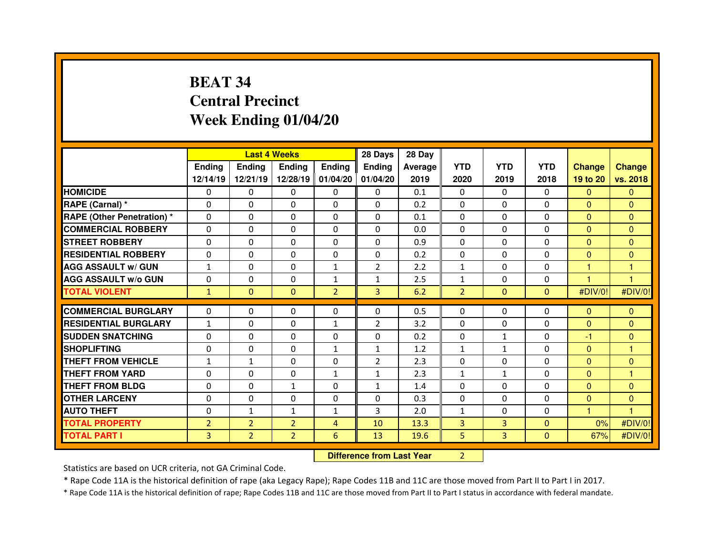# **BEAT 34 Central PrecinctWeek Ending 01/04/20**

|                                   |                |                                  | <b>Last 4 Weeks</b> |                | 28 Days        | 28 Day  |                |              |              |                |                |
|-----------------------------------|----------------|----------------------------------|---------------------|----------------|----------------|---------|----------------|--------------|--------------|----------------|----------------|
|                                   | Ending         | <b>Ending</b>                    | <b>Ending</b>       | <b>Ending</b>  | <b>Ending</b>  | Average | <b>YTD</b>     | <b>YTD</b>   | <b>YTD</b>   | <b>Change</b>  | <b>Change</b>  |
|                                   | 12/14/19       | 12/21/19                         | 12/28/19            | 01/04/20       | 01/04/20       | 2019    | 2020           | 2019         | 2018         | 19 to 20       | vs. 2018       |
| <b>HOMICIDE</b>                   | 0              | 0                                | 0                   | $\mathbf{0}$   | $\Omega$       | 0.1     | $\mathbf{0}$   | $\Omega$     | $\Omega$     | $\mathbf{0}$   | $\Omega$       |
| RAPE (Carnal) *                   | 0              | 0                                | 0                   | $\mathbf{0}$   | $\Omega$       | 0.2     | $\Omega$       | $\Omega$     | 0            | $\mathbf{0}$   | $\Omega$       |
| <b>RAPE (Other Penetration) *</b> | 0              | 0                                | 0                   | 0              | 0              | 0.1     | $\Omega$       | $\Omega$     | 0            | $\overline{0}$ | $\Omega$       |
| <b>COMMERCIAL ROBBERY</b>         | $\Omega$       | 0                                | $\Omega$            | $\mathbf{0}$   | $\Omega$       | 0.0     | $\Omega$       | $\Omega$     | 0            | $\mathbf{0}$   | $\Omega$       |
| <b>STREET ROBBERY</b>             | $\Omega$       | 0                                | $\Omega$            | $\mathbf{0}$   | $\Omega$       | 0.9     | $\Omega$       | $\Omega$     | $\Omega$     | $\Omega$       | $\Omega$       |
| <b>RESIDENTIAL ROBBERY</b>        | $\Omega$       | 0                                | $\Omega$            | $\mathbf{0}$   | $\Omega$       | 0.2     | $\Omega$       | $\Omega$     | 0            | $\Omega$       | $\Omega$       |
| <b>AGG ASSAULT w/ GUN</b>         | $\mathbf{1}$   | 0                                | 0                   | $\mathbf{1}$   | $\overline{2}$ | 2.2     | $\mathbf{1}$   | 0            | 0            | 1              | 1              |
| <b>AGG ASSAULT w/o GUN</b>        | $\Omega$       | 0                                | 0                   | $\mathbf{1}$   | 1              | 2.5     | $\mathbf{1}$   | $\Omega$     | 0            | 1              | $\overline{1}$ |
| <b>TOTAL VIOLENT</b>              | $\mathbf{1}$   | $\overline{0}$                   | $\mathbf{0}$        | $\overline{2}$ | $\overline{3}$ | 6.2     | $\overline{2}$ | $\Omega$     | $\Omega$     | #DIV/0!        | #DIV/0!        |
| <b>COMMERCIAL BURGLARY</b>        | $\Omega$       | 0                                | $\Omega$            | $\Omega$       | $\Omega$       | 0.5     | $\mathbf{0}$   | $\Omega$     | $\Omega$     | $\mathbf{0}$   | $\Omega$       |
| <b>RESIDENTIAL BURGLARY</b>       | $\mathbf{1}$   | 0                                | 0                   | $\mathbf{1}$   | $\overline{2}$ | 3.2     | $\mathbf{0}$   | 0            | 0            | $\mathbf{0}$   | $\Omega$       |
| <b>SUDDEN SNATCHING</b>           | $\Omega$       | 0                                | 0                   | $\Omega$       | $\Omega$       | 0.2     | $\Omega$       | $\mathbf{1}$ | $\Omega$     | -1             | $\Omega$       |
| <b>SHOPLIFTING</b>                | $\Omega$       | 0                                | 0                   | $\mathbf{1}$   | $\mathbf{1}$   | 1.2     | $\mathbf{1}$   | $\mathbf{1}$ | 0            | $\overline{0}$ | 1              |
| <b>THEFT FROM VEHICLE</b>         | $\mathbf{1}$   | $\mathbf{1}$                     | 0                   | 0              | $\overline{2}$ | 2.3     | 0              | $\Omega$     | 0            | $\overline{0}$ | $\mathbf{0}$   |
| <b>THEFT FROM YARD</b>            | 0              | 0                                | 0                   | $\mathbf{1}$   | $\mathbf{1}$   | 2.3     | $\mathbf{1}$   | $\mathbf{1}$ | 0            | $\mathbf{0}$   | 1              |
| <b>THEFT FROM BLDG</b>            | 0              | 0                                | $\mathbf{1}$        | 0              | $\mathbf{1}$   | 1.4     | $\Omega$       | $\Omega$     | 0            | $\overline{0}$ | $\Omega$       |
| <b>OTHER LARCENY</b>              | 0              | 0                                | 0                   | $\mathbf{0}$   | $\Omega$       | 0.3     | $\Omega$       | $\Omega$     | 0            | $\mathbf{0}$   | $\Omega$       |
| <b>AUTO THEFT</b>                 | 0              | $\mathbf{1}$                     | $\mathbf{1}$        | $\mathbf{1}$   | 3              | 2.0     | $\mathbf{1}$   | $\Omega$     | 0            | н              | ٠              |
| <b>TOTAL PROPERTY</b>             | $\overline{2}$ | $\overline{2}$                   | $\overline{2}$      | $\overline{4}$ | 10             | 13.3    | $\overline{3}$ | 3            | $\mathbf{0}$ | 0%             | #DIV/0!        |
| <b>TOTAL PART I</b>               | 3              | $\overline{2}$                   | $\overline{2}$      | 6              | 13             | 19.6    | 5              | 3            | $\mathbf{0}$ | 67%            | #DIV/0!        |
|                                   |                | <b>Difference from Last Year</b> |                     | $\overline{2}$ |                |         |                |              |              |                |                |

Statistics are based on UCR criteria, not GA Criminal Code.

\* Rape Code 11A is the historical definition of rape (aka Legacy Rape); Rape Codes 11B and 11C are those moved from Part II to Part I in 2017.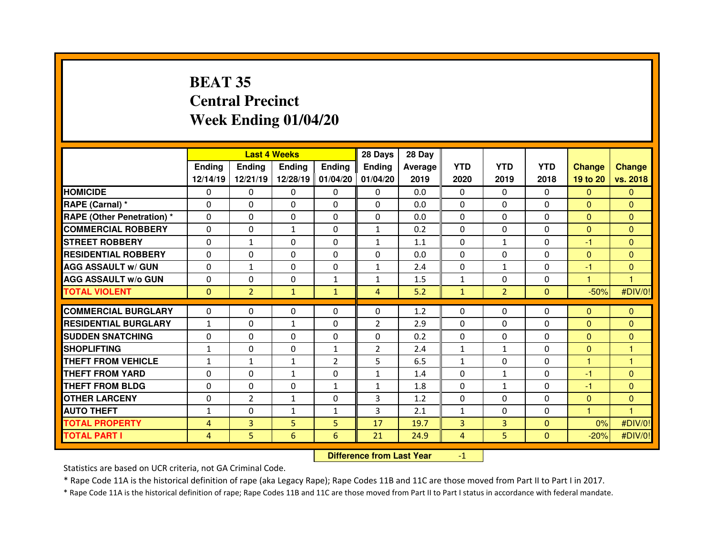# **BEAT 35 Central PrecinctWeek Ending 01/04/20**

|                                              |                     | <b>Last 4 Weeks</b> |               |                              | 28 Days        | 28 Day       |                     |                     |                          |               |                    |
|----------------------------------------------|---------------------|---------------------|---------------|------------------------------|----------------|--------------|---------------------|---------------------|--------------------------|---------------|--------------------|
|                                              | Ending              | <b>Ending</b>       | <b>Endina</b> | <b>Ending</b>                | <b>Ending</b>  | Average      | <b>YTD</b>          | <b>YTD</b>          | <b>YTD</b>               | <b>Change</b> | <b>Change</b>      |
|                                              | 12/14/19            | 12/21/19            | 12/28/19      | 01/04/20                     | 01/04/20       | 2019         | 2020                | 2019                | 2018                     | 19 to 20      | vs. 2018           |
| <b>HOMICIDE</b>                              | $\Omega$            | 0                   | $\Omega$      | $\Omega$                     | $\Omega$       | 0.0          | $\Omega$            | $\Omega$            | $\Omega$                 | $\Omega$      | $\Omega$           |
| RAPE (Carnal) *                              | $\Omega$            | 0                   | 0             | $\mathbf{0}$                 | $\Omega$       | 0.0          | $\Omega$            | $\Omega$            | $\Omega$                 | $\Omega$      | $\Omega$           |
| <b>RAPE (Other Penetration)*</b>             | $\Omega$            | 0                   | $\Omega$      | $\Omega$                     | $\Omega$       | 0.0          | $\Omega$            | $\Omega$            | $\Omega$                 | $\Omega$      | $\Omega$           |
| <b>COMMERCIAL ROBBERY</b>                    | $\Omega$            | 0                   | $\mathbf{1}$  | $\mathbf{0}$                 | $\mathbf{1}$   | 0.2          | $\Omega$            | $\Omega$            | $\Omega$                 | $\mathbf{0}$  | $\Omega$           |
| <b>STREET ROBBERY</b>                        | $\Omega$            | $\mathbf{1}$        | $\Omega$      | $\Omega$                     | $\mathbf{1}$   | 1.1          | $\Omega$            | $\mathbf{1}$        | $\Omega$                 | -1            | $\Omega$           |
| <b>RESIDENTIAL ROBBERY</b>                   | $\Omega$            | 0                   | $\Omega$      | $\mathbf{0}$                 | $\Omega$       | 0.0          | $\Omega$            | $\Omega$            | $\Omega$                 | $\Omega$      | $\Omega$           |
| <b>AGG ASSAULT w/ GUN</b>                    | $\Omega$            | $\mathbf{1}$        | $\Omega$      | $\mathbf{0}$                 | $\mathbf{1}$   | 2.4          | $\Omega$            | $\mathbf{1}$        | $\Omega$                 | $-1$          | $\Omega$           |
| <b>AGG ASSAULT w/o GUN</b>                   | 0                   | 0                   | $\Omega$      | $\mathbf{1}$                 | $\mathbf{1}$   | 1.5          | $\mathbf{1}$        | $\Omega$            | $\Omega$                 | 1             | 1                  |
| <b>TOTAL VIOLENT</b>                         | $\Omega$            | $\overline{2}$      | $\mathbf{1}$  | $\mathbf{1}$                 | $\overline{4}$ | 5.2          | $\mathbf{1}$        | $\overline{2}$      | $\Omega$                 | $-50%$        | #DIV/0!            |
| <b>COMMERCIAL BURGLARY</b>                   | $\Omega$            | 0                   | 0             | $\mathbf{0}$                 | $\Omega$       | 1.2          | $\mathbf{0}$        | $\Omega$            | 0                        | $\mathbf{0}$  | $\Omega$           |
| <b>RESIDENTIAL BURGLARY</b>                  | $\mathbf{1}$        | 0                   | $\mathbf{1}$  | $\Omega$                     | $\overline{2}$ | 2.9          | $\mathbf{0}$        | $\Omega$            | $\Omega$                 | $\mathbf{0}$  | $\Omega$           |
| <b>SUDDEN SNATCHING</b>                      | $\Omega$            | 0                   | 0             | $\Omega$                     | $\Omega$       | 0.2          | $\mathbf{0}$        | $\Omega$            | $\Omega$                 | $\mathbf{0}$  | $\Omega$           |
| <b>SHOPLIFTING</b>                           | $\mathbf{1}$        | 0                   | $\Omega$      | 1                            | $\overline{2}$ | 2.4          | $\mathbf{1}$        | $\mathbf{1}$        | $\Omega$                 | $\mathbf{0}$  | 1                  |
| THEFT FROM VEHICLE                           | $\mathbf{1}$        | $\mathbf{1}$        | $\mathbf{1}$  | $\overline{2}$               | 5              | 6.5          | $\mathbf{1}$        | $\Omega$            | 0                        | 1             | 1                  |
| <b>THEFT FROM YARD</b>                       | $\Omega$            | 0                   |               | 0                            |                | 1.4          | $\Omega$            | $\mathbf{1}$        | $\Omega$                 | -1            | $\Omega$           |
|                                              |                     |                     | $\mathbf{1}$  |                              | $\mathbf{1}$   |              |                     |                     | $\Omega$                 |               |                    |
| <b>THEFT FROM BLDG</b>                       | 0                   | 0                   | $\Omega$      | $\mathbf{1}$<br>$\mathbf{0}$ | $\mathbf{1}$   | 1.8          | $\Omega$            | $\mathbf{1}$        |                          | $-1$          | $\overline{0}$     |
|                                              |                     |                     |               |                              | 3              | 1.2          | $\mathbf{0}$        | $\Omega$            | $\Omega$                 | $\mathbf{0}$  | $\Omega$           |
| <b>OTHER LARCENY</b>                         | $\Omega$            | $\overline{2}$      | $\mathbf{1}$  |                              |                |              |                     |                     |                          |               |                    |
| <b>AUTO THEFT</b>                            | $\mathbf{1}$        | 0                   | $\mathbf{1}$  | $\mathbf{1}$                 | 3              | 2.1          | $\mathbf{1}$        | $\Omega$            | $\Omega$                 | 1             | 1                  |
| <b>TOTAL PROPERTY</b><br><b>TOTAL PART I</b> | $\overline{4}$<br>4 | 3<br>5              | 5<br>6        | 5<br>6                       | 17<br>21       | 19.7<br>24.9 | 3<br>$\overline{4}$ | $\overline{3}$<br>5 | $\Omega$<br>$\mathbf{0}$ | 0%<br>$-20%$  | #DIV/0!<br>#DIV/0! |

 **Difference from Last Year**-1

Statistics are based on UCR criteria, not GA Criminal Code.

\* Rape Code 11A is the historical definition of rape (aka Legacy Rape); Rape Codes 11B and 11C are those moved from Part II to Part I in 2017.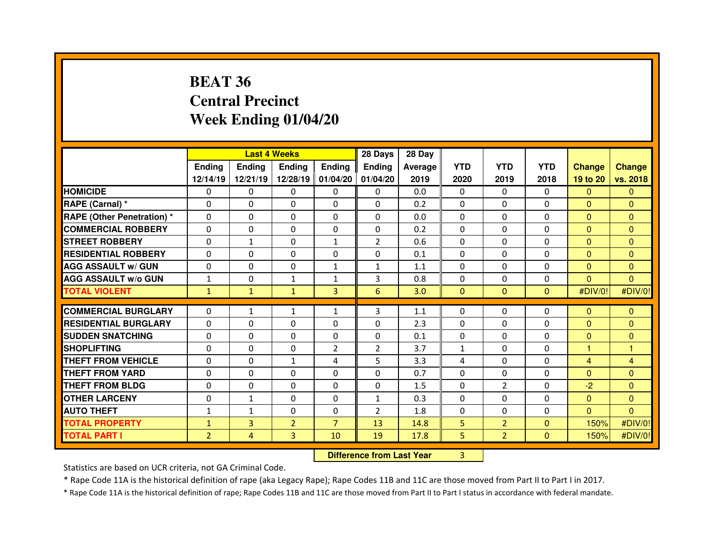# **BEAT 36 Central PrecinctWeek Ending 01/04/20**

|                                  |                                  |                | <b>Last 4 Weeks</b> |                   | 28 Days        | 28 Day  |                |                |                |                |                |
|----------------------------------|----------------------------------|----------------|---------------------|-------------------|----------------|---------|----------------|----------------|----------------|----------------|----------------|
|                                  | <b>Ending</b>                    | <b>Ending</b>  | <b>Ending</b>       | <b>Ending</b>     | <b>Ending</b>  | Average | <b>YTD</b>     | <b>YTD</b>     | <b>YTD</b>     | <b>Change</b>  | <b>Change</b>  |
|                                  | 12/14/19                         | 12/21/19       |                     | 12/28/19 01/04/20 | 01/04/20       | 2019    | 2020           | 2019           | 2018           | 19 to 20       | vs. 2018       |
| <b>HOMICIDE</b>                  | $\Omega$                         | 0              | 0                   | $\mathbf{0}$      | 0              | 0.0     | $\Omega$       | $\Omega$       | $\Omega$       | $\mathbf{0}$   | $\Omega$       |
| RAPE (Carnal) *                  | 0                                | 0              | 0                   | $\Omega$          | $\Omega$       | 0.2     | 0              | $\mathbf{0}$   | $\Omega$       | $\overline{0}$ | $\Omega$       |
| <b>RAPE (Other Penetration)*</b> | 0                                | 0              | $\Omega$            | $\Omega$          | $\Omega$       | 0.0     | $\Omega$       | $\Omega$       | $\Omega$       | $\mathbf{0}$   | $\Omega$       |
| <b>COMMERCIAL ROBBERY</b>        | 0                                | 0              | $\Omega$            | 0                 | $\Omega$       | 0.2     | $\Omega$       | $\Omega$       | $\Omega$       | $\overline{0}$ | $\Omega$       |
| <b>STREET ROBBERY</b>            | 0                                | $\mathbf{1}$   | $\Omega$            | 1                 | $\overline{2}$ | 0.6     | 0              | $\Omega$       | $\Omega$       | $\mathbf{0}$   | $\Omega$       |
| <b>RESIDENTIAL ROBBERY</b>       | 0                                | 0              | $\mathbf{0}$        | $\Omega$          | $\Omega$       | 0.1     | $\Omega$       | $\Omega$       | $\Omega$       | $\overline{0}$ | $\Omega$       |
| <b>AGG ASSAULT w/ GUN</b>        | $\Omega$                         | 0              | $\mathbf{0}$        | $\mathbf{1}$      | $\mathbf{1}$   | 1.1     | $\Omega$       | $\Omega$       | $\Omega$       | $\overline{0}$ | $\mathbf{0}$   |
| <b>AGG ASSAULT w/o GUN</b>       | $\mathbf{1}$                     | 0              | $\mathbf{1}$        | $\mathbf{1}$      | 3              | 0.8     | 0              | $\mathbf{0}$   | $\Omega$       | $\overline{0}$ | $\overline{0}$ |
| <b>TOTAL VIOLENT</b>             | $\mathbf{1}$                     | $\mathbf{1}$   | $\mathbf{1}$        | 3                 | $6\phantom{1}$ | 3.0     | $\mathbf{0}$   | $\mathbf{0}$   | $\overline{0}$ | #DIV/0!        | #DIV/0!        |
| <b>COMMERCIAL BURGLARY</b>       | $\Omega$                         | $\mathbf{1}$   | $\mathbf{1}$        | $\mathbf{1}$      | 3              | 1.1     | 0              | $\Omega$       | $\Omega$       | $\mathbf{0}$   | $\Omega$       |
| <b>RESIDENTIAL BURGLARY</b>      | $\Omega$                         | $\Omega$       | $\mathbf{0}$        | $\Omega$          | $\Omega$       | 2.3     | $\Omega$       | $\Omega$       | $\Omega$       | $\Omega$       | $\Omega$       |
| <b>SUDDEN SNATCHING</b>          | 0                                | 0              | 0                   | $\Omega$          | $\Omega$       | 0.1     | 0              | $\Omega$       | $\Omega$       | $\mathbf{0}$   | $\Omega$       |
| <b>SHOPLIFTING</b>               | 0                                | 0              | 0                   | $\overline{2}$    | $\overline{2}$ | 3.7     | $\mathbf{1}$   | $\Omega$       | $\Omega$       | 1              | 1              |
| THEFT FROM VEHICLE               | 0                                | 0              | $\mathbf{1}$        | 4                 | 5              | 3.3     | 4              | $\mathbf{0}$   | $\Omega$       | $\overline{4}$ | $\overline{4}$ |
| <b>THEFT FROM YARD</b>           | 0                                | 0              | $\Omega$            | $\Omega$          | $\Omega$       | 0.7     | $\Omega$       | $\mathbf{0}$   | $\Omega$       | $\mathbf{0}$   | $\Omega$       |
| <b>THEFT FROM BLDG</b>           | 0                                | 0              | 0                   | 0                 | 0              | 1.5     | $\Omega$       | $\overline{2}$ | $\Omega$       | $-2$           | $\Omega$       |
| <b>OTHER LARCENY</b>             | 0                                | $\mathbf{1}$   | 0                   | 0                 | $\mathbf{1}$   | 0.3     | $\Omega$       | $\mathbf{0}$   | $\Omega$       | $\overline{0}$ | $\Omega$       |
| <b>AUTO THEFT</b>                | $\mathbf{1}$                     | $\mathbf{1}$   | $\Omega$            | 0                 | $\overline{2}$ | 1.8     | $\Omega$       | $\Omega$       | $\Omega$       | $\overline{0}$ | $\Omega$       |
| <b>TOTAL PROPERTY</b>            | $\mathbf{1}$                     | $\overline{3}$ | $\overline{2}$      | $\overline{7}$    | 13             | 14.8    | 5              | 2 <sup>1</sup> | $\overline{0}$ | 150%           | #DIV/0!        |
| <b>TOTAL PART I</b>              | $\overline{2}$                   | $\overline{4}$ | 3                   | 10                | 19             | 17.8    | 5              | 2 <sup>1</sup> | $\overline{0}$ | 150%           | #DIV/0!        |
|                                  | <b>Difference from Last Year</b> |                |                     |                   |                |         | $\overline{3}$ |                |                |                |                |

 **Difference from Last Year**

Statistics are based on UCR criteria, not GA Criminal Code.

\* Rape Code 11A is the historical definition of rape (aka Legacy Rape); Rape Codes 11B and 11C are those moved from Part II to Part I in 2017.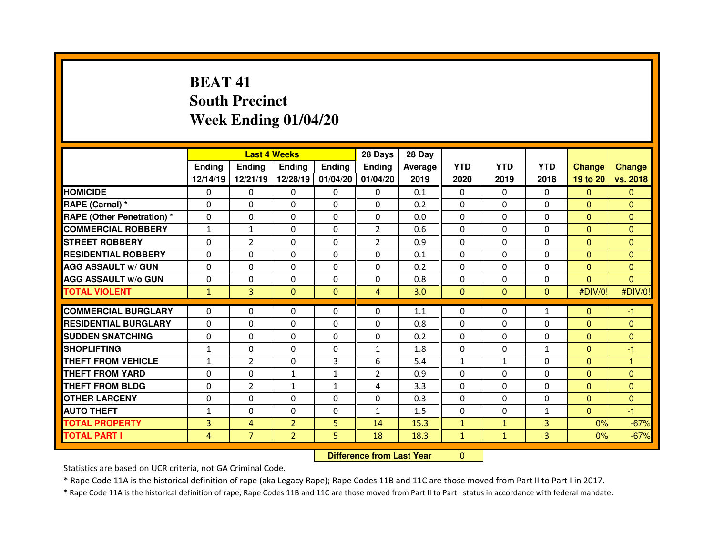# **BEAT 41 South PrecinctWeek Ending 01/04/20**

|                                  |               |                                  | <b>Last 4 Weeks</b> |                   | 28 Days        | 28 Day  |              |              |                |                |                |
|----------------------------------|---------------|----------------------------------|---------------------|-------------------|----------------|---------|--------------|--------------|----------------|----------------|----------------|
|                                  | <b>Ending</b> | <b>Ending</b>                    | <b>Ending</b>       | <b>Ending</b>     | <b>Ending</b>  | Average | <b>YTD</b>   | <b>YTD</b>   | <b>YTD</b>     | <b>Change</b>  | <b>Change</b>  |
|                                  | 12/14/19      | 12/21/19                         |                     | 12/28/19 01/04/20 | 01/04/20       | 2019    | 2020         | 2019         | 2018           | 19 to 20       | vs. 2018       |
| <b>HOMICIDE</b>                  | 0             | 0                                | 0                   | $\mathbf 0$       | 0              | 0.1     | $\Omega$     | $\Omega$     | $\Omega$       | $\mathbf{0}$   | $\mathbf{0}$   |
| RAPE (Carnal) *                  | 0             | 0                                | 0                   | 0                 | 0              | 0.2     | 0            | $\mathbf 0$  | 0              | $\overline{0}$ | $\mathbf{0}$   |
| <b>RAPE (Other Penetration)*</b> | 0             | 0                                | 0                   | $\Omega$          | $\Omega$       | 0.0     | $\Omega$     | $\Omega$     | $\Omega$       | $\overline{0}$ | $\Omega$       |
| <b>COMMERCIAL ROBBERY</b>        | $\mathbf{1}$  | $\mathbf{1}$                     | 0                   | 0                 | $\overline{2}$ | 0.6     | 0            | $\Omega$     | $\Omega$       | $\overline{0}$ | $\mathbf{0}$   |
| <b>STREET ROBBERY</b>            | $\Omega$      | $\overline{2}$                   | $\Omega$            | $\Omega$          | $\overline{2}$ | 0.9     | $\Omega$     | $\Omega$     | $\Omega$       | $\Omega$       | $\Omega$       |
| <b>RESIDENTIAL ROBBERY</b>       | 0             | 0                                | 0                   | $\mathbf 0$       | $\Omega$       | 0.1     | $\Omega$     | $\Omega$     | $\mathbf 0$    | $\overline{0}$ | $\mathbf{0}$   |
| <b>AGG ASSAULT w/ GUN</b>        | 0             | 0                                | $\mathbf{0}$        | $\Omega$          | 0              | 0.2     | $\Omega$     | $\mathbf{0}$ | $\Omega$       | $\mathbf{0}$   | $\Omega$       |
| <b>AGG ASSAULT w/o GUN</b>       | 0             | 0                                | $\mathbf 0$         | $\mathbf 0$       | 0              | 0.8     | $\mathbf 0$  | $\mathbf{0}$ | $\Omega$       | $\overline{0}$ | $\overline{0}$ |
| <b>TOTAL VIOLENT</b>             | $\mathbf{1}$  | 3                                | $\mathbf{0}$        | $\Omega$          | $\overline{4}$ | 3.0     | $\mathbf{0}$ | $\Omega$     | $\Omega$       | #DIV/0!        | #DIV/0!        |
| <b>COMMERCIAL BURGLARY</b>       | $\Omega$      | 0                                | $\mathbf{0}$        | $\Omega$          | $\Omega$       | 1.1     | 0            | $\Omega$     | $\mathbf{1}$   | $\mathbf{0}$   | $-1$           |
| <b>RESIDENTIAL BURGLARY</b>      | $\Omega$      | 0                                | $\mathbf{0}$        | $\Omega$          | $\Omega$       | 0.8     | $\Omega$     | $\Omega$     | $\Omega$       | $\mathbf{0}$   | $\Omega$       |
| <b>SUDDEN SNATCHING</b>          | $\Omega$      | 0                                | $\Omega$            | $\Omega$          | $\Omega$       | 0.2     | $\Omega$     | $\Omega$     | $\Omega$       | $\overline{0}$ | $\mathbf{0}$   |
| <b>SHOPLIFTING</b>               | $\mathbf{1}$  | 0                                | 0                   | $\mathbf{0}$      | $\mathbf{1}$   | 1.8     | 0            | 0            | $\mathbf{1}$   | $\mathbf{0}$   | -1             |
| <b>THEFT FROM VEHICLE</b>        | $\mathbf{1}$  | $\overline{2}$                   | 0                   | 3                 | 6              | 5.4     | $\mathbf{1}$ | $\mathbf{1}$ | $\Omega$       | $\overline{0}$ | 1              |
| <b>THEFT FROM YARD</b>           | 0             | 0                                | $\mathbf{1}$        | $\mathbf{1}$      | $\overline{2}$ | 0.9     | 0            | $\mathbf{0}$ | $\Omega$       | $\mathbf{0}$   | $\Omega$       |
| <b>THEFT FROM BLDG</b>           | 0             | $\overline{2}$                   | $\mathbf{1}$        | 1                 | 4              | 3.3     | $\Omega$     | $\mathbf{0}$ | $\Omega$       | $\overline{0}$ | $\mathbf{0}$   |
| <b>OTHER LARCENY</b>             | 0             | 0                                | 0                   | 0                 | 0              | 0.3     | $\Omega$     | $\Omega$     | 0              | $\mathbf{0}$   | $\mathbf{0}$   |
| <b>AUTO THEFT</b>                | $\mathbf{1}$  | 0                                | $\Omega$            | $\Omega$          | $\mathbf{1}$   | 1.5     | $\Omega$     | $\mathbf{0}$ | $\mathbf{1}$   | $\overline{0}$ | $-1$           |
| <b>TOTAL PROPERTY</b>            | 3             | $\overline{4}$                   | $\overline{2}$      | 5                 | 14             | 15.3    | $\mathbf{1}$ | $\mathbf{1}$ | $\overline{3}$ | 0%             | $-67%$         |
| <b>TOTAL PART I</b>              | 4             | $\overline{7}$                   | $\overline{2}$      | 5                 | 18             | 18.3    | $\mathbf{1}$ | $\mathbf{1}$ | $\overline{3}$ | 0%             | $-67%$         |
|                                  |               | <b>Difference from Last Year</b> |                     | $\Omega$          |                |         |              |              |                |                |                |

 **Difference from Last Year**

Statistics are based on UCR criteria, not GA Criminal Code.

\* Rape Code 11A is the historical definition of rape (aka Legacy Rape); Rape Codes 11B and 11C are those moved from Part II to Part I in 2017.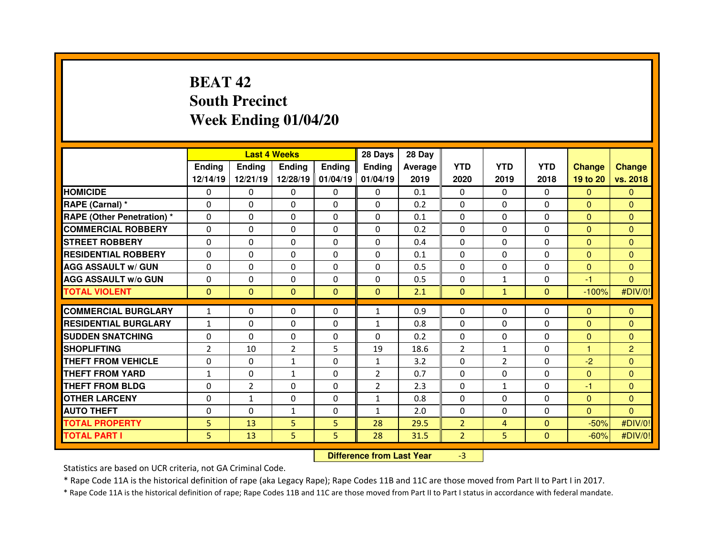# **BEAT 42 South PrecinctWeek Ending 01/04/20**

|                                  |                |                | <b>Last 4 Weeks</b> |                   | 28 Days        | 28 Day                           |                |                |                |                |                |
|----------------------------------|----------------|----------------|---------------------|-------------------|----------------|----------------------------------|----------------|----------------|----------------|----------------|----------------|
|                                  | <b>Ending</b>  | <b>Ending</b>  | <b>Ending</b>       | <b>Ending</b>     | <b>Ending</b>  | <b>Average</b>                   | <b>YTD</b>     | <b>YTD</b>     | <b>YTD</b>     | <b>Change</b>  | <b>Change</b>  |
|                                  | 12/14/19       | 12/21/19       |                     | 12/28/19 01/04/19 | 01/04/19       | 2019                             | 2020           | 2019           | 2018           | 19 to 20       | vs. 2018       |
| <b>HOMICIDE</b>                  | 0              | 0              | 0                   | $\Omega$          | 0              | 0.1                              | 0              | $\mathbf{0}$   | $\Omega$       | $\Omega$       | $\Omega$       |
| <b>RAPE (Carnal) *</b>           | $\Omega$       | 0              | $\Omega$            | $\Omega$          | $\Omega$       | 0.2                              | $\Omega$       | $\Omega$       | $\Omega$       | $\mathbf{0}$   | $\Omega$       |
| <b>RAPE (Other Penetration)*</b> | $\Omega$       | 0              | $\Omega$            | 0                 | 0              | 0.1                              | $\Omega$       | $\Omega$       | $\Omega$       | $\overline{0}$ | $\Omega$       |
| <b>COMMERCIAL ROBBERY</b>        | $\Omega$       | $\Omega$       | $\mathbf{0}$        | $\Omega$          | $\Omega$       | 0.2                              | $\Omega$       | $\mathbf{0}$   | $\Omega$       | $\mathbf{0}$   | $\Omega$       |
| <b>STREET ROBBERY</b>            | $\Omega$       | 0              | $\mathbf{0}$        | $\Omega$          | $\Omega$       | 0.4                              | $\Omega$       | $\Omega$       | $\Omega$       | $\Omega$       | $\Omega$       |
| <b>RESIDENTIAL ROBBERY</b>       | $\mathbf{0}$   | 0              | $\mathbf{0}$        | $\Omega$          | $\Omega$       | 0.1                              | $\Omega$       | $\mathbf{0}$   | $\Omega$       | $\mathbf{0}$   | $\Omega$       |
| <b>AGG ASSAULT w/ GUN</b>        | 0              | $\Omega$       | $\mathbf{0}$        | $\Omega$          | 0              | 0.5                              | $\Omega$       | $\Omega$       | $\Omega$       | $\overline{0}$ | $\Omega$       |
| <b>AGG ASSAULT w/o GUN</b>       | 0              | 0              | 0                   | $\Omega$          | 0              | 0.5                              | 0              | $\mathbf{1}$   | 0              | $-1$           | $\mathbf{0}$   |
| <b>TOTAL VIOLENT</b>             | $\mathbf{0}$   | $\mathbf{0}$   | $\mathbf{0}$        | $\mathbf{0}$      | $\mathbf{0}$   | 2.1                              | $\mathbf{0}$   | $\mathbf{1}$   | $\overline{0}$ | $-100%$        | #DIV/0!        |
| <b>COMMERCIAL BURGLARY</b>       | $\mathbf{1}$   | 0              | 0                   | $\Omega$          | $\mathbf{1}$   | 0.9                              | 0              | $\Omega$       | 0              | $\mathbf{0}$   | $\mathbf{0}$   |
| <b>RESIDENTIAL BURGLARY</b>      | $\mathbf{1}$   | 0              | 0                   | $\Omega$          | $\mathbf{1}$   | 0.8                              | $\Omega$       | $\Omega$       | $\Omega$       | $\mathbf{0}$   | $\Omega$       |
| <b>SUDDEN SNATCHING</b>          | 0              | 0              | 0                   | $\Omega$          | 0              | 0.2                              | 0              | $\Omega$       | $\Omega$       | $\overline{0}$ | $\mathbf{0}$   |
| <b>SHOPLIFTING</b>               | $\overline{2}$ | 10             | $\overline{2}$      | 5                 | 19             | 18.6                             | $\overline{2}$ | $\mathbf{1}$   | $\Omega$       | 1              | $\overline{2}$ |
| <b>THEFT FROM VEHICLE</b>        | 0              | 0              | $\mathbf{1}$        | $\Omega$          | $\mathbf{1}$   | 3.2                              | 0              | $\overline{2}$ | $\Omega$       | $-2$           | $\Omega$       |
| <b>THEFT FROM YARD</b>           | $\mathbf{1}$   | 0              | $\mathbf{1}$        | 0                 | $\overline{2}$ | 0.7                              | 0              | $\Omega$       | 0              | $\overline{0}$ | $\mathbf{0}$   |
| <b>THEFT FROM BLDG</b>           | 0              | $\overline{2}$ | 0                   | $\Omega$          | $\overline{2}$ | 2.3                              | $\Omega$       | $\mathbf{1}$   | 0              | $-1$           | $\Omega$       |
| <b>OTHER LARCENY</b>             | 0              | $\mathbf{1}$   | 0                   | 0                 | $\mathbf{1}$   | 0.8                              | 0              | $\Omega$       | $\Omega$       | $\overline{0}$ | $\mathbf{0}$   |
| <b>AUTO THEFT</b>                | $\Omega$       | $\Omega$       | $\mathbf{1}$        | $\Omega$          | $\mathbf{1}$   | 2.0                              | $\Omega$       | $\mathbf{0}$   | $\Omega$       | $\overline{0}$ | $\Omega$       |
| <b>TOTAL PROPERTY</b>            | 5              | 13             | 5                   | 5                 | 28             | 29.5                             | $\overline{2}$ | 4              | $\Omega$       | $-50%$         | #DIV/0!        |
| <b>TOTAL PART I</b>              | 5              | 13             | 5                   | 5                 | 28             | 31.5                             | $\overline{2}$ | 5              | $\mathbf{0}$   | $-60%$         | #DIV/0!        |
|                                  |                |                |                     |                   |                | <b>Difference from Last Year</b> | $-3$           |                |                |                |                |

Statistics are based on UCR criteria, not GA Criminal Code.

\* Rape Code 11A is the historical definition of rape (aka Legacy Rape); Rape Codes 11B and 11C are those moved from Part II to Part I in 2017.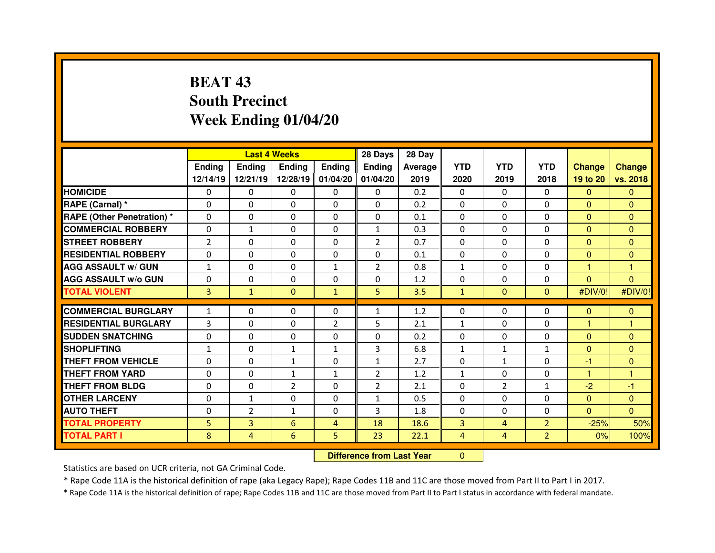# **BEAT 43 South PrecinctWeek Ending 01/04/20**

|                                  |                |                | <b>Last 4 Weeks</b> |                   | 28 Days        | 28 Day                           |                |                |                |                |                |
|----------------------------------|----------------|----------------|---------------------|-------------------|----------------|----------------------------------|----------------|----------------|----------------|----------------|----------------|
|                                  | <b>Ending</b>  | <b>Ending</b>  | Ending              | <b>Ending</b>     | Ending         | Average                          | <b>YTD</b>     | <b>YTD</b>     | <b>YTD</b>     | <b>Change</b>  | <b>Change</b>  |
|                                  | 12/14/19       | 12/21/19       |                     | 12/28/19 01/04/20 | 01/04/20       | 2019                             | 2020           | 2019           | 2018           | 19 to 20       | vs. 2018       |
| <b>HOMICIDE</b>                  | 0              | 0              | 0                   | $\mathbf 0$       | 0              | 0.2                              | $\Omega$       | $\Omega$       | $\Omega$       | $\mathbf{0}$   | $\mathbf{0}$   |
| RAPE (Carnal) *                  | 0              | 0              | 0                   | 0                 | 0              | 0.2                              | 0              | $\mathbf 0$    | 0              | $\overline{0}$ | $\mathbf{0}$   |
| <b>RAPE (Other Penetration)*</b> | 0              | 0              | 0                   | $\Omega$          | $\Omega$       | 0.1                              | $\Omega$       | $\Omega$       | $\Omega$       | $\mathbf{0}$   | $\Omega$       |
| <b>COMMERCIAL ROBBERY</b>        | 0              | $\mathbf{1}$   | 0                   | 0                 | $\mathbf{1}$   | 0.3                              | 0              | $\Omega$       | $\Omega$       | $\overline{0}$ | $\mathbf{0}$   |
| <b>STREET ROBBERY</b>            | $\overline{2}$ | 0              | $\Omega$            | $\Omega$          | $\overline{2}$ | 0.7                              | $\Omega$       | $\Omega$       | $\Omega$       | $\overline{0}$ | $\Omega$       |
| <b>RESIDENTIAL ROBBERY</b>       | 0              | 0              | 0                   | 0                 | $\Omega$       | 0.1                              | 0              | $\Omega$       | $\Omega$       | $\overline{0}$ | $\mathbf{0}$   |
| <b>AGG ASSAULT w/ GUN</b>        | $\mathbf{1}$   | 0              | $\mathbf{0}$        | $\mathbf{1}$      | $\overline{2}$ | 0.8                              | $\mathbf{1}$   | $\mathbf{0}$   | $\Omega$       | 1              | 1              |
| <b>AGG ASSAULT w/o GUN</b>       | 0              | 0              | $\mathbf 0$         | $\mathbf 0$       | 0              | 1.2                              | 0              | $\mathbf{0}$   | $\Omega$       | $\overline{0}$ | $\overline{0}$ |
| <b>TOTAL VIOLENT</b>             | 3              | $\mathbf{1}$   | $\mathbf{0}$        | $\mathbf{1}$      | 5              | 3.5                              | $\mathbf{1}$   | $\Omega$       | $\Omega$       | #DIV/0!        | #DIV/0!        |
| <b>COMMERCIAL BURGLARY</b>       | $\mathbf{1}$   | 0              | $\Omega$            | $\Omega$          | $\mathbf{1}$   | 1.2                              | 0              | $\Omega$       | $\Omega$       | $\mathbf{0}$   | $\mathbf{0}$   |
| <b>RESIDENTIAL BURGLARY</b>      | 3              | 0              | $\mathbf{0}$        | $\overline{2}$    | 5              | 2.1                              | $\mathbf{1}$   | $\Omega$       | $\Omega$       | 1              | 1              |
| <b>SUDDEN SNATCHING</b>          | $\Omega$       | 0              | $\Omega$            | $\Omega$          | $\Omega$       | 0.2                              | $\Omega$       | $\Omega$       | $\Omega$       | $\overline{0}$ | $\Omega$       |
| <b>SHOPLIFTING</b>               | $\mathbf{1}$   | 0              | $\mathbf{1}$        | $\mathbf{1}$      | 3              | 6.8                              | $\mathbf{1}$   | $\mathbf{1}$   | $\mathbf{1}$   | $\mathbf{0}$   | $\Omega$       |
| <b>THEFT FROM VEHICLE</b>        | 0              | 0              | $\mathbf{1}$        | 0                 | $\mathbf{1}$   | 2.7                              | $\Omega$       | $\mathbf{1}$   | $\Omega$       | $-1$           | $\mathbf{0}$   |
| <b>THEFT FROM YARD</b>           | 0              | 0              | $\mathbf{1}$        | $\mathbf{1}$      | $\overline{2}$ | 1.2                              | $\mathbf{1}$   | 0              | $\Omega$       | 1              | 1              |
| <b>THEFT FROM BLDG</b>           | 0              | 0              | $\overline{2}$      | 0                 | $\overline{2}$ | 2.1                              | 0              | $\overline{2}$ | $\mathbf{1}$   | $-2$           | $-1$           |
| <b>OTHER LARCENY</b>             | 0              | $\mathbf{1}$   | 0                   | 0                 | $\mathbf{1}$   | 0.5                              | $\Omega$       | $\mathbf{0}$   | $\Omega$       | $\mathbf{0}$   | $\mathbf{0}$   |
| <b>AUTO THEFT</b>                | 0              | $\overline{2}$ | $\mathbf{1}$        | 0                 | 3              | 1.8                              | $\Omega$       | $\Omega$       | $\Omega$       | $\overline{0}$ | $\Omega$       |
| <b>TOTAL PROPERTY</b>            | 5              | $\overline{3}$ | 6                   | 4                 | 18             | 18.6                             | 3              | 4              | $\overline{2}$ | $-25%$         | 50%            |
| <b>TOTAL PART I</b>              | 8              | 4              | $6\phantom{.}6$     | 5                 | 23             | 22.1                             | $\overline{4}$ | 4              | $\overline{2}$ | 0%             | 100%           |
|                                  |                |                |                     |                   |                | <b>Difference from Last Year</b> | $\Omega$       |                |                |                |                |

 **Difference from Last Year**

Statistics are based on UCR criteria, not GA Criminal Code.

\* Rape Code 11A is the historical definition of rape (aka Legacy Rape); Rape Codes 11B and 11C are those moved from Part II to Part I in 2017.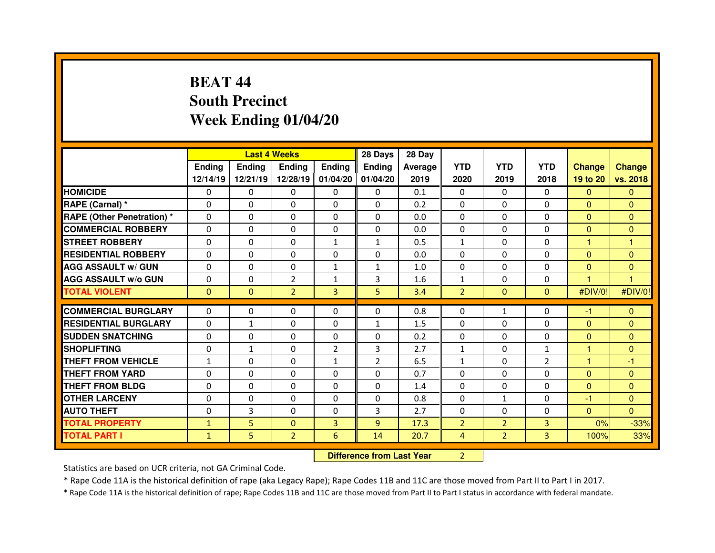# **BEAT 44 South PrecinctWeek Ending 01/04/20**

|                                   |               |               | <b>Last 4 Weeks</b> |                   | 28 Days        | 28 Day                           |                |                |                |                |                |
|-----------------------------------|---------------|---------------|---------------------|-------------------|----------------|----------------------------------|----------------|----------------|----------------|----------------|----------------|
|                                   | <b>Ending</b> | <b>Ending</b> | Ending              | <b>Ending</b>     | Ending         | Average                          | <b>YTD</b>     | <b>YTD</b>     | <b>YTD</b>     | <b>Change</b>  | <b>Change</b>  |
|                                   | 12/14/19      | 12/21/19      |                     | 12/28/19 01/04/20 | 01/04/20       | 2019                             | 2020           | 2019           | 2018           | 19 to 20       | vs. 2018       |
| <b>HOMICIDE</b>                   | $\Omega$      | 0             | 0                   | $\Omega$          | 0              | 0.1                              | $\Omega$       | $\mathbf{0}$   | $\Omega$       | $\mathbf{0}$   | $\Omega$       |
| RAPE (Carnal) *                   | 0             | 0             | 0                   | $\Omega$          | $\Omega$       | 0.2                              | $\Omega$       | $\mathbf{0}$   | $\Omega$       | $\overline{0}$ | $\Omega$       |
| <b>RAPE (Other Penetration) *</b> | 0             | 0             | 0                   | 0                 | 0              | 0.0                              | $\Omega$       | $\mathbf 0$    | $\Omega$       | $\overline{0}$ | $\Omega$       |
| <b>COMMERCIAL ROBBERY</b>         | $\Omega$      | 0             | $\Omega$            | $\Omega$          | $\Omega$       | 0.0                              | $\Omega$       | $\mathbf{0}$   | $\Omega$       | $\Omega$       | $\Omega$       |
| <b>STREET ROBBERY</b>             | 0             | 0             | 0                   | $\mathbf{1}$      | $\mathbf{1}$   | 0.5                              | $\mathbf{1}$   | $\Omega$       | $\Omega$       | 1              | 1              |
| <b>RESIDENTIAL ROBBERY</b>        | $\Omega$      | $\Omega$      | $\mathbf{0}$        | $\Omega$          | $\Omega$       | 0.0                              | $\Omega$       | $\mathbf{0}$   | $\Omega$       | $\Omega$       | $\Omega$       |
| <b>AGG ASSAULT w/ GUN</b>         | $\Omega$      | $\Omega$      | $\Omega$            | $\mathbf{1}$      | $\mathbf{1}$   | 1.0                              | $\Omega$       | $\mathbf{0}$   | $\Omega$       | $\mathbf{0}$   | $\mathbf{0}$   |
| <b>AGG ASSAULT w/o GUN</b>        | 0             | 0             | $\overline{2}$      | $\mathbf{1}$      | 3              | 1.6                              | $\mathbf 1$    | $\mathbf{0}$   | 0              | 1              | $\overline{1}$ |
| <b>TOTAL VIOLENT</b>              | $\mathbf{0}$  | $\mathbf{0}$  | $\overline{2}$      | $\overline{3}$    | 5              | 3.4                              | $\overline{2}$ | $\mathbf{0}$   | $\overline{0}$ | #DIV/0!        | #DIV/0!        |
| <b>COMMERCIAL BURGLARY</b>        | $\Omega$      | $\Omega$      | $\mathbf{0}$        | $\Omega$          | $\Omega$       | 0.8                              | 0              | $\mathbf{1}$   | $\Omega$       | -1             | $\mathbf{0}$   |
| <b>RESIDENTIAL BURGLARY</b>       | $\Omega$      | $\mathbf{1}$  | 0                   | $\Omega$          | $\mathbf{1}$   | 1.5                              | 0              | $\Omega$       | $\Omega$       | $\overline{0}$ | $\mathbf{0}$   |
| <b>SUDDEN SNATCHING</b>           | 0             | 0             | 0                   | $\Omega$          | 0              | 0.2                              | 0              | $\Omega$       | $\Omega$       | $\mathbf{0}$   | $\Omega$       |
| <b>SHOPLIFTING</b>                | 0             | $\mathbf{1}$  | 0                   | $\overline{2}$    | 3              | 2.7                              | $\mathbf{1}$   | $\Omega$       | $\mathbf{1}$   | 1              | $\mathbf{0}$   |
| <b>THEFT FROM VEHICLE</b>         | $\mathbf{1}$  | 0             | 0                   | $\mathbf{1}$      | $\overline{2}$ | 6.5                              | $\mathbf{1}$   | $\Omega$       | $\overline{2}$ | н              | $-1$           |
| <b>THEFT FROM YARD</b>            | 0             | 0             | 0                   | $\Omega$          | $\Omega$       | 0.7                              | $\Omega$       | $\Omega$       | $\Omega$       | $\mathbf{0}$   | $\Omega$       |
| <b>THEFT FROM BLDG</b>            | 0             | 0             | 0                   | 0                 | 0              | 1.4                              | 0              | $\Omega$       | 0              | $\mathbf{0}$   | $\Omega$       |
| <b>OTHER LARCENY</b>              | 0             | 0             | 0                   | $\Omega$          | $\Omega$       | 0.8                              | $\Omega$       | $\mathbf{1}$   | $\Omega$       | $-1$           | $\Omega$       |
| <b>AUTO THEFT</b>                 | $\Omega$      | 3             | $\Omega$            | $\Omega$          | 3              | 2.7                              | $\Omega$       | $\Omega$       | $\Omega$       | $\overline{0}$ | $\Omega$       |
| <b>TOTAL PROPERTY</b>             | $\mathbf{1}$  | 5             | $\mathbf 0$         | 3                 | 9              | 17.3                             | $\overline{2}$ | $\overline{2}$ | $\overline{3}$ | 0%             | $-33%$         |
| <b>TOTAL PART I</b>               | $\mathbf{1}$  | 5             | $\overline{2}$      | 6                 | 14             | 20.7                             | $\overline{4}$ | 2 <sup>1</sup> | 3              | 100%           | 33%            |
|                                   |               |               |                     |                   |                | <b>Difference from Last Year</b> | $\overline{2}$ |                |                |                |                |

Statistics are based on UCR criteria, not GA Criminal Code.

\* Rape Code 11A is the historical definition of rape (aka Legacy Rape); Rape Codes 11B and 11C are those moved from Part II to Part I in 2017.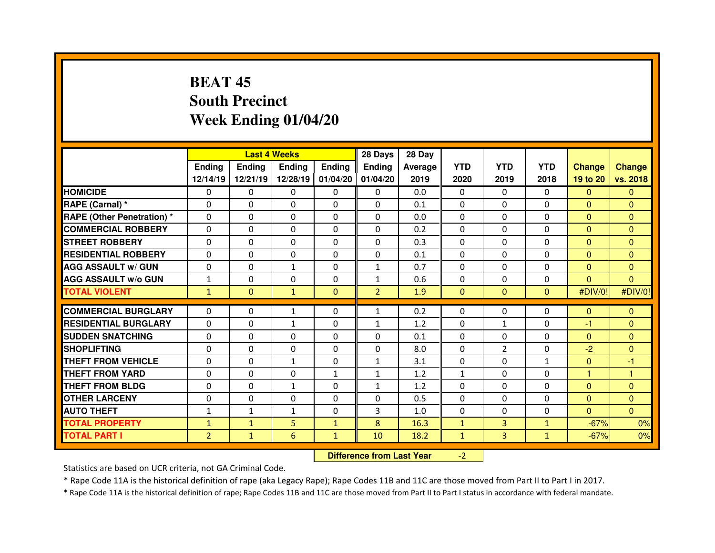# **BEAT 45 South PrecinctWeek Ending 01/04/20**

|                                  |                | <b>Last 4 Weeks</b> |               |               | 28 Days        | 28 Day  |              |                |                |                |                |
|----------------------------------|----------------|---------------------|---------------|---------------|----------------|---------|--------------|----------------|----------------|----------------|----------------|
|                                  | Ending         | <b>Ending</b>       | <b>Endina</b> | <b>Ending</b> | <b>Ending</b>  | Average | <b>YTD</b>   | <b>YTD</b>     | <b>YTD</b>     | <b>Change</b>  | <b>Change</b>  |
|                                  | 12/14/19       | 12/21/19            | 12/28/19      | 01/04/20      | 01/04/20       | 2019    | 2020         | 2019           | 2018           | 19 to 20       | vs. 2018       |
| <b>HOMICIDE</b>                  | $\Omega$       | 0                   | $\Omega$      | $\Omega$      | $\Omega$       | 0.0     | $\Omega$     | $\Omega$       | $\Omega$       | $\Omega$       | $\Omega$       |
| RAPE (Carnal) *                  | $\Omega$       | 0                   | 0             | $\Omega$      | $\Omega$       | 0.1     | $\Omega$     | $\Omega$       | $\Omega$       | $\mathbf{0}$   | $\Omega$       |
| <b>RAPE (Other Penetration)*</b> | $\Omega$       | 0                   | $\Omega$      | $\Omega$      | $\Omega$       | 0.0     | $\Omega$     | $\Omega$       | $\Omega$       | $\Omega$       | $\Omega$       |
| <b>COMMERCIAL ROBBERY</b>        | $\Omega$       | 0                   | $\Omega$      | $\Omega$      | $\Omega$       | 0.2     | $\Omega$     | $\Omega$       | $\Omega$       | $\mathbf{0}$   | $\Omega$       |
| <b>STREET ROBBERY</b>            | $\Omega$       | 0                   | $\Omega$      | $\Omega$      | $\Omega$       | 0.3     | $\Omega$     | $\Omega$       | $\Omega$       | $\Omega$       | $\Omega$       |
| <b>RESIDENTIAL ROBBERY</b>       | $\Omega$       | 0                   | $\Omega$      | $\mathbf{0}$  | $\Omega$       | 0.1     | $\Omega$     | $\Omega$       | $\Omega$       | $\Omega$       | $\Omega$       |
| <b>AGG ASSAULT w/ GUN</b>        | $\Omega$       | 0                   | $\mathbf{1}$  | $\mathbf{0}$  | $\mathbf{1}$   | 0.7     | $\Omega$     | $\Omega$       | $\Omega$       | $\overline{0}$ | $\Omega$       |
| <b>AGG ASSAULT w/o GUN</b>       | $\mathbf{1}$   | 0                   | $\Omega$      | $\mathbf{0}$  | $\mathbf{1}$   | 0.6     | $\mathbf{0}$ | $\Omega$       | $\Omega$       | $\mathbf{0}$   | $\Omega$       |
| <b>TOTAL VIOLENT</b>             | $\mathbf{1}$   | $\mathbf{0}$        | $\mathbf{1}$  | $\Omega$      | $\overline{2}$ | 1.9     | $\mathbf{0}$ | $\Omega$       | $\overline{0}$ | #DIV/0!        | #DIV/0!        |
| <b>COMMERCIAL BURGLARY</b>       | $\Omega$       | 0                   | $\mathbf{1}$  | $\Omega$      | $\mathbf{1}$   | 0.2     | $\mathbf{0}$ | 0              | 0              | $\mathbf{0}$   | $\Omega$       |
|                                  |                |                     |               |               |                |         |              |                |                |                |                |
| <b>RESIDENTIAL BURGLARY</b>      | $\Omega$       | 0                   | $\mathbf{1}$  | $\Omega$      | $\mathbf{1}$   | 1.2     | $\mathbf{0}$ | $\mathbf{1}$   | $\Omega$       | -1             | $\Omega$       |
| <b>SUDDEN SNATCHING</b>          | $\Omega$       | 0                   | 0             | $\Omega$      | $\Omega$       | 0.1     | $\Omega$     | $\Omega$       | $\Omega$       | $\mathbf{0}$   | $\Omega$       |
| <b>SHOPLIFTING</b>               | $\Omega$       | 0                   | $\Omega$      | $\Omega$      | $\Omega$       | 8.0     | $\Omega$     | $\overline{2}$ | $\Omega$       | $-2$           | $\Omega$       |
| THEFT FROM VEHICLE               | 0              | 0                   | $\mathbf{1}$  | $\mathbf{0}$  | $\mathbf{1}$   | 3.1     | $\mathbf{0}$ | $\Omega$       | $\mathbf{1}$   | $\Omega$       | -1             |
| <b>THEFT FROM YARD</b>           | $\Omega$       | 0                   | $\Omega$      | $\mathbf{1}$  | $\mathbf{1}$   | 1.2     | $\mathbf{1}$ | $\Omega$       | $\Omega$       | 1              | 1              |
| <b>THEFT FROM BLDG</b>           | $\Omega$       | 0                   | $\mathbf{1}$  | $\mathbf{0}$  | $\mathbf{1}$   | 1.2     | $\Omega$     | $\Omega$       | $\Omega$       | $\Omega$       | $\overline{0}$ |
| <b>OTHER LARCENY</b>             | $\Omega$       | 0                   | $\Omega$      | $\Omega$      | $\Omega$       | 0.5     | $\Omega$     | $\Omega$       | $\Omega$       | $\mathbf{0}$   | $\Omega$       |
| <b>AUTO THEFT</b>                | $\mathbf{1}$   | $\mathbf{1}$        | $\mathbf{1}$  | $\mathbf{0}$  | 3              | 1.0     | $\mathbf{0}$ | $\Omega$       | $\Omega$       | $\mathbf{0}$   | $\Omega$       |
| <b>TOTAL PROPERTY</b>            | $\mathbf{1}$   | $\mathbf{1}$        | 5             | $\mathbf{1}$  | 8              | 16.3    | $\mathbf{1}$ | $\overline{3}$ | $\mathbf{1}$   | $-67%$         | 0%             |
| <b>TOTAL PART I</b>              | $\overline{2}$ | $\mathbf{1}$        | 6             | $\mathbf{1}$  | 10             | 18.2    | $\mathbf{1}$ | 3              | $\mathbf{1}$   | $-67%$         | 0%             |
|                                  |                |                     |               |               |                |         |              |                |                |                |                |

 **Difference from Last Year**-2

Statistics are based on UCR criteria, not GA Criminal Code.

\* Rape Code 11A is the historical definition of rape (aka Legacy Rape); Rape Codes 11B and 11C are those moved from Part II to Part I in 2017.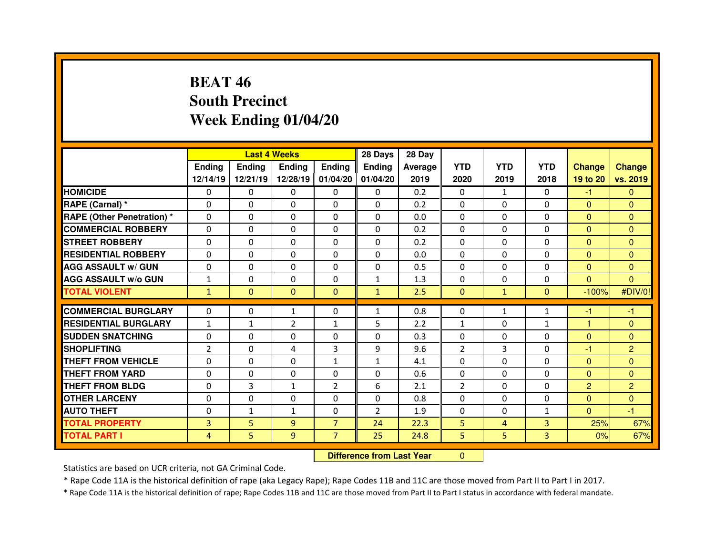# **BEAT 46 South PrecinctWeek Ending 01/04/20**

|                                   |                |               | <b>Last 4 Weeks</b> |                   | 28 Days        | 28 Day                           |                |              |                |                |                |
|-----------------------------------|----------------|---------------|---------------------|-------------------|----------------|----------------------------------|----------------|--------------|----------------|----------------|----------------|
|                                   | <b>Ending</b>  | <b>Ending</b> | <b>Ending</b>       | <b>Ending</b>     | Ending         | Average                          | <b>YTD</b>     | <b>YTD</b>   | <b>YTD</b>     | <b>Change</b>  | <b>Change</b>  |
|                                   | 12/14/19       | 12/21/19      |                     | 12/28/19 01/04/20 | 01/04/20       | 2019                             | 2020           | 2019         | 2018           | 19 to 20       | vs. 2019       |
| <b>HOMICIDE</b>                   | $\Omega$       | 0             | 0                   | $\Omega$          | 0              | 0.2                              | $\Omega$       | $\mathbf{1}$ | $\Omega$       | $-1$           | $\Omega$       |
| RAPE (Carnal) *                   | 0              | 0             | 0                   | $\Omega$          | $\Omega$       | 0.2                              | $\Omega$       | $\Omega$     | $\Omega$       | $\overline{0}$ | $\Omega$       |
| <b>RAPE (Other Penetration) *</b> | 0              | 0             | 0                   | 0                 | $\Omega$       | 0.0                              | $\Omega$       | $\mathbf 0$  | $\Omega$       | $\overline{0}$ | $\Omega$       |
| <b>COMMERCIAL ROBBERY</b>         | $\Omega$       | 0             | $\Omega$            | $\Omega$          | $\Omega$       | 0.2                              | $\Omega$       | $\mathbf{0}$ | $\Omega$       | $\overline{0}$ | $\Omega$       |
| <b>STREET ROBBERY</b>             | $\Omega$       | 0             | 0                   | $\Omega$          | 0              | 0.2                              | $\Omega$       | $\Omega$     | $\Omega$       | $\overline{0}$ | $\Omega$       |
| <b>RESIDENTIAL ROBBERY</b>        | $\Omega$       | $\Omega$      | $\mathbf{0}$        | $\Omega$          | $\Omega$       | 0.0                              | $\Omega$       | $\mathbf{0}$ | $\Omega$       | $\Omega$       | $\Omega$       |
| <b>AGG ASSAULT w/ GUN</b>         | $\Omega$       | $\Omega$      | $\mathbf{0}$        | $\Omega$          | 0              | 0.5                              | $\mathbf 0$    | $\mathbf{0}$ | $\Omega$       | $\overline{0}$ | $\Omega$       |
| <b>AGG ASSAULT w/o GUN</b>        | $\mathbf{1}$   | 0             | 0                   | $\Omega$          | $\mathbf{1}$   | 1.3                              | 0              | $\mathbf{0}$ | $\Omega$       | $\overline{0}$ | $\mathbf{0}$   |
| <b>TOTAL VIOLENT</b>              | $\mathbf{1}$   | $\mathbf{0}$  | $\mathbf{0}$        | $\mathbf{0}$      | $\mathbf{1}$   | 2.5                              | $\mathbf{0}$   | $\mathbf{1}$ | $\overline{0}$ | $-100%$        | #DIV/0!        |
| <b>COMMERCIAL BURGLARY</b>        | $\Omega$       | $\Omega$      | $\mathbf{1}$        | $\Omega$          | $\mathbf{1}$   | 0.8                              | 0              | $\mathbf{1}$ | $\mathbf{1}$   | $-1$           | -1             |
| <b>RESIDENTIAL BURGLARY</b>       | $\mathbf{1}$   | $\mathbf{1}$  | $\overline{2}$      | 1                 | 5              | 2.2                              | $\mathbf{1}$   | $\mathbf{0}$ | $\mathbf{1}$   | 1              | $\mathbf{0}$   |
| <b>SUDDEN SNATCHING</b>           | 0              | 0             | 0                   | $\Omega$          | 0              | 0.3                              | $\Omega$       | $\Omega$     | $\Omega$       | $\mathbf{0}$   | $\Omega$       |
| <b>SHOPLIFTING</b>                | $\overline{2}$ | 0             | 4                   | 3                 | 9              | 9.6                              | $\overline{2}$ | 3            | $\Omega$       | $-1$           | $\overline{2}$ |
| <b>THEFT FROM VEHICLE</b>         | 0              | 0             | 0                   | $\mathbf{1}$      | $\mathbf{1}$   | 4.1                              | 0              | $\mathbf 0$  | $\Omega$       | $\overline{0}$ | $\mathbf{0}$   |
| <b>THEFT FROM YARD</b>            | 0              | 0             | 0                   | 0                 | $\Omega$       | 0.6                              | 0              | $\Omega$     | $\Omega$       | $\mathbf{0}$   | $\Omega$       |
| <b>THEFT FROM BLDG</b>            | 0              | 3             | $\mathbf{1}$        | $\overline{2}$    | 6              | 2.1                              | $\overline{2}$ | $\Omega$     | $\Omega$       | $\overline{2}$ | $\overline{2}$ |
| <b>OTHER LARCENY</b>              | 0              | 0             | 0                   | $\Omega$          | $\Omega$       | 0.8                              | $\Omega$       | $\Omega$     | $\Omega$       | $\overline{0}$ | $\mathbf{0}$   |
| <b>AUTO THEFT</b>                 | $\Omega$       | $\mathbf{1}$  | $\mathbf{1}$        | 0                 | $\overline{2}$ | 1.9                              | $\Omega$       | $\mathbf{0}$ | $\mathbf{1}$   | $\overline{0}$ | $-1$           |
| <b>TOTAL PROPERTY</b>             | 3              | 5             | 9                   | $\overline{7}$    | 24             | 22.3                             | 5              | 4            | $\overline{3}$ | 25%            | 67%            |
| <b>TOTAL PART I</b>               | $\overline{4}$ | 5             | 9                   | $\overline{7}$    | 25             | 24.8                             | 5              | 5            | $\overline{3}$ | 0%             | 67%            |
|                                   |                |               |                     |                   |                | <b>Difference from Last Year</b> | $\Omega$       |              |                |                |                |

Statistics are based on UCR criteria, not GA Criminal Code.

\* Rape Code 11A is the historical definition of rape (aka Legacy Rape); Rape Codes 11B and 11C are those moved from Part II to Part I in 2017.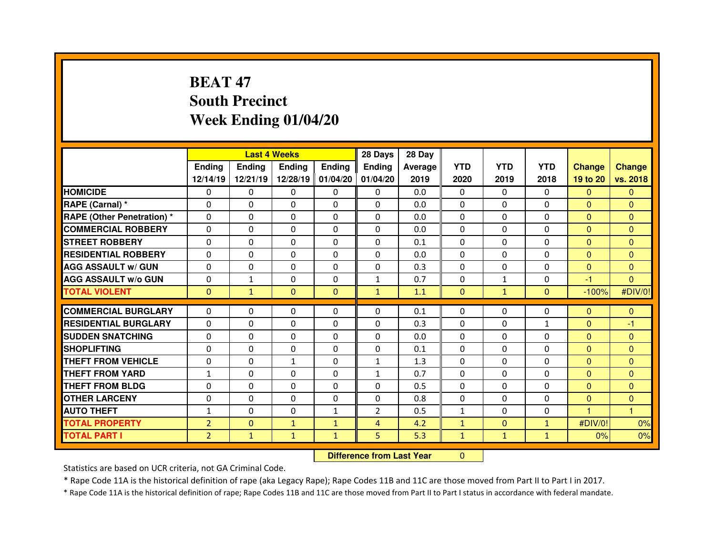# **BEAT 47 South PrecinctWeek Ending 01/04/20**

|                                   |                |               | <b>Last 4 Weeks</b> |                   | 28 Days        | 28 Day                           |              |              |                |                |               |
|-----------------------------------|----------------|---------------|---------------------|-------------------|----------------|----------------------------------|--------------|--------------|----------------|----------------|---------------|
|                                   | <b>Ending</b>  | <b>Ending</b> | Ending              | <b>Ending</b>     | Ending         | Average                          | <b>YTD</b>   | <b>YTD</b>   | <b>YTD</b>     | <b>Change</b>  | <b>Change</b> |
|                                   | 12/14/19       | 12/21/19      |                     | 12/28/19 01/04/20 | 01/04/20       | 2019                             | 2020         | 2019         | 2018           | 19 to 20       | vs. 2018      |
| <b>HOMICIDE</b>                   | $\Omega$       | 0             | 0                   | $\Omega$          | 0              | 0.0                              | $\Omega$     | $\mathbf{0}$ | $\Omega$       | $\mathbf{0}$   | $\Omega$      |
| RAPE (Carnal) *                   | 0              | 0             | 0                   | $\Omega$          | $\Omega$       | 0.0                              | $\Omega$     | $\mathbf{0}$ | $\Omega$       | $\mathbf{0}$   | $\Omega$      |
| <b>RAPE (Other Penetration) *</b> | 0              | 0             | 0                   | 0                 | 0              | 0.0                              | $\Omega$     | $\mathbf 0$  | $\Omega$       | $\overline{0}$ | $\Omega$      |
| <b>COMMERCIAL ROBBERY</b>         | $\Omega$       | 0             | $\Omega$            | $\Omega$          | $\Omega$       | 0.0                              | $\Omega$     | $\mathbf{0}$ | $\Omega$       | $\overline{0}$ | $\Omega$      |
| <b>STREET ROBBERY</b>             | 0              | 0             | 0                   | $\Omega$          | 0              | 0.1                              | $\Omega$     | $\Omega$     | $\Omega$       | $\overline{0}$ | $\Omega$      |
| <b>RESIDENTIAL ROBBERY</b>        | $\Omega$       | $\Omega$      | $\mathbf{0}$        | $\Omega$          | $\Omega$       | 0.0                              | $\Omega$     | $\mathbf{0}$ | $\Omega$       | $\Omega$       | $\Omega$      |
| <b>AGG ASSAULT w/ GUN</b>         | $\Omega$       | $\Omega$      | $\mathbf{0}$        | $\Omega$          | 0              | 0.3                              | $\mathbf 0$  | $\mathbf{0}$ | $\Omega$       | $\overline{0}$ | $\Omega$      |
| <b>AGG ASSAULT w/o GUN</b>        | 0              | $\mathbf{1}$  | 0                   | $\Omega$          | $\mathbf{1}$   | 0.7                              | 0            | $\mathbf{1}$ | $\Omega$       | $-1$           | $\mathbf{0}$  |
| <b>TOTAL VIOLENT</b>              | $\mathbf{0}$   | $\mathbf{1}$  | $\mathbf{0}$        | $\mathbf{0}$      | $\mathbf{1}$   | 1.1                              | $\mathbf{0}$ | $\mathbf{1}$ | $\overline{0}$ | $-100%$        | #DIV/0!       |
| <b>COMMERCIAL BURGLARY</b>        | $\Omega$       | $\Omega$      | $\mathbf{0}$        | $\Omega$          | $\Omega$       | 0.1                              | 0            | $\Omega$     | $\Omega$       | $\mathbf{0}$   | $\mathbf{0}$  |
| <b>RESIDENTIAL BURGLARY</b>       | $\Omega$       | 0             | 0                   | $\Omega$          | 0              | 0.3                              | 0            | $\mathbf{0}$ | $\mathbf{1}$   | $\mathbf{0}$   | -1            |
| <b>SUDDEN SNATCHING</b>           | 0              | 0             | 0                   | $\Omega$          | 0              | 0.0                              | $\Omega$     | $\Omega$     | $\Omega$       | $\mathbf{0}$   | $\Omega$      |
| <b>SHOPLIFTING</b>                | 0              | 0             | 0                   | 0                 | $\Omega$       | 0.1                              | $\Omega$     | $\Omega$     | $\Omega$       | $\overline{0}$ | $\mathbf{0}$  |
| <b>THEFT FROM VEHICLE</b>         | 0              | 0             | $\mathbf{1}$        | 0                 | $\mathbf{1}$   | 1.3                              | 0            | $\Omega$     | 0              | $\overline{0}$ | $\mathbf{0}$  |
| <b>THEFT FROM YARD</b>            | $\mathbf{1}$   | 0             | $\Omega$            | $\Omega$          | $\mathbf{1}$   | 0.7                              | $\Omega$     | $\Omega$     | $\Omega$       | $\mathbf{0}$   | $\Omega$      |
| <b>THEFT FROM BLDG</b>            | 0              | 0             | 0                   | 0                 | 0              | 0.5                              | 0            | $\Omega$     | 0              | $\overline{0}$ | $\Omega$      |
| <b>OTHER LARCENY</b>              | 0              | 0             | 0                   | 0                 | $\Omega$       | 0.8                              | $\Omega$     | $\Omega$     | $\Omega$       | $\mathbf{0}$   | $\mathbf{0}$  |
| <b>AUTO THEFT</b>                 | $\mathbf{1}$   | 0             | $\Omega$            | $\mathbf{1}$      | $\overline{2}$ | 0.5                              | $\mathbf{1}$ | $\Omega$     | $\Omega$       |                | $\mathbf{1}$  |
| <b>TOTAL PROPERTY</b>             | $\overline{2}$ | $\mathbf{0}$  | $\mathbf{1}$        | $\mathbf{1}$      | $\overline{4}$ | 4.2                              | $\mathbf{1}$ | $\mathbf{0}$ | $\mathbf{1}$   | #DIV/0!        | 0%            |
| <b>TOTAL PART I</b>               | $\overline{2}$ | $\mathbf{1}$  | $\mathbf{1}$        | $\mathbf{1}$      | 5              | 5.3                              | $\mathbf{1}$ | $\mathbf{1}$ | $\mathbf{1}$   | 0%             | 0%            |
|                                   |                |               |                     |                   |                | <b>Difference from Last Year</b> | $\Omega$     |              |                |                |               |

Statistics are based on UCR criteria, not GA Criminal Code.

\* Rape Code 11A is the historical definition of rape (aka Legacy Rape); Rape Codes 11B and 11C are those moved from Part II to Part I in 2017.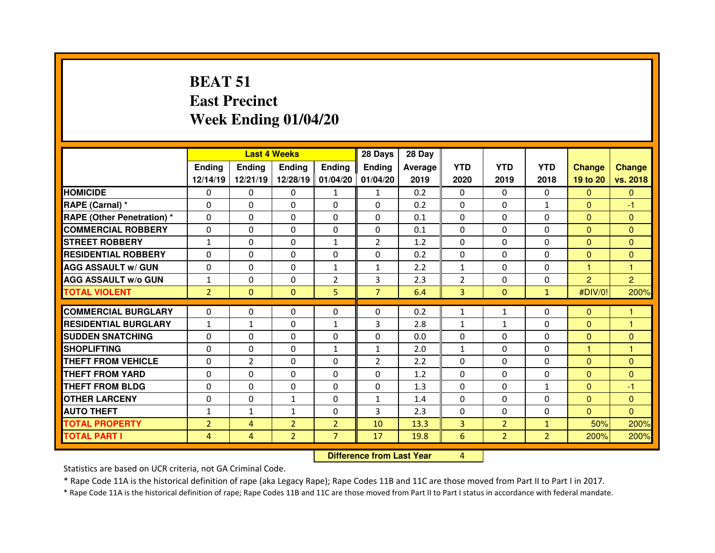# **BEAT 51 East PrecinctWeek Ending 01/04/20**

|                                  |                |                | <b>Last 4 Weeks</b> |                   | 28 Days        | 28 Day  |                |                |                |                |                |
|----------------------------------|----------------|----------------|---------------------|-------------------|----------------|---------|----------------|----------------|----------------|----------------|----------------|
|                                  | <b>Ending</b>  | <b>Ending</b>  | Ending              | <b>Ending</b>     | Ending         | Average | <b>YTD</b>     | <b>YTD</b>     | <b>YTD</b>     | <b>Change</b>  | <b>Change</b>  |
|                                  | 12/14/19       | 12/21/19       |                     | 12/28/19 01/04/20 | 01/04/20       | 2019    | 2020           | 2019           | 2018           | 19 to 20       | vs. 2018       |
| <b>HOMICIDE</b>                  | $\Omega$       | 0              | 0                   | $\mathbf{1}$      | $\mathbf{1}$   | 0.2     | $\Omega$       | $\Omega$       | $\Omega$       | $\mathbf{0}$   | $\mathbf{0}$   |
| RAPE (Carnal) *                  | 0              | 0              | $\Omega$            | $\Omega$          | $\Omega$       | 0.2     | $\Omega$       | 0              | $\mathbf{1}$   | $\mathbf{0}$   | -1             |
| <b>RAPE (Other Penetration)*</b> | 0              | 0              | 0                   | 0                 | 0              | 0.1     | 0              | $\mathbf{0}$   | 0              | $\overline{0}$ | $\mathbf{0}$   |
| <b>COMMERCIAL ROBBERY</b>        | 0              | 0              | $\Omega$            | $\Omega$          | $\Omega$       | 0.1     | $\Omega$       | $\Omega$       | $\Omega$       | $\overline{0}$ | $\Omega$       |
| <b>STREET ROBBERY</b>            | $\mathbf{1}$   | 0              | 0                   | $\mathbf{1}$      | $\overline{2}$ | 1.2     | $\Omega$       | $\Omega$       | $\Omega$       | $\mathbf{0}$   | $\Omega$       |
| <b>RESIDENTIAL ROBBERY</b>       | 0              | 0              | $\Omega$            | $\Omega$          | $\Omega$       | 0.2     | $\Omega$       | $\Omega$       | $\Omega$       | $\mathbf{0}$   | $\mathbf{0}$   |
| <b>AGG ASSAULT w/ GUN</b>        | 0              | 0              | $\Omega$            | $\mathbf{1}$      | $\mathbf{1}$   | 2.2     | $\mathbf{1}$   | $\mathbf{0}$   | $\Omega$       | 1              | 1              |
| <b>AGG ASSAULT W/o GUN</b>       | $\mathbf{1}$   | 0              | $\mathbf{0}$        | $\overline{2}$    | 3              | 2.3     | $\overline{2}$ | $\Omega$       | $\Omega$       | $\overline{2}$ | $\overline{2}$ |
| <b>TOTAL VIOLENT</b>             | $\overline{2}$ | $\Omega$       | $\mathbf{0}$        | 5                 | $\overline{7}$ | 6.4     | $\overline{3}$ | $\mathbf{0}$   | $\mathbf{1}$   | #DIV/0!        | 200%           |
| <b>COMMERCIAL BURGLARY</b>       | $\Omega$       | 0              | 0                   | $\Omega$          | 0              | 0.2     | $\mathbf{1}$   | $\mathbf{1}$   | $\Omega$       | $\mathbf{0}$   | 1              |
| <b>RESIDENTIAL BURGLARY</b>      | $\mathbf{1}$   | $\mathbf{1}$   | $\Omega$            | $\mathbf{1}$      | 3              | 2.8     | $\mathbf{1}$   | $\mathbf{1}$   | $\Omega$       | $\mathbf{0}$   | $\overline{1}$ |
| <b>SUDDEN SNATCHING</b>          | 0              | $\Omega$       | $\Omega$            | $\Omega$          | $\Omega$       | 0.0     | 0              | $\Omega$       | $\Omega$       | $\mathbf{0}$   | $\Omega$       |
| <b>SHOPLIFTING</b>               | 0              | 0              | 0                   | $\mathbf{1}$      | $\mathbf{1}$   | 2.0     | $\mathbf{1}$   | 0              | $\Omega$       | 1.             | 1              |
| <b>THEFT FROM VEHICLE</b>        | 0              | $\overline{2}$ | $\Omega$            | $\Omega$          | $\overline{2}$ | 2.2     | $\Omega$       | $\Omega$       | $\Omega$       | $\overline{0}$ | $\mathbf{0}$   |
| <b>THEFT FROM YARD</b>           | 0              | 0              | 0                   | 0                 | 0              | 1.2     | 0              | $\Omega$       | 0              | $\overline{0}$ | $\mathbf{0}$   |
| <b>THEFT FROM BLDG</b>           | 0              | 0              | 0                   | 0                 | 0              | 1.3     | $\Omega$       | $\Omega$       | $\mathbf{1}$   | $\overline{0}$ | $-1$           |
| <b>OTHER LARCENY</b>             | 0              | 0              | $\mathbf{1}$        | 0                 | $\mathbf{1}$   | 1.4     | $\Omega$       | $\Omega$       | 0              | $\overline{0}$ | $\mathbf{0}$   |
| <b>AUTO THEFT</b>                | $\mathbf{1}$   | $\mathbf{1}$   | $\mathbf{1}$        | 0                 | 3              | 2.3     | $\Omega$       | $\mathbf{0}$   | $\Omega$       | $\overline{0}$ | $\Omega$       |
| <b>TOTAL PROPERTY</b>            | $\overline{2}$ | $\overline{4}$ | $\overline{2}$      | $\overline{2}$    | 10             | 13.3    | $\overline{3}$ | $\overline{2}$ | $\mathbf{1}$   | 50%            | 200%           |
| <b>TOTAL PART I</b>              | 4              | 4              | $\overline{2}$      | $\overline{7}$    | 17             | 19.8    | $6\,$          | $\overline{2}$ | $\overline{2}$ | 200%           | 200%           |
| <b>Difference from Last Year</b> |                |                |                     |                   |                |         | $\overline{4}$ |                |                |                |                |

 **Difference from Last Year**

Statistics are based on UCR criteria, not GA Criminal Code.

\* Rape Code 11A is the historical definition of rape (aka Legacy Rape); Rape Codes 11B and 11C are those moved from Part II to Part I in 2017.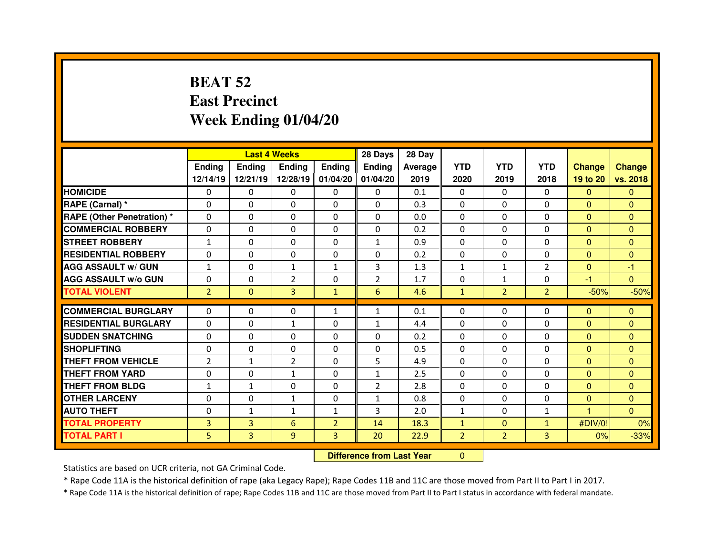# **BEAT 52 East PrecinctWeek Ending 01/04/20**

|                                  |                | <b>Last 4 Weeks</b>              |                |                   | 28 Days        | 28 Day  |                |                |                |               |                |
|----------------------------------|----------------|----------------------------------|----------------|-------------------|----------------|---------|----------------|----------------|----------------|---------------|----------------|
|                                  | <b>Ending</b>  | <b>Ending</b>                    | <b>Ending</b>  | <b>Ending</b>     | <b>Ending</b>  | Average | <b>YTD</b>     | <b>YTD</b>     | <b>YTD</b>     | <b>Change</b> | <b>Change</b>  |
|                                  | 12/14/19       | 12/21/19                         |                | 12/28/19 01/04/20 | 01/04/20       | 2019    | 2020           | 2019           | 2018           | 19 to 20      | vs. 2018       |
| <b>HOMICIDE</b>                  | 0              | 0                                | 0              | 0                 | 0              | 0.1     | 0              | 0              | 0              | $\mathbf{0}$  | $\mathbf{0}$   |
| RAPE (Carnal) *                  | 0              | 0                                | 0              | 0                 | 0              | 0.3     | 0              | 0              | $\Omega$       | $\mathbf{0}$  | $\mathbf{0}$   |
| <b>RAPE (Other Penetration)*</b> | 0              | 0                                | 0              | $\Omega$          | $\Omega$       | 0.0     | $\Omega$       | $\Omega$       | $\Omega$       | $\mathbf{0}$  | $\Omega$       |
| <b>COMMERCIAL ROBBERY</b>        | 0              | 0                                | 0              | 0                 | 0              | 0.2     | 0              | $\Omega$       | $\Omega$       | $\mathbf{0}$  | $\mathbf{0}$   |
| <b>STREET ROBBERY</b>            | $\mathbf{1}$   | 0                                | $\Omega$       | $\Omega$          | $\mathbf{1}$   | 0.9     | $\Omega$       | $\Omega$       | $\Omega$       | $\Omega$      | $\Omega$       |
| <b>RESIDENTIAL ROBBERY</b>       | 0              | 0                                | 0              | 0                 | 0              | 0.2     | 0              | $\Omega$       | $\Omega$       | $\mathbf{0}$  | $\Omega$       |
| <b>AGG ASSAULT w/ GUN</b>        | $\mathbf{1}$   | 0                                | $\mathbf{1}$   | $\mathbf{1}$      | 3              | 1.3     | $\mathbf{1}$   | $\mathbf{1}$   | $\overline{2}$ | $\mathbf{0}$  | $-1$           |
| <b>AGG ASSAULT w/o GUN</b>       | 0              | 0                                | $\overline{2}$ | $\Omega$          | $\overline{2}$ | 1.7     | 0              | $\mathbf{1}$   | $\Omega$       | $-1$          | $\overline{0}$ |
| <b>TOTAL VIOLENT</b>             | $\overline{2}$ | $\Omega$                         | 3              | $\mathbf{1}$      | 6              | 4.6     | $\mathbf{1}$   | $\overline{2}$ | 2 <sup>1</sup> | $-50%$        | $-50%$         |
| <b>COMMERCIAL BURGLARY</b>       | $\Omega$       | 0                                | $\Omega$       | $\mathbf{1}$      | $\mathbf{1}$   | 0.1     | 0              | $\Omega$       | $\Omega$       | $\mathbf{0}$  | $\Omega$       |
| <b>RESIDENTIAL BURGLARY</b>      | $\Omega$       | 0                                | $\mathbf{1}$   | $\Omega$          | $\mathbf{1}$   | 4.4     | $\Omega$       | $\Omega$       | $\Omega$       | $\mathbf{0}$  | $\Omega$       |
| <b>SUDDEN SNATCHING</b>          | $\Omega$       | 0                                | $\Omega$       | $\Omega$          | $\Omega$       | 0.2     | $\Omega$       | $\Omega$       | $\Omega$       | $\mathbf{0}$  | $\Omega$       |
| <b>SHOPLIFTING</b>               | 0              | 0                                | 0              | $\mathbf{0}$      | $\Omega$       | 0.5     | 0              | 0              | 0              | $\mathbf{0}$  | $\Omega$       |
| <b>THEFT FROM VEHICLE</b>        | $\overline{2}$ | $\mathbf{1}$                     | $\overline{2}$ | $\Omega$          | 5              | 4.9     | $\Omega$       | $\Omega$       | $\Omega$       | $\mathbf{0}$  | $\Omega$       |
| <b>THEFT FROM YARD</b>           | 0              | 0                                | $\mathbf{1}$   | $\mathbf{0}$      | $\mathbf{1}$   | 2.5     | 0              | 0              | 0              | $\mathbf{0}$  | $\Omega$       |
| <b>THEFT FROM BLDG</b>           | $\mathbf{1}$   | $\mathbf{1}$                     | 0              | 0                 | $\overline{2}$ | 2.8     | 0              | $\Omega$       | $\Omega$       | $\mathbf{0}$  | $\mathbf{0}$   |
| <b>OTHER LARCENY</b>             | 0              | 0                                | $\mathbf{1}$   | 0                 | 1              | 0.8     | 0              | $\Omega$       | $\Omega$       | $\mathbf{0}$  | $\mathbf{0}$   |
| <b>AUTO THEFT</b>                | 0              | $\mathbf{1}$                     | $\mathbf{1}$   | $\mathbf{1}$      | 3              | 2.0     | $\mathbf{1}$   | $\Omega$       | $\mathbf{1}$   | 4             | $\Omega$       |
| <b>TOTAL PROPERTY</b>            | 3              | 3                                | 6              | $\overline{2}$    | 14             | 18.3    | $\mathbf{1}$   | $\Omega$       | $\mathbf{1}$   | #DIV/0!       | 0%             |
| <b>TOTAL PART I</b>              | 5              | 3                                | 9              | 3                 | 20             | 22.9    | $\overline{2}$ | $\overline{2}$ | 3 <sup>1</sup> | 0%            | $-33%$         |
|                                  |                | <b>Difference from Last Year</b> |                | $\Omega$          |                |         |                |                |                |               |                |

 **Difference from Last Year**

Statistics are based on UCR criteria, not GA Criminal Code.

\* Rape Code 11A is the historical definition of rape (aka Legacy Rape); Rape Codes 11B and 11C are those moved from Part II to Part I in 2017.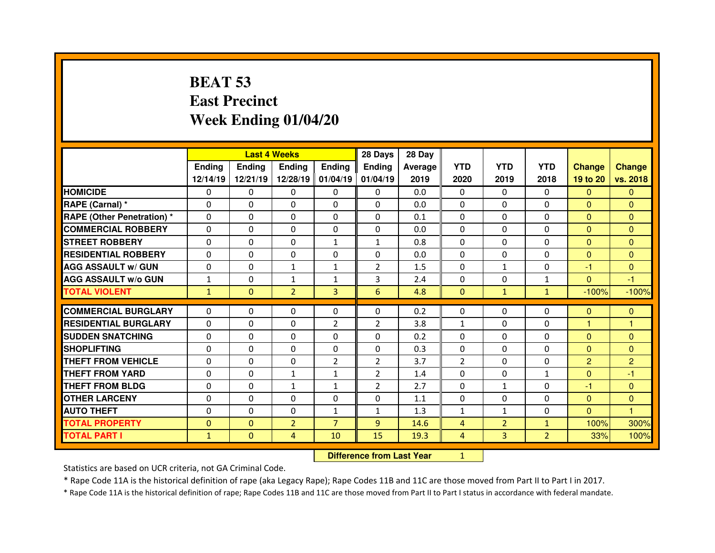# **BEAT 53 East PrecinctWeek Ending 01/04/20**

|                                   |               |               | <b>Last 4 Weeks</b> |                   | 28 Days        | 28 Day                           |                |                |                |                |                |
|-----------------------------------|---------------|---------------|---------------------|-------------------|----------------|----------------------------------|----------------|----------------|----------------|----------------|----------------|
|                                   | <b>Ending</b> | <b>Ending</b> | Ending              | <b>Ending</b>     | Ending         | Average                          | <b>YTD</b>     | <b>YTD</b>     | <b>YTD</b>     | <b>Change</b>  | <b>Change</b>  |
|                                   | 12/14/19      | 12/21/19      |                     | 12/28/19 01/04/19 | 01/04/19       | 2019                             | 2020           | 2019           | 2018           | 19 to 20       | vs. 2018       |
| <b>HOMICIDE</b>                   | $\Omega$      | 0             | 0                   | $\Omega$          | 0              | 0.0                              | $\Omega$       | $\mathbf{0}$   | $\Omega$       | $\mathbf{0}$   | $\Omega$       |
| RAPE (Carnal) *                   | 0             | 0             | 0                   | $\Omega$          | $\Omega$       | 0.0                              | $\Omega$       | $\mathbf{0}$   | $\Omega$       | $\mathbf{0}$   | $\Omega$       |
| <b>RAPE (Other Penetration) *</b> | 0             | 0             | 0                   | 0                 | 0              | 0.1                              | $\Omega$       | $\mathbf 0$    | $\Omega$       | $\overline{0}$ | $\Omega$       |
| <b>COMMERCIAL ROBBERY</b>         | $\Omega$      | 0             | $\Omega$            | $\Omega$          | $\Omega$       | 0.0                              | $\Omega$       | $\mathbf{0}$   | $\Omega$       | $\overline{0}$ | $\Omega$       |
| <b>STREET ROBBERY</b>             | 0             | 0             | 0                   | $\mathbf{1}$      | $\mathbf{1}$   | 0.8                              | $\Omega$       | $\Omega$       | $\Omega$       | $\overline{0}$ | $\Omega$       |
| <b>RESIDENTIAL ROBBERY</b>        | $\Omega$      | $\Omega$      | $\mathbf{0}$        | $\Omega$          | $\Omega$       | 0.0                              | $\Omega$       | $\mathbf{0}$   | $\Omega$       | $\Omega$       | $\Omega$       |
| <b>AGG ASSAULT w/ GUN</b>         | $\Omega$      | $\Omega$      | $\mathbf{1}$        | $\mathbf{1}$      | $\overline{2}$ | 1.5                              | $\Omega$       | $\mathbf{1}$   | $\Omega$       | $-1$           | $\Omega$       |
| <b>AGG ASSAULT w/o GUN</b>        | $\mathbf{1}$  | 0             | $\mathbf{1}$        | $\mathbf{1}$      | 3              | 2.4                              | 0              | $\mathbf{0}$   | $\mathbf{1}$   | $\overline{0}$ | $-1$           |
| <b>TOTAL VIOLENT</b>              | $\mathbf{1}$  | $\mathbf{0}$  | $\overline{2}$      | $\overline{3}$    | 6              | 4.8                              | $\mathbf{0}$   | $\mathbf{1}$   | $\mathbf{1}$   | $-100%$        | $-100%$        |
| <b>COMMERCIAL BURGLARY</b>        | $\Omega$      | $\Omega$      | $\mathbf{0}$        | $\Omega$          | $\Omega$       | 0.2                              | 0              | $\Omega$       | $\Omega$       | $\Omega$       | $\mathbf{0}$   |
| <b>RESIDENTIAL BURGLARY</b>       | $\Omega$      | 0             | 0                   | $\overline{2}$    | $\overline{2}$ | 3.8                              | $\mathbf{1}$   | $\mathbf{0}$   | $\Omega$       | 1              | 1              |
| <b>SUDDEN SNATCHING</b>           | 0             | 0             | 0                   | $\Omega$          | 0              | 0.2                              | $\Omega$       | $\Omega$       | $\Omega$       | $\mathbf{0}$   | $\Omega$       |
| <b>SHOPLIFTING</b>                | 0             | 0             | 0                   | 0                 | $\Omega$       | 0.3                              | $\Omega$       | $\Omega$       | $\Omega$       | $\overline{0}$ | $\mathbf{0}$   |
| <b>THEFT FROM VEHICLE</b>         | 0             | 0             | 0                   | $\overline{2}$    | $\overline{2}$ | 3.7                              | $\overline{2}$ | $\Omega$       | 0              | $\overline{2}$ | $\overline{2}$ |
| <b>THEFT FROM YARD</b>            | 0             | 0             | $\mathbf{1}$        | $\mathbf{1}$      | $\overline{2}$ | 1.4                              | 0              | $\Omega$       | $\mathbf{1}$   | $\mathbf{0}$   | $-1$           |
| <b>THEFT FROM BLDG</b>            | 0             | 0             | $\mathbf{1}$        | $\mathbf{1}$      | $\overline{2}$ | 2.7                              | 0              | $\mathbf{1}$   | 0              | $-1$           | $\Omega$       |
| <b>OTHER LARCENY</b>              | 0             | 0             | 0                   | 0                 | $\Omega$       | 1.1                              | 0              | $\Omega$       | $\Omega$       | $\mathbf{0}$   | $\mathbf{0}$   |
| <b>AUTO THEFT</b>                 | $\Omega$      | 0             | $\Omega$            | $\mathbf{1}$      | $\mathbf{1}$   | 1.3                              | $\mathbf{1}$   | $\mathbf{1}$   | $\Omega$       | $\overline{0}$ | 1              |
| <b>TOTAL PROPERTY</b>             | $\mathbf{0}$  | $\mathbf{0}$  | $\overline{2}$      | $\overline{7}$    | 9              | 14.6                             | $\overline{4}$ | $\overline{2}$ | $\mathbf{1}$   | 100%           | 300%           |
| <b>TOTAL PART I</b>               | $\mathbf{1}$  | $\mathbf{0}$  | 4                   | 10                | 15             | 19.3                             | $\overline{4}$ | $\overline{3}$ | $\overline{2}$ | 33%            | 100%           |
|                                   |               |               |                     |                   |                | <b>Difference from Last Year</b> | $\mathbf{1}$   |                |                |                |                |

Statistics are based on UCR criteria, not GA Criminal Code.

\* Rape Code 11A is the historical definition of rape (aka Legacy Rape); Rape Codes 11B and 11C are those moved from Part II to Part I in 2017.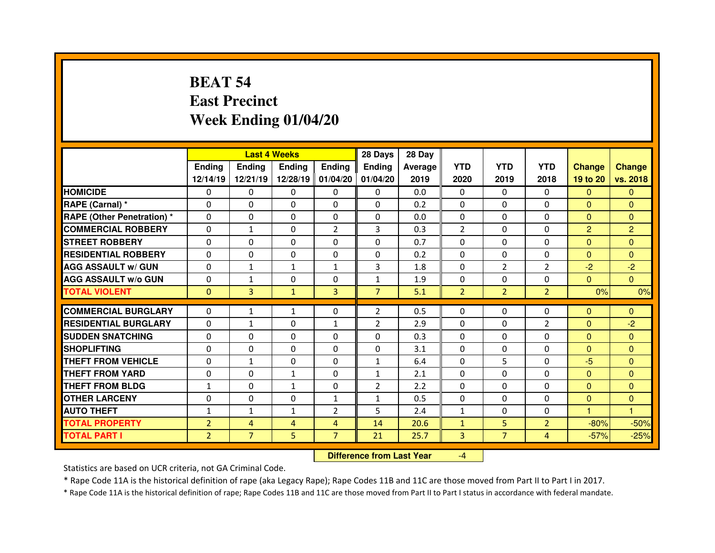# **BEAT 54 East PrecinctWeek Ending 01/04/20**

|                                  |                |                | <b>Last 4 Weeks</b> |                   | 28 Days        | 28 Day  |                |                |                |                |                |
|----------------------------------|----------------|----------------|---------------------|-------------------|----------------|---------|----------------|----------------|----------------|----------------|----------------|
|                                  | <b>Ending</b>  | <b>Ending</b>  | <b>Ending</b>       | <b>Ending</b>     | Ending         | Average | <b>YTD</b>     | <b>YTD</b>     | <b>YTD</b>     | <b>Change</b>  | <b>Change</b>  |
|                                  | 12/14/19       | 12/21/19       |                     | 12/28/19 01/04/20 | 01/04/20       | 2019    | 2020           | 2019           | 2018           | 19 to 20       | vs. 2018       |
| <b>HOMICIDE</b>                  | $\mathbf{0}$   | 0              | $\Omega$            | $\mathbf{0}$      | 0              | 0.0     | $\Omega$       | $\Omega$       | $\Omega$       | $\mathbf{0}$   | $\Omega$       |
| RAPE (Carnal) *                  | $\Omega$       | $\Omega$       | $\mathbf{0}$        | $\Omega$          | $\Omega$       | 0.2     | $\Omega$       | $\Omega$       | $\Omega$       | $\mathbf{0}$   | $\Omega$       |
| <b>RAPE (Other Penetration)*</b> | $\Omega$       | $\Omega$       | $\Omega$            | $\Omega$          | $\Omega$       | 0.0     | $\Omega$       | $\Omega$       | $\Omega$       | $\overline{0}$ | $\Omega$       |
| <b>COMMERCIAL ROBBERY</b>        | $\Omega$       | $\mathbf{1}$   | $\mathbf{0}$        | $\overline{2}$    | 3              | 0.3     | $\overline{2}$ | $\Omega$       | $\Omega$       | $\overline{2}$ | $\overline{2}$ |
| <b>STREET ROBBERY</b>            | $\mathbf 0$    | 0              | $\mathbf 0$         | $\mathbf 0$       | 0              | 0.7     | $\Omega$       | $\Omega$       | $\mathbf 0$    | $\overline{0}$ | $\overline{0}$ |
| <b>RESIDENTIAL ROBBERY</b>       | $\Omega$       | 0              | 0                   | 0                 | 0              | 0.2     | $\Omega$       | $\Omega$       | $\Omega$       | $\mathbf{0}$   | $\mathbf{0}$   |
| <b>AGG ASSAULT w/ GUN</b>        | $\Omega$       | $\mathbf{1}$   | $\mathbf{1}$        | $\mathbf{1}$      | 3              | 1.8     | $\Omega$       | $\overline{2}$ | $\overline{2}$ | $-2$           | $-2$           |
| <b>AGG ASSAULT w/o GUN</b>       | 0              | $\mathbf{1}$   | 0                   | 0                 | $\mathbf{1}$   | 1.9     | 0              | $\mathbf{0}$   | $\Omega$       | $\mathbf{0}$   | $\Omega$       |
| <b>TOTAL VIOLENT</b>             | $\mathbf{0}$   | 3              | $\mathbf{1}$        | 3                 | $\overline{7}$ | 5.1     | $\overline{2}$ | 2 <sup>2</sup> | $\overline{2}$ | 0%             | 0%             |
| <b>COMMERCIAL BURGLARY</b>       | $\Omega$       | $\mathbf{1}$   | $\mathbf{1}$        | $\mathbf{0}$      | $\overline{2}$ | 0.5     | $\Omega$       | $\Omega$       | $\Omega$       | $\mathbf{0}$   | $\mathbf{0}$   |
| <b>RESIDENTIAL BURGLARY</b>      | $\Omega$       | $\mathbf{1}$   | $\Omega$            | 1                 | $\overline{2}$ | 2.9     | $\Omega$       | $\Omega$       | $\overline{2}$ | $\mathbf{0}$   | $-2$           |
| <b>SUDDEN SNATCHING</b>          | $\Omega$       | $\Omega$       | $\mathbf{0}$        | $\Omega$          | $\Omega$       | 0.3     | $\Omega$       | $\Omega$       | $\Omega$       | $\Omega$       | $\Omega$       |
| <b>SHOPLIFTING</b>               | $\Omega$       | $\Omega$       | $\Omega$            | $\Omega$          | $\Omega$       | 3.1     | $\Omega$       | $\Omega$       | $\Omega$       | $\Omega$       | $\Omega$       |
| <b>THEFT FROM VEHICLE</b>        | $\mathbf{0}$   | $\mathbf{1}$   | $\mathbf{0}$        | $\mathbf{0}$      | $\mathbf{1}$   | 6.4     | $\Omega$       | 5              | $\Omega$       | $-5$           | $\Omega$       |
| <b>THEFT FROM YARD</b>           | $\Omega$       | $\Omega$       | $\mathbf{1}$        | $\Omega$          | $\mathbf{1}$   | 2.1     | $\Omega$       | $\Omega$       | $\Omega$       | $\overline{0}$ | $\Omega$       |
| <b>THEFT FROM BLDG</b>           | $\mathbf{1}$   | $\Omega$       | $\mathbf{1}$        | $\Omega$          | $\overline{2}$ | 2.2     | 0              | $\Omega$       | $\Omega$       | $\overline{0}$ | $\Omega$       |
| <b>OTHER LARCENY</b>             | 0              | 0              | 0                   | $\mathbf{1}$      | $\mathbf{1}$   | 0.5     | 0              | $\Omega$       | $\Omega$       | $\mathbf{0}$   | $\mathbf{0}$   |
| <b>AUTO THEFT</b>                | $\mathbf{1}$   | $\mathbf{1}$   | $\mathbf{1}$        | $\overline{2}$    | 5              | 2.4     | $\mathbf{1}$   | $\Omega$       | $\Omega$       | $\mathbf{1}$   | $\mathbf{1}$   |
| <b>TOTAL PROPERTY</b>            | $\overline{2}$ | $\overline{4}$ | 4                   | $\overline{4}$    | 14             | 20.6    | $\mathbf{1}$   | 5 <sup>1</sup> | $\overline{2}$ | $-80%$         | $-50%$         |
| <b>TOTAL PART I</b>              | $\overline{2}$ | $\overline{7}$ | 5                   | $\overline{7}$    | 21             | 25.7    | $\overline{3}$ | $\overline{7}$ | $\overline{4}$ | $-57%$         | $-25%$         |
|                                  |                |                |                     |                   |                |         |                |                |                |                |                |

 **Difference from Last Year**-4

Statistics are based on UCR criteria, not GA Criminal Code.

\* Rape Code 11A is the historical definition of rape (aka Legacy Rape); Rape Codes 11B and 11C are those moved from Part II to Part I in 2017.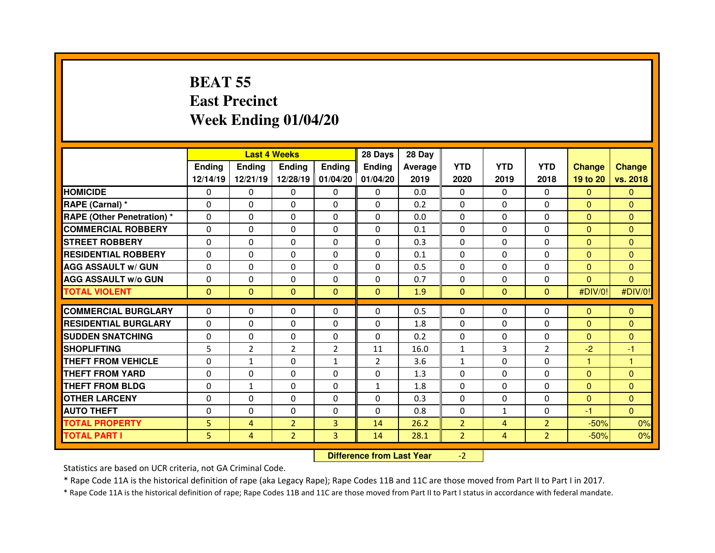### **BEAT 55 East PrecinctWeek Ending 01/04/20**

|                                  |              |                | <b>Last 4 Weeks</b> |                   | 28 Days        | 28 Day                           |                |                |                |                |                |
|----------------------------------|--------------|----------------|---------------------|-------------------|----------------|----------------------------------|----------------|----------------|----------------|----------------|----------------|
|                                  | Ending       | <b>Ending</b>  | <b>Ending</b>       | <b>Ending</b>     | <b>Ending</b>  | <b>Average</b>                   | <b>YTD</b>     | <b>YTD</b>     | <b>YTD</b>     | <b>Change</b>  | <b>Change</b>  |
|                                  | 12/14/19     | 12/21/19       |                     | 12/28/19 01/04/20 | 01/04/20       | 2019                             | 2020           | 2019           | 2018           | 19 to 20       | vs. 2018       |
| <b>HOMICIDE</b>                  | 0            | 0              | 0                   | $\Omega$          | 0              | 0.0                              | 0              | $\mathbf{0}$   | $\Omega$       | $\Omega$       | $\Omega$       |
| <b>RAPE (Carnal) *</b>           | $\Omega$     | 0              | $\Omega$            | $\Omega$          | $\Omega$       | 0.2                              | $\Omega$       | $\Omega$       | $\Omega$       | $\mathbf{0}$   | $\Omega$       |
| <b>RAPE (Other Penetration)*</b> | $\Omega$     | 0              | 0                   | 0                 | 0              | 0.0                              | $\Omega$       | $\Omega$       | $\Omega$       | $\overline{0}$ | $\Omega$       |
| <b>COMMERCIAL ROBBERY</b>        | $\Omega$     | $\Omega$       | $\mathbf{0}$        | $\Omega$          | $\Omega$       | 0.1                              | $\Omega$       | $\mathbf{0}$   | $\Omega$       | $\overline{0}$ | $\Omega$       |
| <b>STREET ROBBERY</b>            | $\Omega$     | 0              | $\mathbf{0}$        | $\Omega$          | $\Omega$       | 0.3                              | $\Omega$       | $\Omega$       | $\Omega$       | $\Omega$       | $\Omega$       |
| <b>RESIDENTIAL ROBBERY</b>       | $\mathbf{0}$ | $\Omega$       | $\mathbf{0}$        | $\Omega$          | $\Omega$       | 0.1                              | $\Omega$       | $\mathbf{0}$   | $\Omega$       | $\mathbf{0}$   | $\Omega$       |
| <b>AGG ASSAULT w/ GUN</b>        | 0            | $\Omega$       | $\mathbf{0}$        | $\Omega$          | 0              | 0.5                              | $\Omega$       | $\Omega$       | $\Omega$       | $\overline{0}$ | $\Omega$       |
| <b>AGG ASSAULT w/o GUN</b>       | 0            | 0              | 0                   | 0                 | 0              | 0.7                              | 0              | $\mathbf{0}$   | 0              | $\overline{0}$ | $\mathbf{0}$   |
| <b>TOTAL VIOLENT</b>             | $\mathbf{0}$ | $\mathbf{0}$   | $\mathbf{0}$        | $\mathbf{0}$      | $\mathbf{0}$   | 1.9                              | $\mathbf{0}$   | $\mathbf{0}$   | $\mathbf{0}$   | #DIV/0!        | #DIV/0!        |
| <b>COMMERCIAL BURGLARY</b>       | 0            | 0              | 0                   | $\Omega$          | 0              | 0.5                              | 0              | $\Omega$       | 0              | $\mathbf{0}$   | $\mathbf{0}$   |
| <b>RESIDENTIAL BURGLARY</b>      | $\Omega$     | 0              | 0                   | $\Omega$          | 0              | 1.8                              | $\Omega$       | $\Omega$       | $\Omega$       | $\overline{0}$ | $\Omega$       |
| <b>SUDDEN SNATCHING</b>          | 0            | 0              | 0                   | $\Omega$          | 0              | 0.2                              | $\Omega$       | 0              | $\Omega$       | $\overline{0}$ | $\mathbf{0}$   |
| <b>SHOPLIFTING</b>               | 5            | $\overline{2}$ | $\overline{2}$      | $\overline{2}$    | 11             | 16.0                             | $\mathbf{1}$   | 3              | $\overline{2}$ | $-2$           | -1             |
| <b>THEFT FROM VEHICLE</b>        | 0            | $\mathbf{1}$   | 0                   | $\mathbf{1}$      | $\overline{2}$ | 3.6                              | $\mathbf{1}$   | $\Omega$       | $\Omega$       | 1              | 1              |
| <b>THEFT FROM YARD</b>           | 0            | 0              | 0                   | 0                 | 0              | 1.3                              | 0              | $\Omega$       | 0              | $\mathbf{0}$   | $\mathbf{0}$   |
| <b>THEFT FROM BLDG</b>           | 0            | $\mathbf{1}$   | 0                   | $\Omega$          | $\mathbf{1}$   | 1.8                              | $\Omega$       | $\Omega$       | 0              | $\overline{0}$ | $\Omega$       |
| <b>OTHER LARCENY</b>             | 0            | 0              | 0                   | 0                 | 0              | 0.3                              | 0              | $\Omega$       | 0              | $\overline{0}$ | $\mathbf{0}$   |
| <b>AUTO THEFT</b>                | $\Omega$     | 0              | $\Omega$            | $\Omega$          | 0              | 0.8                              | $\Omega$       | $\mathbf{1}$   | $\Omega$       | $-1$           | $\overline{0}$ |
| <b>TOTAL PROPERTY</b>            | 5            | $\overline{4}$ | $\overline{2}$      | 3                 | 14             | 26.2                             | $\overline{2}$ | 4              | $\overline{2}$ | $-50%$         | 0%             |
| <b>TOTAL PART I</b>              | 5            | $\overline{4}$ | $\overline{2}$      | 3                 | 14             | 28.1                             | $\overline{2}$ | $\overline{4}$ | $\overline{2}$ | $-50%$         | 0%             |
|                                  |              |                |                     |                   |                | <b>Difference from Last Year</b> | $-2$           |                |                |                |                |

Statistics are based on UCR criteria, not GA Criminal Code.

\* Rape Code 11A is the historical definition of rape (aka Legacy Rape); Rape Codes 11B and 11C are those moved from Part II to Part I in 2017.